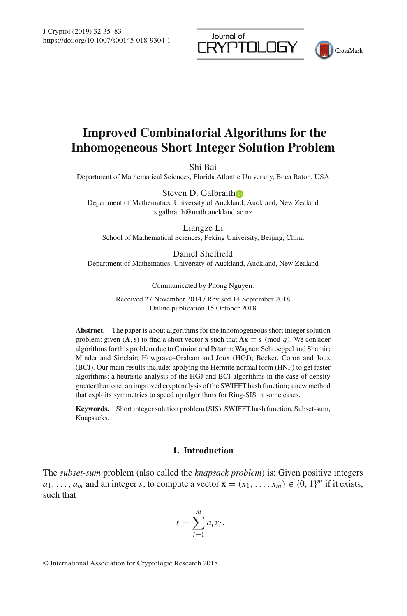Journal of RYPTOLOGY



# **Improved Combinatorial Algorithms for the Inhomogeneous Short Integer Solution Problem**

Shi Bai

Department of Mathematical Sciences, Florida Atlantic University, Boca Raton, USA

Steven D. Galbrait[h](http://orcid.org/0000-0001-7114-8377)

Department of Mathematics, University of Auckland, Auckland, New Zealand s.galbraith@math.auckland.ac.nz

Liangze Li

School of Mathematical Sciences, Peking University, Beijing, China

Daniel Sheffield Department of Mathematics, University of Auckland, Auckland, New Zealand

Communicated by Phong Nguyen.

Received 27 November 2014 / Revised 14 September 2018 Online publication 15 October 2018

**Abstract.** The paper is about algorithms for the inhomogeneous short integer solution problem: given  $(A, s)$  to find a short vector **x** such that  $Ax \equiv s \pmod{q}$ . We consider algorithms for this problem due to Camion and Patarin; Wagner; Schroeppel and Shamir; Minder and Sinclair; Howgrave–Graham and Joux (HGJ); Becker, Coron and Joux (BCJ). Our main results include: applying the Hermite normal form (HNF) to get faster algorithms; a heuristic analysis of the HGJ and BCJ algorithms in the case of density greater than one; an improved cryptanalysis of the SWIFFT hash function; a new method that exploits symmetries to speed up algorithms for Ring-SIS in some cases.

**Keywords.** Short integer solution problem (SIS), SWIFFT hash function, Subset-sum, Knapsacks.

# **1. Introduction**

The *subset-sum* problem (also called the *knapsack problem*) is: Given positive integers  $a_1, \ldots, a_m$  and an integer *s*, to compute a vector  $\mathbf{x} = (x_1, \ldots, x_m) \in \{0, 1\}^m$  if it exists, such that

$$
s = \sum_{i=1}^{m} a_i x_i.
$$

© International Association for Cryptologic Research 2018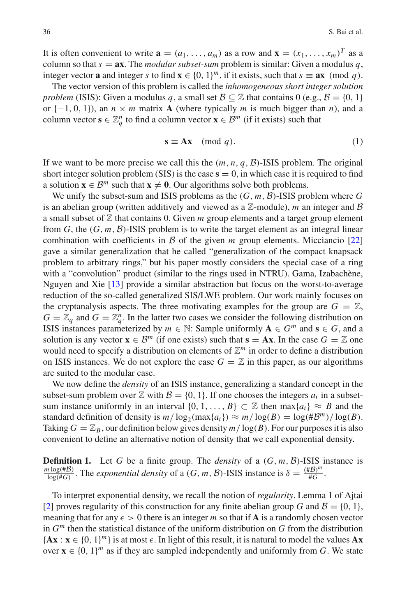It is often convenient to write  $\mathbf{a} = (a_1, \ldots, a_m)$  as a row and  $\mathbf{x} = (x_1, \ldots, x_m)^T$  as a column so that  $s = ax$ . The *modular subset-sum* problem is similar: Given a modulus q, integer vector **a** and integer *s* to find  $\mathbf{x} \in \{0, 1\}^m$ , if it exists, such that  $s \equiv \mathbf{a}\mathbf{x} \pmod{q}$ .

The vector version of this problem is called the *inhomogeneous short integer solution problem* (ISIS): Given a modulus *q*, a small set  $\mathcal{B} \subseteq \mathbb{Z}$  that contains 0 (e.g.,  $\mathcal{B} = \{0, 1\}$ ) or  $\{-1, 0, 1\}$ , an  $n \times m$  matrix **A** (where typically *m* is much bigger than *n*), and a column vector  $\mathbf{s} \in \mathbb{Z}_q^n$  to find a column vector  $\mathbf{x} \in \mathcal{B}^m$  (if it exists) such that

$$
\mathbf{s} \equiv \mathbf{A}\mathbf{x} \pmod{q}.
$$
 (1)

If we want to be more precise we call this the  $(m, n, q, \mathcal{B})$ -ISIS problem. The original short integer solution problem (SIS) is the case  $s = 0$ , in which case it is required to find a solution  $\mathbf{x} \in \mathcal{B}^m$  such that  $\mathbf{x} \neq \mathbf{0}$ . Our algorithms solve both problems.

We unify the subset-sum and ISIS problems as the (*G*, *m*, *B*)-ISIS problem where *G* is an abelian group (written additively and viewed as a  $\mathbb{Z}$ -module), *m* an integer and  $\beta$ a small subset of  $\mathbb Z$  that contains 0. Given  $m$  group elements and a target group element from  $G$ , the  $(G, m, \mathcal{B})$ -ISIS problem is to write the target element as an integral linear combination with coefficients in  $\beta$  of the given  $m$  group elements. Micciancio [\[22\]](#page-47-0) gave a similar generalization that he called "generalization of the compact knapsack problem to arbitrary rings," but his paper mostly considers the special case of a ring with a "convolution" product (similar to the rings used in NTRU). Gama, Izabachène, Nguyen and Xie [\[13\]](#page-47-1) provide a similar abstraction but focus on the worst-to-average reduction of the so-called generalized SIS/LWE problem. Our work mainly focuses on the cryptanalysis aspects. The three motivating examples for the group are  $G = \mathbb{Z}$ ,  $G = \mathbb{Z}_q$  and  $G = \mathbb{Z}_q^n$ . In the latter two cases we consider the following distribution on ISIS instances parameterized by  $m \in \mathbb{N}$ : Sample uniformly  $A \in G^m$  and  $s \in G$ , and a solution is any vector  $\mathbf{x} \in \mathcal{B}^m$  (if one exists) such that  $\mathbf{s} = \mathbf{A}\mathbf{x}$ . In the case  $G = \mathbb{Z}$  one would need to specify a distribution on elements of  $\mathbb{Z}^m$  in order to define a distribution on ISIS instances. We do not explore the case  $G = \mathbb{Z}$  in this paper, as our algorithms are suited to the modular case.

We now define the *density* of an ISIS instance, generalizing a standard concept in the subset-sum problem over  $\mathbb Z$  with  $\mathcal B = \{0, 1\}$ . If one chooses the integers  $a_i$  in a subsetsum instance uniformly in an interval  $\{0, 1, \ldots, B\} \subset \mathbb{Z}$  then  $\max\{a_i\} \approx B$  and the standard definition of density is  $m/\log_2(\max\{a_i\}) \approx m/\log(B) = \log(\#B^m)/\log(B)$ . Taking  $G = \mathbb{Z}_B$ , our definition below gives density  $m / \log(B)$ . For our purposes it is also convenient to define an alternative notion of density that we call exponential density.

**Definition 1.** Let G be a finite group. The *density* of a  $(G, m, B)$ -ISIS instance is  $\frac{m \log(\#B)}{\log(\#G)}$ . The *exponential density* of a  $(G, m, B)$ -ISIS instance is  $\delta = \frac{(\#B)^m}{\#G}$ .

To interpret exponential density, we recall the notion of *regularity*. Lemma 1 of Ajtai [\[2\]](#page-47-2) proves regularity of this construction for any finite abelian group *G* and  $\mathcal{B} = \{0, 1\}$ , meaning that for any  $\epsilon > 0$  there is an integer *m* so that if **A** is a randomly chosen vector in *G<sup>m</sup>* then the statistical distance of the uniform distribution on *G* from the distribution  ${Ax : x \in \{0, 1\}^m}$  is at most  $\epsilon$ . In light of this result, it is natural to model the values Ax over  $\mathbf{x} \in \{0, 1\}^m$  as if they are sampled independently and uniformly from *G*. We state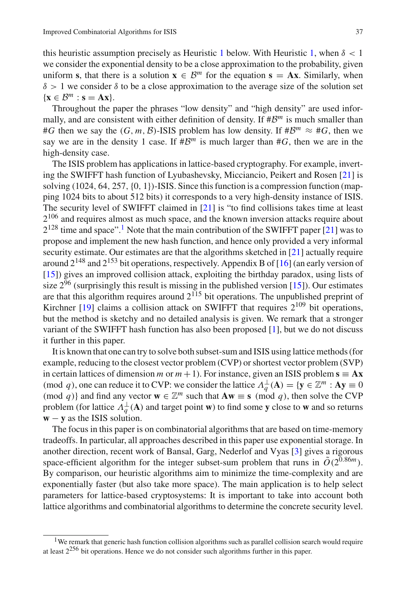this heuristic assumption precisely as Heuristic [1](#page-9-0) below. With Heuristic [1,](#page-9-0) when  $\delta < 1$ we consider the exponential density to be a close approximation to the probability, given uniform **s**, that there is a solution  $\mathbf{x} \in \mathcal{B}^m$  for the equation  $\mathbf{s} = \mathbf{A}\mathbf{x}$ . Similarly, when  $\delta$  > 1 we consider  $\delta$  to be a close approximation to the average size of the solution set  $\{x \in \mathcal{B}^m : s = Ax\}.$ 

Throughout the paper the phrases "low density" and "high density" are used informally, and are consistent with either definition of density. If  $\sharp B^m$  is much smaller than #*G* then we say the  $(G, m, \mathcal{B})$ -ISIS problem has low density. If  $\#\mathcal{B}^m \approx \#G$ , then we say we are in the density 1 case. If  $\#B^m$  is much larger than  $\#G$ , then we are in the high-density case.

The ISIS problem has applications in lattice-based cryptography. For example, inverting the SWIFFT hash function of Lyubashevsky, Micciancio, Peikert and Rosen [\[21\]](#page-47-3) is solving (1024, 64, 257,{0, 1})-ISIS. Since this function is a compression function (mapping 1024 bits to about 512 bits) it corresponds to a very high-density instance of ISIS. The security level of SWIFFT claimed in [\[21](#page-47-3)] is "to find collisions takes time at least  $2^{106}$  and requires almost as much space, and the known inversion attacks require about  $2^{128}$  $2^{128}$  $2^{128}$  time and space".<sup>1</sup> Note that the main contribution of the SWIFFT paper [\[21\]](#page-47-3) was to propose and implement the new hash function, and hence only provided a very informal security estimate. Our estimates are that the algorithms sketched in [\[21\]](#page-47-3) actually require around  $2^{148}$  and  $2^{153}$  bit operations, respectively. Appendix B of [\[16\]](#page-47-4) (an early version of [\[15\]](#page-47-5)) gives an improved collision attack, exploiting the birthday paradox, using lists of size  $2^{96}$  (surprisingly this result is missing in the published version [\[15](#page-47-5)]). Our estimates are that this algorithm requires around  $2^{115}$  bit operations. The unpublished preprint of Kirchner  $[19]$  claims a collision attack on SWIFFT that requires  $2^{109}$  bit operations, but the method is sketchy and no detailed analysis is given. We remark that a stronger variant of the SWIFFT hash function has also been proposed [\[1\]](#page-47-7), but we do not discuss it further in this paper.

It is known that one can try to solve both subset-sum and ISIS using lattice methods (for example, reducing to the closest vector problem (CVP) or shortest vector problem (SVP) in certain lattices of dimension *m* or  $m + 1$ ). For instance, given an ISIS problem  $\mathbf{s} = \mathbf{A}\mathbf{x}$ (mod *q*), one can reduce it to CVP: we consider the lattice  $\Lambda_q^{\perp}(\mathbf{A}) = {\mathbf{y} \in \mathbb{Z}^m : \mathbf{A}\mathbf{y} \equiv 0}$ (mod *q*)} and find any vector  $\mathbf{w} \in \mathbb{Z}^m$  such that  $A\mathbf{w} \equiv \mathbf{s} \pmod{q}$ , then solve the CVP problem (for lattice  $\Lambda_q^{\perp}(\mathbf{A})$  and target point **w**) to find some **y** close to **w** and so returns **w** − **y** as the ISIS solution.

The focus in this paper is on combinatorial algorithms that are based on time-memory tradeoffs. In particular, all approaches described in this paper use exponential storage. In another direction, recent work of Bansal, Garg, Nederlof and Vyas [\[3](#page-47-8)] gives a rigorous space-efficient algorithm for the integer subset-sum problem that runs in  $\tilde{O}(2^{0.86m})$ . By comparison, our heuristic algorithms aim to minimize the time-complexity and are exponentially faster (but also take more space). The main application is to help select parameters for lattice-based cryptosystems: It is important to take into account both lattice algorithms and combinatorial algorithms to determine the concrete security level.

<span id="page-2-0"></span><sup>&</sup>lt;sup>1</sup>We remark that generic hash function collision algorithms such as parallel collision search would require at least  $2^{256}$  bit operations. Hence we do not consider such algorithms further in this paper.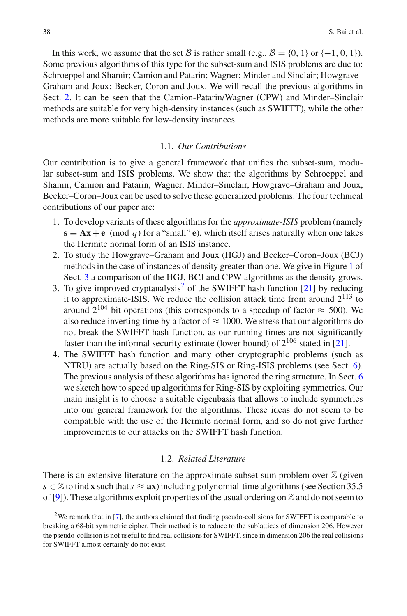In this work, we assume that the set *B* is rather small (e.g.,  $B = \{0, 1\}$  or  $\{-1, 0, 1\}$ ). Some previous algorithms of this type for the subset-sum and ISIS problems are due to: Schroeppel and Shamir; Camion and Patarin; Wagner; Minder and Sinclair; Howgrave– Graham and Joux; Becker, Coron and Joux. We will recall the previous algorithms in Sect. [2.](#page-4-0) It can be seen that the Camion-Patarin/Wagner (CPW) and Minder–Sinclair methods are suitable for very high-density instances (such as SWIFFT), while the other methods are more suitable for low-density instances.

# 1.1. *Our Contributions*

Our contribution is to give a general framework that unifies the subset-sum, modular subset-sum and ISIS problems. We show that the algorithms by Schroeppel and Shamir, Camion and Patarin, Wagner, Minder–Sinclair, Howgrave–Graham and Joux, Becker–Coron–Joux can be used to solve these generalized problems. The four technical contributions of our paper are:

- 1. To develop variants of these algorithms for the *approximate-ISIS* problem (namely  $\mathbf{s} \equiv \mathbf{A}\mathbf{x} + \mathbf{e}$  (mod *q*) for a "small" **e**), which itself arises naturally when one takes the Hermite normal form of an ISIS instance.
- 2. To study the Howgrave–Graham and Joux (HGJ) and Becker–Coron–Joux (BCJ) methods in the case of instances of density greater than one. We give in Figure [1](#page-19-0) of Sect. [3](#page-16-0) a comparison of the HGJ, BCJ and CPW algorithms as the density grows.
- 3. To give improved cryptanalysis<sup>2</sup> of the SWIFFT hash function [\[21](#page-47-3)] by reducing it to approximate-ISIS. We reduce the collision attack time from around  $2^{113}$  to around  $2^{104}$  bit operations (this corresponds to a speedup of factor  $\approx$  500). We also reduce inverting time by a factor of  $\approx 1000$ . We stress that our algorithms do not break the SWIFFT hash function, as our running times are not significantly faster than the informal security estimate (lower bound) of  $2^{106}$  stated in [\[21\]](#page-47-3).
- 4. The SWIFFT hash function and many other cryptographic problems (such as NTRU) are actually based on the Ring-SIS or Ring-ISIS problems (see Sect. [6\)](#page-38-0). The previous analysis of these algorithms has ignored the ring structure. In Sect. [6](#page-38-0) we sketch how to speed up algorithms for Ring-SIS by exploiting symmetries. Our main insight is to choose a suitable eigenbasis that allows to include symmetries into our general framework for the algorithms. These ideas do not seem to be compatible with the use of the Hermite normal form, and so do not give further improvements to our attacks on the SWIFFT hash function.

#### 1.2. *Related Literature*

There is an extensive literature on the approximate subset-sum problem over  $\mathbb Z$  (given  $s \in \mathbb{Z}$  to find **x** such that  $s \approx$  **ax**) including polynomial-time algorithms (see Section 35.5 of [\[9\]](#page-47-9)). These algorithms exploit properties of the usual ordering on  $\mathbb Z$  and do not seem to

<span id="page-3-0"></span><sup>&</sup>lt;sup>2</sup>We remark that in [\[7\]](#page-47-10), the authors claimed that finding pseudo-collisions for SWIFFT is comparable to breaking a 68-bit symmetric cipher. Their method is to reduce to the sublattices of dimension 206. However the pseudo-collision is not useful to find real collisions for SWIFFT, since in dimension 206 the real collisions for SWIFFT almost certainly do not exist.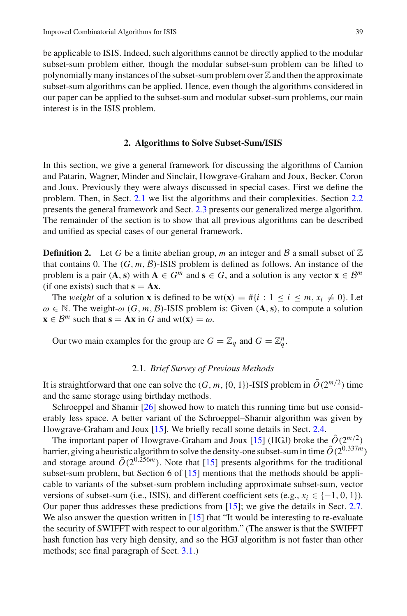be applicable to ISIS. Indeed, such algorithms cannot be directly applied to the modular subset-sum problem either, though the modular subset-sum problem can be lifted to polynomially many instances of the subset-sum problem over  $\mathbb Z$  and then the approximate subset-sum algorithms can be applied. Hence, even though the algorithms considered in our paper can be applied to the subset-sum and modular subset-sum problems, our main interest is in the ISIS problem.

#### **2. Algorithms to Solve Subset-Sum/ISIS**

<span id="page-4-0"></span>In this section, we give a general framework for discussing the algorithms of Camion and Patarin, Wagner, Minder and Sinclair, Howgrave-Graham and Joux, Becker, Coron and Joux. Previously they were always discussed in special cases. First we define the problem. Then, in Sect. [2.1](#page-4-1) we list the algorithms and their complexities. Section [2.2](#page-5-0) presents the general framework and Sect. [2.3](#page-6-0) presents our generalized merge algorithm. The remainder of the section is to show that all previous algorithms can be described and unified as special cases of our general framework.

**Definition 2.** Let G be a finite abelian group, m an integer and B a small subset of  $\mathbb{Z}$ that contains 0. The  $(G, m, \mathcal{B})$ -ISIS problem is defined as follows. An instance of the problem is a pair  $(A, s)$  with  $A \in G^m$  and  $s \in G$ , and a solution is any vector  $x \in B^m$ (if one exists) such that  $s = Ax$ .

The *weight* of a solution **x** is defined to be wt(**x**) = #{*i* : 1 ≤ *i* ≤ *m*,  $x_i \neq 0$ }. Let  $\omega \in \mathbb{N}$ . The weight- $\omega$  (*G*, *m*, *B*)-ISIS problem is: Given (**A**, **s**), to compute a solution  $\mathbf{x} \in \mathcal{B}^m$  such that  $\mathbf{s} = \mathbf{A}\mathbf{x}$  in *G* and wt $(\mathbf{x}) = \omega$ .

Our two main examples for the group are  $G = \mathbb{Z}_q$  and  $G = \mathbb{Z}_q^n$ .

# 2.1. *Brief Survey of Previous Methods*

<span id="page-4-1"></span>It is straightforward that one can solve the  $(G, m, \{0, 1\})$ -ISIS problem in  $\tilde{O}(2^{m/2})$  time and the same storage using birthday methods.

Schroeppel and Shamir [\[26](#page-48-0)] showed how to match this running time but use considerably less space. A better variant of the Schroeppel–Shamir algorithm was given by Howgrave-Graham and Joux [\[15\]](#page-47-5). We briefly recall some details in Sect. [2.4.](#page-7-0)

The important paper of Howgrave-Graham and Joux [\[15](#page-47-5)] (HGJ) broke the  $\tilde{O}(2^{m/2})$ barrier, giving a heuristic algorithm to solve the density-one subset-sum in time  $\tilde{O}(2^{0.337m})$ and storage around  $\tilde{O}(2^{0.256m})$ . Note that [\[15](#page-47-5)] presents algorithms for the traditional subset-sum problem, but Section 6 of [\[15\]](#page-47-5) mentions that the methods should be applicable to variants of the subset-sum problem including approximate subset-sum, vector versions of subset-sum (i.e., ISIS), and different coefficient sets (e.g.,  $x_i \in \{-1, 0, 1\}$ ). Our paper thus addresses these predictions from [\[15\]](#page-47-5); we give the details in Sect. [2.7.](#page-12-0) We also answer the question written in [\[15](#page-47-5)] that "It would be interesting to re-evaluate the security of SWIFFT with respect to our algorithm." (The answer is that the SWIFFT hash function has very high density, and so the HGJ algorithm is not faster than other methods; see final paragraph of Sect. [3.1.](#page-16-1))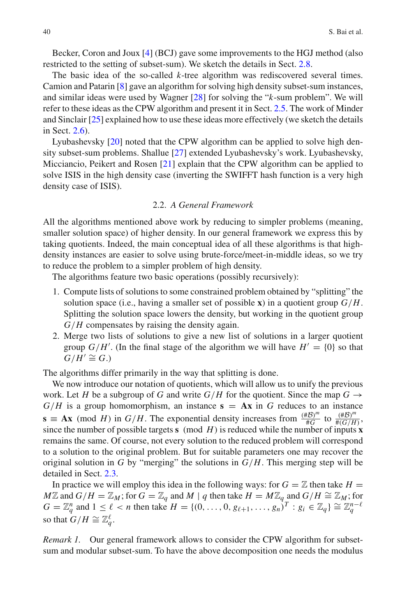Becker, Coron and Joux [\[4\]](#page-47-11) (BCJ) gave some improvements to the HGJ method (also restricted to the setting of subset-sum). We sketch the details in Sect. [2.8.](#page-13-0)

The basic idea of the so-called *k*-tree algorithm was rediscovered several times. Camion and Patarin [\[8](#page-47-12)] gave an algorithm for solving high density subset-sum instances, and similar ideas were used by Wagner [\[28](#page-48-1)] for solving the "*k*-sum problem". We will refer to these ideas as the CPW algorithm and present it in Sect. [2.5.](#page-7-1) The work of Minder and Sinclair [\[25\]](#page-47-13) explained how to use these ideas more effectively (we sketch the details in Sect. [2.6\)](#page-10-0).

Lyubashevsky [\[20](#page-47-14)] noted that the CPW algorithm can be applied to solve high density subset-sum problems. Shallue [\[27](#page-48-2)] extended Lyubashevsky's work. Lyubashevsky, Micciancio, Peikert and Rosen [\[21](#page-47-3)] explain that the CPW algorithm can be applied to solve ISIS in the high density case (inverting the SWIFFT hash function is a very high density case of ISIS).

# 2.2. *A General Framework*

<span id="page-5-0"></span>All the algorithms mentioned above work by reducing to simpler problems (meaning, smaller solution space) of higher density. In our general framework we express this by taking quotients. Indeed, the main conceptual idea of all these algorithms is that highdensity instances are easier to solve using brute-force/meet-in-middle ideas, so we try to reduce the problem to a simpler problem of high density.

The algorithms feature two basic operations (possibly recursively):

- 1. Compute lists of solutions to some constrained problem obtained by "splitting" the solution space (i.e., having a smaller set of possible **x**) in a quotient group  $G/H$ . Splitting the solution space lowers the density, but working in the quotient group *G*/*H* compensates by raising the density again.
- 2. Merge two lists of solutions to give a new list of solutions in a larger quotient group  $G/H'$ . (In the final stage of the algorithm we will have  $H' = \{0\}$  so that  $G/H' \cong G$ .)

The algorithms differ primarily in the way that splitting is done.

We now introduce our notation of quotients, which will allow us to unify the previous work. Let *H* be a subgroup of *G* and write  $G/H$  for the quotient. Since the map  $G \rightarrow$  $G/H$  is a group homomorphism, an instance  $s = Ax$  in *G* reduces to an instance **s**  $\equiv$  **Ax** (mod *H*) in *G*/*H*. The exponential density increases from  $\frac{(\#B)^m}{\#G}$  to  $\frac{(\#B)^m}{\#(G/H)}$ , since the number of possible targets **s** (mod  $H$ ) is reduced while the number of inputs **x** remains the same. Of course, not every solution to the reduced problem will correspond to a solution to the original problem. But for suitable parameters one may recover the original solution in *G* by "merging" the solutions in  $G/H$ . This merging step will be detailed in Sect. [2.3.](#page-6-0)

In practice we will employ this idea in the following ways: for  $G = \mathbb{Z}$  then take  $H =$ *M* $\mathbb{Z}$  and *G*/*H* =  $\mathbb{Z}_M$ ; for *G* =  $\mathbb{Z}_q$  and *M* | *q* then take *H* =  $M\mathbb{Z}_q$  and *G*/*H* ≃  $\mathbb{Z}_M$ ; for  $G = \mathbb{Z}_q^n$  and  $1 \leq \ell < n$  then take  $H = \{(0, \ldots, 0, g_{\ell+1}, \ldots, g_n)^T : g_i \in \mathbb{Z}_q\} \cong \mathbb{Z}_q^{n-\ell}$ so that  $G/H \cong \mathbb{Z}_q^{\ell}$ .

*Remark 1.* Our general framework allows to consider the CPW algorithm for subsetsum and modular subset-sum. To have the above decomposition one needs the modulus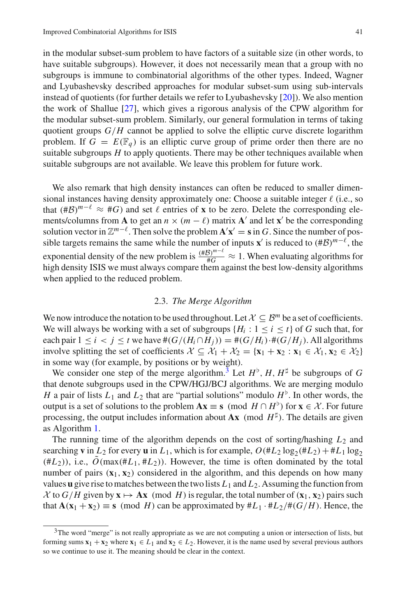in the modular subset-sum problem to have factors of a suitable size (in other words, to have suitable subgroups). However, it does not necessarily mean that a group with no subgroups is immune to combinatorial algorithms of the other types. Indeed, Wagner and Lyubashevsky described approaches for modular subset-sum using sub-intervals instead of quotients (for further details we refer to Lyubashevsky [\[20](#page-47-14)]). We also mention the work of Shallue [\[27](#page-48-2)], which gives a rigorous analysis of the CPW algorithm for the modular subset-sum problem. Similarly, our general formulation in terms of taking quotient groups  $G/H$  cannot be applied to solve the elliptic curve discrete logarithm problem. If  $G = E(\mathbb{F}_q)$  is an elliptic curve group of prime order then there are no suitable subgroups  $H$  to apply quotients. There may be other techniques available when suitable subgroups are not available. We leave this problem for future work.

We also remark that high density instances can often be reduced to smaller dimensional instances having density approximately one: Choose a suitable integer  $\ell$  (i.e., so that (#B)<sup> $m-\ell \approx #G$ ) and set  $\ell$  entries of **x** to be zero. Delete the corresponding ele-</sup> ments/columns from **A** to get an  $n \times (m - \ell)$  matrix **A**' and let **x**' be the corresponding solution vector in  $\mathbb{Z}^{m-\ell}$ . Then solve the problem  $\mathbf{A}'\mathbf{x}' = \mathbf{s}$  in *G*. Since the number of possible targets remains the same while the number of inputs **x**' is reduced to  $(\#\mathcal{B})^{m-\ell}$ , the exponential density of the new problem is  $\frac{(\#B)^{m-\ell}}{\#G} \approx 1$ . When evaluating algorithms for high density ISIS we must always compare them against the best low-density algorithms when applied to the reduced problem.

## 2.3. *The Merge Algorithm*

<span id="page-6-0"></span>We now introduce the notation to be used throughout. Let  $X \subseteq B^m$  be a set of coefficients. We will always be working with a set of subgroups  ${H_i : 1 \le i \le t}$  of *G* such that, for each pair  $1 \le i \le j \le t$  we have  $\#(G/(H_i \cap H_j)) = \#(G/H_i) \cdot \#(G/H_j)$ . All algorithms involve splitting the set of coefficients  $\mathcal{X} \subseteq \mathcal{X}_1 + \mathcal{X}_2 = {\mathbf{x}_1 + \mathbf{x}_2 : \mathbf{x}_1 \in \mathcal{X}_1, \mathbf{x}_2 \in \mathcal{X}_2}$ in some way (for example, by positions or by weight).

We consider one step of the merge algorithm.<sup>[3](#page-6-1)</sup> Let  $H^{\flat}$ , *H*,  $H^{\sharp}$  be subgroups of *G* that denote subgroups used in the CPW/HGJ/BCJ algorithms. We are merging modulo *H* a pair of lists  $L_1$  and  $L_2$  that are "partial solutions" modulo  $H^{\flat}$ . In other words, the output is a set of solutions to the problem  $\mathbf{A}\mathbf{x} \equiv \mathbf{s} \pmod{H \cap H^{\flat}}$  for  $\mathbf{x} \in \mathcal{X}$ . For future processing, the output includes information about  $Ax \pmod{H^{\sharp}}$ . The details are given as Algorithm [1.](#page-7-2)

The running time of the algorithm depends on the cost of sorting/hashing *L*<sup>2</sup> and searching **v** in  $L_2$  for every **u** in  $L_1$ , which is for example,  $O(H_2 \log_2(\#L_2)+H_1 \log_2$  $(\#L_2)$ ), i.e.,  $\tilde{O}(\max(\#L_1, \#L_2))$ . However, the time is often dominated by the total number of pairs  $(\mathbf{x}_1, \mathbf{x}_2)$  considered in the algorithm, and this depends on how many values **u** give rise to matches between the two lists  $L_1$  and  $L_2$ . Assuming the function from  $\mathcal{X}$  to  $G/H$  given by  $\mathbf{x} \mapsto \mathbf{A}\mathbf{x}$  (mod *H*) is regular, the total number of  $(\mathbf{x}_1, \mathbf{x}_2)$  pairs such that  $\mathbf{A}(\mathbf{x}_1 + \mathbf{x}_2) \equiv \mathbf{s} \pmod{H}$  can be approximated by  $\#L_1 \cdot \#L_2/\#(G/H)$ . Hence, the

<span id="page-6-1"></span><sup>&</sup>lt;sup>3</sup>The word "merge" is not really appropriate as we are not computing a union or intersection of lists, but forming sums  $\mathbf{x}_1 + \mathbf{x}_2$  where  $\mathbf{x}_1 \in L_1$  and  $\mathbf{x}_2 \in L_2$ . However, it is the name used by several previous authors so we continue to use it. The meaning should be clear in the context.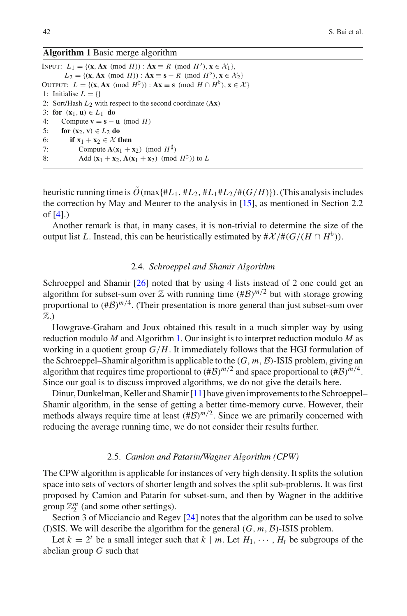# <span id="page-7-2"></span>**Algorithm 1** Basic merge algorithm

INPUT:  $L_1 = \{ (x, Ax \pmod{H}) : Ax \equiv R \pmod{H}^{\flat}, x \in \mathcal{X}_1 \},\$ *L*<sub>2</sub> = {(**x**, **Ax** (mod *H*)) : **Ax** ≡ **s** − *R* (mod *H*<sup>b</sup>), **x** ∈  $\mathcal{X}_2$ } OUTPUT:  $L = \{(\mathbf{x}, \mathbf{A}\mathbf{x} \pmod{H^{\sharp}}): \mathbf{A}\mathbf{x} \equiv \mathbf{s} \pmod{H \cap H^{\flat}}\}, \mathbf{x} \in \mathcal{X}\}\)$ 1: Initialise  $L = \{\}$ 2: Sort/Hash *L*2 with respect to the second coordinate (**Ax**) 3: **for**  $(\mathbf{x}_1, \mathbf{u}) \in L_1$  **do**<br>4: Compute  $\mathbf{v} = \mathbf{s} - \mathbf{v}$ 4: Compute **v** = **s** − **u** (mod *H*)<br>5: **for** (**x**<sub>2</sub>, **v**)  $\in$  *L*<sub>2</sub> **do** 5: **for**  $(x_2, v) \in L_2$  **do**<br>6: **if**  $x_1 + x_2 \in \mathcal{X}$  **t** 6: **if**  $\mathbf{x}_1 + \mathbf{x}_2 \in \mathcal{X}$  then<br>7: Compute  $\mathbf{A}(\mathbf{x}_1 + \mathbf{x}_2)$ 7: Compute  $\mathbf{A}(\mathbf{x}_1 + \mathbf{x}_2) \pmod{H^{\sharp}}$ <br>8: Add  $(\mathbf{x}_1 + \mathbf{x}_2, \mathbf{A}(\mathbf{x}_1 + \mathbf{x}_2)) \pmod{H^{\sharp}}$ Add  $({\bf x}_1 + {\bf x}_2, {\bf A}({\bf x}_1 + {\bf x}_2) \pmod{H^{\sharp}}$  to *L* 

heuristic running time is  $\tilde{O}(\max\{*L_1,*L_2,*L_1*L_2,*L_1*L_2,*G/H\})$ ). (This analysis includes the correction by May and Meurer to the analysis in [\[15\]](#page-47-5), as mentioned in Section 2.2 of [\[4\]](#page-47-11).)

Another remark is that, in many cases, it is non-trivial to determine the size of the output list *L*. Instead, this can be heuristically estimated by  $\#\mathcal{X}/\#(G/(H \cap H^{\flat}))$ .

#### 2.4. *Schroeppel and Shamir Algorithm*

<span id="page-7-0"></span>Schroeppel and Shamir [\[26](#page-48-0)] noted that by using 4 lists instead of 2 one could get an algorithm for subset-sum over  $\mathbb Z$  with running time  $(\#\mathcal B)^{m/2}$  but with storage growing proportional to  $(\#\mathcal{B})^{m/4}$ . (Their presentation is more general than just subset-sum over Z.)

Howgrave-Graham and Joux obtained this result in a much simpler way by using reduction modulo *M* and Algorithm [1.](#page-7-2) Our insight is to interpret reduction modulo *M* as working in a quotient group *G*/*H*. It immediately follows that the HGJ formulation of the Schroeppel–Shamir algorithm is applicable to the (*G*, *m*, *B*)-ISIS problem, giving an algorithm that requires time proportional to  $(\#\mathcal{B})^{m/2}$  and space proportional to  $(\#\mathcal{B})^{m/4}$ . Since our goal is to discuss improved algorithms, we do not give the details here.

Dinur, Dunkelman, Keller and Shamir [\[11\]](#page-47-15) have given improvements to the Schroeppel– Shamir algorithm, in the sense of getting a better time-memory curve. However, their methods always require time at least  $(\#\mathcal{B})^{m/2}$ . Since we are primarily concerned with reducing the average running time, we do not consider their results further.

# 2.5. *Camion and Patarin/Wagner Algorithm (CPW)*

<span id="page-7-1"></span>The CPW algorithm is applicable for instances of very high density. It splits the solution space into sets of vectors of shorter length and solves the split sub-problems. It was first proposed by Camion and Patarin for subset-sum, and then by Wagner in the additive group  $\mathbb{Z}_2^m$  (and some other settings).

Section 3 of Micciancio and Regev [\[24](#page-47-16)] notes that the algorithm can be used to solve (I)SIS. We will describe the algorithm for the general  $(G, m, \mathcal{B})$ -ISIS problem.

Let  $k = 2^t$  be a small integer such that  $k \mid m$ . Let  $H_1, \dots, H_t$  be subgroups of the abelian group *G* such that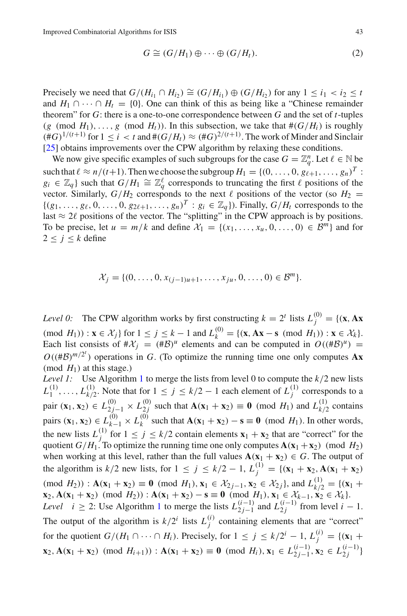$$
G \cong (G/H_1) \oplus \cdots \oplus (G/H_t). \tag{2}
$$

Precisely we need that  $G/(H_{i_1} \cap H_{i_2}) \cong (G/H_{i_1}) \oplus (G/H_{i_2})$  for any  $1 \leq i_1 < i_2 \leq t$ and  $H_1 \cap \cdots \cap H_t = \{0\}$ . One can think of this as being like a "Chinese remainder" theorem" for *G*: there is a one-to-one correspondence between *G* and the set of *t*-tuples (*g* (mod  $H_1$ ), ..., *g* (mod  $H_t$ )). In this subsection, we take that  $#(G/H_i)$  is roughly  $(\#G)^{1/(t+1)}$  for  $1 \le i < t$  and  $\#(G/H_t) \approx (\#G)^{2/(t+1)}$ . The work of Minder and Sinclair [\[25\]](#page-47-13) obtains improvements over the CPW algorithm by relaxing these conditions.

We now give specific examples of such subgroups for the case  $G = \mathbb{Z}_q^n$ . Let  $\ell \in \mathbb{N}$  be such that  $\ell \approx n/(t+1)$ . Then we choose the subgroup  $H_1 = \{(0, \ldots, 0, g_{\ell+1}, \ldots, g_n)\}^T$ :  $g_i \in \mathbb{Z}_q$  such that  $G/H_1 \cong \mathbb{Z}_q^{\ell}$  corresponds to truncating the first  $\ell$  positions of the vector. Similarly,  $G/H_2$  corresponds to the next  $\ell$  positions of the vector (so  $H_2$  =  $\{(g_1,\ldots,g_\ell,0,\ldots,0,g_{2\ell+1},\ldots,g_n)^T : g_i \in \mathbb{Z}_q\}$ ). Finally,  $G/H_t$  corresponds to the last  $\approx$  2 $\ell$  positions of the vector. The "splitting" in the CPW approach is by positions. To be precise, let  $u = m/k$  and define  $\mathcal{X}_1 = \{(x_1, \ldots, x_u, 0, \ldots, 0) \in \mathcal{B}^m\}$  and for  $2 \leq j \leq k$  define

$$
\mathcal{X}_j = \{ (0, \ldots, 0, x_{(j-1)u+1}, \ldots, x_{ju}, 0, \ldots, 0) \in \mathcal{B}^m \}.
$$

*Level 0:* The CPW algorithm works by first constructing  $k = 2^t$  lists  $L_j^{(0)} = \{(\mathbf{x}, \mathbf{A}\mathbf{x}) \mid \mathbf{x} \in \mathbb{R}^d : |\mathbf{x} - \mathbf{x}| \leq \mathbf{x} \}$  $p(x|H_1)$  : **x** ∈  $\mathcal{X}_j$  for  $1 \le j \le k - 1$  and  $L_k^{(0)} = \{ (x, Ax - s \pmod{H_1}) : x \in \mathcal{X}_k \}.$ Each list consists of  $\#\mathcal{X}_i = (\#\mathcal{B})^u$  elements and can be computed in  $O((\#\mathcal{B})^u)$  =  $O((\#B)^{m/2^t})$  operations in *G*. (To optimize the running time one only computes **Ax** (mod  $H_1$ ) at this stage.)

*Level [1](#page-7-2):* Use Algorithm 1 to merge the lists from level 0 to compute the  $k/2$  new lists  $L_1^{(1)}, \ldots, L_{k/2}^{(1)}$ . Note that for  $1 \le j \le k/2 - 1$  each element of  $L_j^{(1)}$  corresponds to a pair (**x**<sub>1</sub>, **x**<sub>2</sub>) ∈ *L*<sub>2</sub><sup>(0)</sup></sup>/<sub>2</sub>  $\times$  *L*<sub>2</sub><sup>(0)</sup>/<sub>2</sub> such that **A**(**x**<sub>1</sub> + **x**<sub>2</sub>) ≡ **0** (mod *H*<sub>1</sub>) and *L*<sup>(1)</sup>/<sub>*k*/2</sub> contains pairs (**x**<sub>1</sub>, **x**<sub>2</sub>) ∈ *L*<sub>*k*</sub><sup>(0)</sup>,  $L_k$ <sup>(0)</sup> such that  $\mathbf{A}(\mathbf{x}_1 + \mathbf{x}_2) - \mathbf{s} \equiv 0 \pmod{H_1}$ . In other words, the new lists  $L_j^{(1)}$  for  $1 \le j \le k/2$  contain elements  $\mathbf{x}_1 + \mathbf{x}_2$  that are "correct" for the quotient  $G/H_1$ . To optimize the running time one only computes  $A(x_1 + x_2)$  (mod  $H_2$ ) when working at this level, rather than the full values  $A(x_1 + x_2) \in G$ . The output of the algorithm is  $k/2$  new lists, for  $1 \le j \le k/2 - 1$ ,  $L_j^{(1)} = \{(\mathbf{x}_1 + \mathbf{x}_2, \mathbf{A}(\mathbf{x}_1 + \mathbf{x}_2))\}$  $(\text{mod } H_2))$ :  $\mathbf{A}(\mathbf{x}_1 + \mathbf{x}_2) \equiv \mathbf{0} \pmod{H_1}, \mathbf{x}_1 \in \mathcal{X}_{2j-1}, \mathbf{x}_2 \in \mathcal{X}_{2j}$ , and  $L_{k/2}^{(1)} = \{(\mathbf{x}_1 + \mathbf{x}_2) \mid \mathbf{x}_2 \in \mathcal{X}_{2j-1}, \mathbf{x}_2 \in \mathcal{X}_{2j}\}$ **x**<sub>2</sub>, **A**(**x**<sub>1</sub> + **x**<sub>2</sub>) (mod *H*<sub>2</sub>)) : **A**(**x**<sub>1</sub> + **x**<sub>2</sub>) − **s** ≡ **0** (mod *H*<sub>1</sub>), **x**<sub>1</sub> ∈  $\mathcal{X}_{k-1}$ , **x**<sub>2</sub> ∈  $\mathcal{X}_{k}$ }. *Level i* ≥ 2: Use Algorithm [1](#page-7-2) to merge the lists  $L_{2j-1}^{(i-1)}$  and  $L_{2j}^{(i-1)}$  from level *i* − 1. The output of the algorithm is  $k/2^i$  lists  $L_j^{(i)}$  containing elements that are "correct" for the quotient  $G/(H_1 \cap \cdots \cap H_i)$ . Precisely, for  $1 \le j \le k/2^i - 1$ ,  $L_j^{(i)} = \{(\mathbf{x}_1 + \mathbf{x}_2^i)^T\}$ **x**<sub>2</sub>, **A**(**x**<sub>1</sub> + **x**<sub>2</sub>) (mod *H<sub>i+1</sub>*)) : **A**(**x**<sub>1</sub> + **x**<sub>2</sub>) ≡ **0** (mod *H<sub>i</sub>)*, **x**<sub>1</sub> ∈ *L*<sub>2</sub>*j*−1</sub>, **x**<sub>2</sub> ∈ *L*<sub>2</sub>*j*<sup>1</sup>)<sup></sup>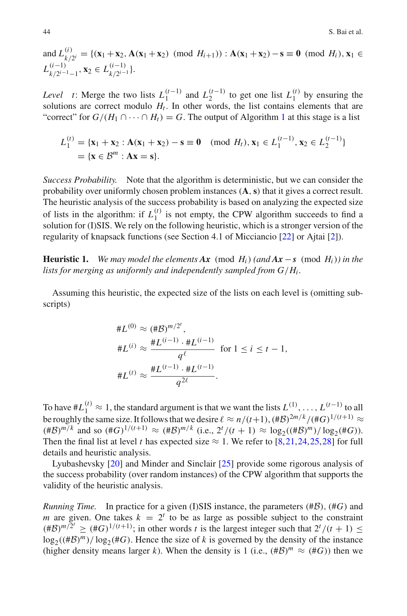and  $L_{k/2^i}^{(i)} = \{ (\mathbf{x}_1 + \mathbf{x}_2, \mathbf{A}(\mathbf{x}_1 + \mathbf{x}_2) \pmod{H_{i+1}} \}$ :  $\mathbf{A}(\mathbf{x}_1 + \mathbf{x}_2) - \mathbf{s} \equiv \mathbf{0} \pmod{H_i}$ ,  $\mathbf{x}_1 \in$  $L_{k/2^{i-1}-1}^{(i-1)}, \mathbf{x}_2 \in L_{k/2^{i-1}}^{(i-1)}\}.$ 

*Level t*: Merge the two lists  $L_1^{(t-1)}$  and  $L_2^{(t-1)}$  to get one list  $L_1^{(t)}$  by ensuring the solutions are correct modulo  $H_t$ . In other words, the list contains elements that are "correct" for  $G/(H_1 \cap \cdots \cap H_t) = G$  $G/(H_1 \cap \cdots \cap H_t) = G$  $G/(H_1 \cap \cdots \cap H_t) = G$ . The output of Algorithm 1 at this stage is a list

$$
L_1^{(t)} = \{x_1 + x_2 : A(x_1 + x_2) - s \equiv 0 \pmod{H_t}, x_1 \in L_1^{(t-1)}, x_2 \in L_2^{(t-1)}\}
$$
  
=  $\{x \in \mathcal{B}^m : Ax = s\}.$ 

*Success Probability.* Note that the algorithm is deterministic, but we can consider the probability over uniformly chosen problem instances (**A**,**s**) that it gives a correct result. The heuristic analysis of the success probability is based on analyzing the expected size of lists in the algorithm: if  $L_1^{(t)}$  is not empty, the CPW algorithm succeeds to find a solution for (I)SIS. We rely on the following heuristic, which is a stronger version of the regularity of knapsack functions (see Section 4.1 of Micciancio [\[22\]](#page-47-0) or Ajtai [\[2](#page-47-2)]).

<span id="page-9-0"></span>**Heuristic 1.** *We may model the elements*  $\mathbf{A}$ *x* (mod  $H_i$ ) *(and*  $\mathbf{A}$ *x* − *s* (mod  $H_i$ )*) in the lists for merging as uniformly and independently sampled from*  $G/H_i$ *.* 

Assuming this heuristic, the expected size of the lists on each level is (omitting subscripts)

$$
*L^{(0)} \approx (\#B)^{m/2^i},
$$
  
\n
$$
*L^{(i)} \approx \frac{\#L^{(i-1)} \cdot \#L^{(i-1)}}{q^{\ell}} \text{ for } 1 \le i \le t-1,
$$
  
\n
$$
*L^{(t)} \approx \frac{\#L^{(t-1)} \cdot \#L^{(t-1)}}{q^{2\ell}}.
$$

To have  $#L_1^{(t)} \approx 1$ , the standard argument is that we want the lists  $L_1^{(1)}, \ldots, L_{(t-1)}^{(t-1)}$  to all be roughly the same size. It follows that we desire  $\ell \approx n/(t+1)$ ,  $(\#B)^{2m/k}/(\#G)^{1/(t+1)} \approx$  $(\# \mathcal{B})^{m/k}$  and so  $(\# G)^{1/(t+1)} \approx (\# \mathcal{B})^{m/k}$  (i.e.,  $2^t/(t+1) \approx \log_2((\# \mathcal{B})^m)/\log_2(\# G)$ ). Then the final list at level *t* has expected size  $\approx$  1. We refer to [\[8](#page-47-12),[21,](#page-47-3)[24](#page-47-16)[,25](#page-47-13)[,28](#page-48-1)] for full details and heuristic analysis.

Lyubashevsky [\[20](#page-47-14)] and Minder and Sinclair [\[25](#page-47-13)] provide some rigorous analysis of the success probability (over random instances) of the CPW algorithm that supports the validity of the heuristic analysis.

*Running Time.* In practice for a given (I)SIS instance, the parameters (#*B*), (#*G*) and *m* are given. One takes  $k = 2^t$  to be as large as possible subject to the constraint  $(\#B)^{m/2^t} \geq (\#G)^{1/(t+1)}$ ; in other words *t* is the largest integer such that  $2^t/(t+1) \leq$  $\log_2((\#B)^m)/\log_2(\#G)$ . Hence the size of *k* is governed by the density of the instance (higher density means larger *k*). When the density is 1 (i.e.,  $(\#B)^m \approx (\#G)$ ) then we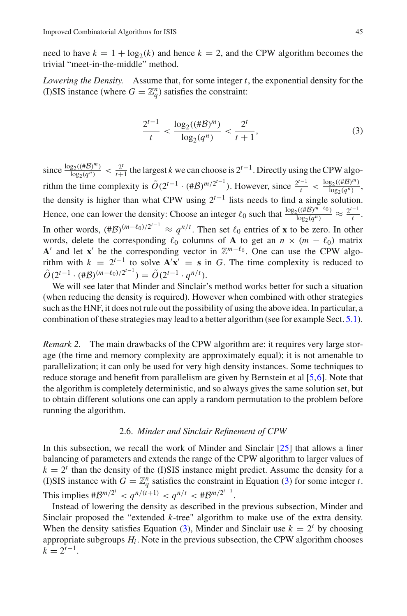need to have  $k = 1 + \log_2(k)$  and hence  $k = 2$ , and the CPW algorithm becomes the trivial "meet-in-the-middle" method.

*Lowering the Density.* Assume that, for some integer *t*, the exponential density for the (I)SIS instance (where  $G = \mathbb{Z}_q^n$ ) satisfies the constraint:

<span id="page-10-1"></span>
$$
\frac{2^{t-1}}{t} < \frac{\log_2((\#B)^m)}{\log_2(q^n)} < \frac{2^t}{t+1},\tag{3}
$$

since  $\frac{\log_2((\#\mathcal{B})^m)}{\log_2(q^n)}$  <  $\frac{2^t}{t+1}$  the largest *k* we can choose is  $2^{t-1}$ . Directly using the CPW algorithm the time complexity is  $\tilde{O}(2^{t-1} \cdot (\# \mathcal{B})^{m/2^{t-1}})$ . However, since  $\frac{2^{t-1}}{t} < \frac{\log_2((\# \mathcal{B})^m)}{\log_2(q^n)}$ , the density is higher than what CPW using  $2^{t-1}$  lists needs to find a single solution. Hence, one can lower the density: Choose an integer  $\ell_0$  such that  $\frac{\log_2((\#\mathcal{B})^{m-\ell_0})}{\log_2(q^n)} \approx \frac{2^{t-1}}{t}$ . In other words,  $(\#B)^{(m-\ell_0)/2^{t-1}} \approx q^{n/t}$ . Then set  $\ell_0$  entries of **x** to be zero. In other words, delete the corresponding  $\ell_0$  columns of **A** to get an  $n \times (m - \ell_0)$  matrix **A**<sup> $\prime$ </sup> and let **x**<sup> $\prime$ </sup> be the corresponding vector in  $\mathbb{Z}^{m-\ell_0}$ . One can use the CPW algorithm with  $k = 2^{t-1}$  to solve  $\mathbf{A}'\mathbf{x}' = \mathbf{s}$  in *G*. The time complexity is reduced to  $\tilde{O}(2^{t-1} \cdot (\# \mathcal{B})^{(m-\ell_0)/2^{t-1}}) = \tilde{O}(2^{t-1} \cdot q^{n/t}).$ 

We will see later that Minder and Sinclair's method works better for such a situation (when reducing the density is required). However when combined with other strategies such as the HNF, it does not rule out the possibility of using the above idea. In particular, a combination of these strategies may lead to a better algorithm (see for example Sect. [5.1\)](#page-35-0).

*Remark 2.* The main drawbacks of the CPW algorithm are: it requires very large storage (the time and memory complexity are approximately equal); it is not amenable to parallelization; it can only be used for very high density instances. Some techniques to reduce storage and benefit from parallelism are given by Bernstein et al [\[5](#page-47-17),[6](#page-47-18)]. Note that the algorithm is completely deterministic, and so always gives the same solution set, but to obtain different solutions one can apply a random permutation to the problem before running the algorithm.

# 2.6. *Minder and Sinclair Refinement of CPW*

<span id="page-10-0"></span>In this subsection, we recall the work of Minder and Sinclair [\[25](#page-47-13)] that allows a finer balancing of parameters and extends the range of the CPW algorithm to larger values of  $k = 2<sup>t</sup>$  than the density of the (I)SIS instance might predict. Assume the density for a (I)SIS instance with  $G = \mathbb{Z}_q^n$  satisfies the constraint in Equation [\(3\)](#page-10-1) for some integer *t*. This implies  $\#B^{m/2^t} < q^{n/(t+1)} < q^{n/t} < \#B^{m/2^{t-1}}$ .

Instead of lowering the density as described in the previous subsection, Minder and Sinclair proposed the "extended *k*-tree" algorithm to make use of the extra density. When the density satisfies Equation [\(3\)](#page-10-1), Minder and Sinclair use  $k = 2^t$  by choosing appropriate subgroups  $H_i$ . Note in the previous subsection, the CPW algorithm chooses  $k = 2^{t-1}$ .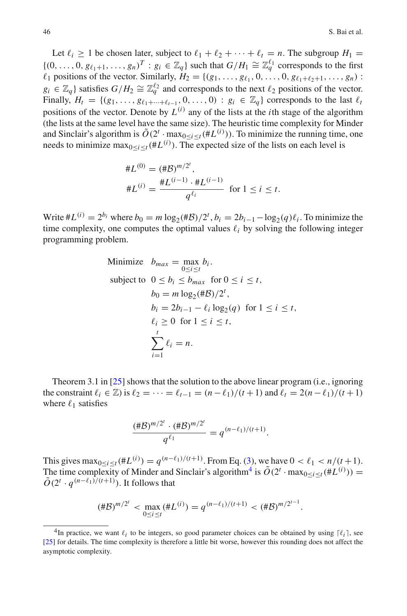Let  $\ell_i \geq 1$  be chosen later, subject to  $\ell_1 + \ell_2 + \cdots + \ell_t = n$ . The subgroup  $H_1 =$  $\{(0,\ldots,0,g_{\ell_1+1},\ldots,g_n)^T : g_i \in \mathbb{Z}_q\}$  such that  $G/H_1 \cong \mathbb{Z}_q^{\ell_1}$  corresponds to the first  $\ell_1$  positions of the vector. Similarly,  $H_2 = \{(g_1, \ldots, g_{\ell_1}, 0, \ldots, 0, g_{\ell_1 + \ell_2 + 1}, \ldots, g_n)$ :  $g_i \in \mathbb{Z}_q$  satisfies  $G/H_2 \cong \mathbb{Z}_q^{\ell_2}$  and corresponds to the next  $\ell_2$  positions of the vector. Finally,  $H_t = \{(g_1, \ldots, g_{\ell_1+\cdots+\ell_{t-1}}, 0, \ldots, 0) : g_i \in \mathbb{Z}_q\}$  corresponds to the last  $\ell_t$ positions of the vector. Denote by  $L^{(i)}$  any of the lists at the *i*th stage of the algorithm (the lists at the same level have the same size). The heuristic time complexity for Minder and Sinclair's algorithm is  $\tilde{O}(2^t \cdot \max_{0 \le i \le t} (\#L^{(i)}))$ . To minimize the running time, one needs to minimize  $\max_{0 \le i \le t} (\# L^{(i)})$ . The expected size of the lists on each level is

$$
*L^{(0)} = (\#B)^{m/2^t},
$$
  

$$
*L^{(i)} = \frac{\#L^{(i-1)} \cdot \#L^{(i-1)}}{q^{\ell_i}} \text{ for } 1 \le i \le t.
$$

Write  $#L^{(i)} = 2^{b_i}$  where  $b_0 = m \log_2(\# \mathcal{B})/2^t$ ,  $b_i = 2b_{i-1} - \log_2(q)\ell_i$ . To minimize the time complexity, one computes the optimal values  $\ell_i$  by solving the following integer programming problem.

Minimize 
$$
b_{max} = \max_{0 \le i \le t} b_i
$$
.  
\nsubject to  $0 \le b_i \le b_{max}$  for  $0 \le i \le t$ ,  
\n $b_0 = m \log_2(\#B)/2^t$ ,  
\n $b_i = 2b_{i-1} - \ell_i \log_2(q)$  for  $1 \le i \le t$ ,  
\n $\ell_i \ge 0$  for  $1 \le i \le t$ ,  
\n
$$
\sum_{i=1}^t \ell_i = n
$$
.

Theorem 3.1 in [\[25\]](#page-47-13) shows that the solution to the above linear program (i.e., ignoring the constraint  $\ell_i \in \mathbb{Z}$ ) is  $\ell_2 = \cdots = \ell_{t-1} = \frac{(n-\ell_1)}{(t+1)}$  and  $\ell_t = \frac{2(n-\ell_1)}{(t+1)}$ where  $\ell_1$  satisfies

$$
\frac{(\# \mathcal{B})^{m/2^t} \cdot (\# \mathcal{B})^{m/2^t}}{q^{\ell_1}} = q^{(n-\ell_1)/(t+1)}.
$$

This gives  $\max_{0 \le i \le t} (\# L^{(i)}) = q^{(n-\ell_1)/(t+1)}$ . From Eq. [\(3\)](#page-10-1), we have  $0 < \ell_1 < n/(t+1)$ . The time complexity of Minder and Sinclair's algorithm<sup>4</sup> is  $\tilde{O}(2^t \cdot \max_{0 \le i \le t} (\# L^{(i)})) =$  $\tilde{O}(2^t \cdot q^{(n-\ell_1)/(t+1)})$ . It follows that

$$
(\#\mathcal{B})^{m/2^{t}} < \max_{0 \le i \le t} (\#\mathcal{L}^{(i)}) = q^{(n-\ell_1)/(t+1)} < (\#\mathcal{B})^{m/2^{t-1}}.
$$

<span id="page-11-0"></span><sup>&</sup>lt;sup>4</sup>In practice, we want  $\ell_i$  to be integers, so good parameter choices can be obtained by using  $[\ell_i]$ , see [\[25](#page-47-13)] for details. The time complexity is therefore a little bit worse, however this rounding does not affect the asymptotic complexity.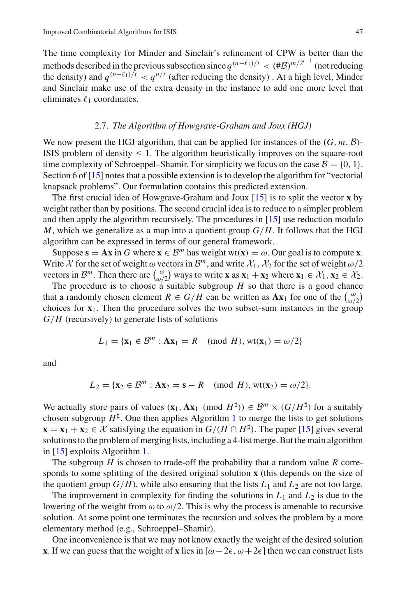The time complexity for Minder and Sinclair's refinement of CPW is better than the methods described in the previous subsection since  $q^{(n-\ell_1)/t} < (\#\mathcal{B})^{m/2^{t-1}}$  (not reducing the density) and  $q^{(n-\ell_1)/t} < q^{n/t}$  (after reducing the density). At a high level, Minder and Sinclair make use of the extra density in the instance to add one more level that eliminates  $\ell_1$  coordinates.

#### 2.7. *The Algorithm of Howgrave-Graham and Joux (HGJ)*

<span id="page-12-0"></span>We now present the HGJ algorithm, that can be applied for instances of the  $(G, m, \mathcal{B})$ -ISIS problem of density  $\leq 1$ . The algorithm heuristically improves on the square-root time complexity of Schroeppel–Shamir. For simplicity we focus on the case  $\mathcal{B} = \{0, 1\}$ . Section 6 of [\[15](#page-47-5)] notes that a possible extension is to develop the algorithm for "vectorial knapsack problems". Our formulation contains this predicted extension.

The first crucial idea of Howgrave-Graham and Joux [\[15](#page-47-5)] is to split the vector **x** by weight rather than by positions. The second crucial idea is to reduce to a simpler problem and then apply the algorithm recursively. The procedures in [\[15\]](#page-47-5) use reduction modulo *M*, which we generalize as a map into a quotient group *G*/*H*. It follows that the HGJ algorithm can be expressed in terms of our general framework.

Suppose  $\mathbf{s} = \mathbf{A}\mathbf{x}$  in *G* where  $\mathbf{x} \in \mathcal{B}^m$  has weight wt( $\mathbf{x}$ ) =  $\omega$ . Our goal is to compute **x**. Write  $\chi$  for the set of weight  $\omega$  vectors in  $\mathcal{B}^m$ , and write  $\mathcal{X}_1$ ,  $\mathcal{X}_2$  for the set of weight  $\omega/2$ vectors in  $\mathcal{B}^m$ . Then there are  $\begin{pmatrix} \omega \\ \omega/2 \end{pmatrix}$  ways to write **x** as  $\mathbf{x}_1 + \mathbf{x}_2$  where  $\mathbf{x}_1 \in \mathcal{X}_1, \mathbf{x}_2 \in \mathcal{X}_2$ .

The procedure is to choose a suitable subgroup  $H$  so that there is a good chance that a randomly chosen element  $R \in G/H$  can be written as  $\mathbf{Ax}_1$  for one of the  $\begin{pmatrix} \omega \\ \omega/2 \end{pmatrix}$ choices for **x**1. Then the procedure solves the two subset-sum instances in the group *G*/*H* (recursively) to generate lists of solutions

$$
L_1 = \{ \mathbf{x}_1 \in \mathcal{B}^m : \mathbf{A}\mathbf{x}_1 = R \pmod{H}, \text{wt}(\mathbf{x}_1) = \omega/2 \}
$$

and

$$
L_2 = \{ \mathbf{x}_2 \in \mathcal{B}^m : \mathbf{A}\mathbf{x}_2 = \mathbf{s} - R \pmod{H}, \text{wt}(\mathbf{x}_2) = \omega/2 \}.
$$

We actually store pairs of values  $(\mathbf{x}_1, \mathbf{A}\mathbf{x}_1 \pmod{H^{\sharp}}) \in \mathcal{B}^m \times (G/H^{\sharp})$  for a suitably chosen subgroup  $H^{\sharp}$ . One then applies Algorithm [1](#page-7-2) to merge the lists to get solutions **x** = **x**<sub>1</sub> + **x**<sub>2</sub> ∈ *X* satisfying the equation in *G*/(*H* ∩ *H*<sup>‡</sup>). The paper [\[15](#page-47-5)] gives several solutions to the problem of merging lists, including a 4-list merge. But the main algorithm in [\[15](#page-47-5)] exploits Algorithm [1.](#page-7-2)

The subgroup *H* is chosen to trade-off the probability that a random value *R* corresponds to some splitting of the desired original solution **x** (this depends on the size of the quotient group  $G/H$ ), while also ensuring that the lists  $L_1$  and  $L_2$  are not too large.

The improvement in complexity for finding the solutions in  $L_1$  and  $L_2$  is due to the lowering of the weight from  $\omega$  to  $\omega/2$ . This is why the process is amenable to recursive solution. At some point one terminates the recursion and solves the problem by a more elementary method (e.g., Schroeppel–Shamir).

One inconvenience is that we may not know exactly the weight of the desired solution **x**. If we can guess that the weight of **x** lies in  $[\omega - 2\epsilon, \omega + 2\epsilon]$  then we can construct lists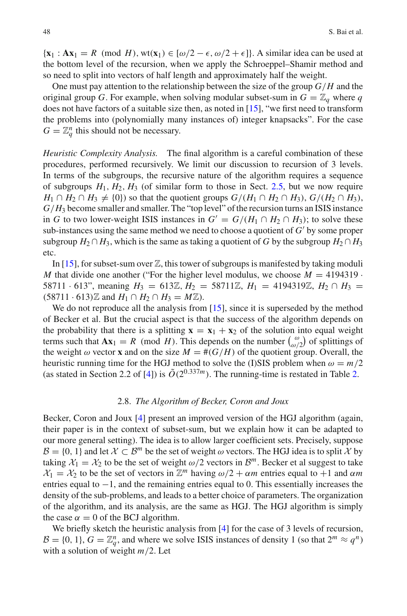$\{x_1 : Ax_1 = R \pmod{H}, w(x_1) \in [\omega/2 - \epsilon, \omega/2 + \epsilon]\}.$  A similar idea can be used at the bottom level of the recursion, when we apply the Schroeppel–Shamir method and so need to split into vectors of half length and approximately half the weight.

One must pay attention to the relationship between the size of the group *G*/*H* and the original group *G*. For example, when solving modular subset-sum in  $G = \mathbb{Z}_q$  where *q* does not have factors of a suitable size then, as noted in [\[15\]](#page-47-5), "we first need to transform the problems into (polynomially many instances of) integer knapsacks". For the case  $G = \mathbb{Z}_q^n$  this should not be necessary.

*Heuristic Complexity Analysis.* The final algorithm is a careful combination of these procedures, performed recursively. We limit our discussion to recursion of 3 levels. In terms of the subgroups, the recursive nature of the algorithm requires a sequence of subgroups  $H_1, H_2, H_3$  (of similar form to those in Sect. [2.5,](#page-7-1) but we now require *H*<sub>1</sub> ∩ *H*<sub>2</sub> ∩ *H*<sub>3</sub>  $\neq$  {0}) so that the quotient groups *G*/(*H*<sub>1</sub> ∩ *H*<sub>2</sub> ∩ *H*<sub>3</sub>), *G*/(*H*<sub>2</sub> ∩ *H*<sub>3</sub>), *G*/*H*<sup>3</sup> become smaller and smaller. The "top level" of the recursion turns an ISIS instance in *G* to two lower-weight ISIS instances in  $G' = G/(H_1 \cap H_2 \cap H_3)$ ; to solve these sub-instances using the same method we need to choose a quotient of  $G'$  by some proper subgroup  $H_2 \cap H_3$ , which is the same as taking a quotient of *G* by the subgroup  $H_2 \cap H_3$ etc.

In [\[15\]](#page-47-5), for subset-sum over  $\mathbb{Z}$ , this tower of subgroups is manifested by taking moduli *M* that divide one another ("For the higher level modulus, we choose  $M = 4194319$ 58711 · 613", meaning  $H_3 = 613\mathbb{Z}, H_2 = 58711\mathbb{Z}, H_1 = 4194319\mathbb{Z}, H_2 \cap H_3 =$  $(58711 \cdot 613)$  *Z* and  $H_1$  ∩  $H_2$  ∩  $H_3 = M$  *Z*).

We do not reproduce all the analysis from [\[15](#page-47-5)], since it is superseded by the method of Becker et al. But the crucial aspect is that the success of the algorithm depends on the probability that there is a splitting  $\mathbf{x} = \mathbf{x}_1 + \mathbf{x}_2$  of the solution into equal weight terms such that  $\mathbf{A}\mathbf{x}_1 = R \pmod{H}$ . This depends on the number  $\begin{pmatrix} \omega \\ \omega/2 \end{pmatrix}$  of splittings of the weight  $\omega$  vector **x** and on the size  $M = \#(G/H)$  of the quotient group. Overall, the heuristic running time for the HGJ method to solve the (I)SIS problem when  $\omega = m/2$ (as stated in Section 2.2 of [\[4\]](#page-47-11)) is  $\tilde{O}(2^{0.337m})$ . The running-time is restated in Table [2.](#page-18-0)

## 2.8. *The Algorithm of Becker, Coron and Joux*

<span id="page-13-0"></span>Becker, Coron and Joux [\[4](#page-47-11)] present an improved version of the HGJ algorithm (again, their paper is in the context of subset-sum, but we explain how it can be adapted to our more general setting). The idea is to allow larger coefficient sets. Precisely, suppose  $\mathcal{B} = \{0, 1\}$  and let  $\mathcal{X} \subset \mathcal{B}^m$  be the set of weight  $\omega$  vectors. The HGJ idea is to split  $\mathcal{X}$  by taking  $X_1 = X_2$  to be the set of weight  $\omega/2$  vectors in  $\mathcal{B}^m$ . Becker et al suggest to take  $\chi_1 = \chi_2$  to be the set of vectors in  $\mathbb{Z}^m$  having  $\omega/2 + \alpha m$  entries equal to +1 and  $\alpha m$ entries equal to −1, and the remaining entries equal to 0. This essentially increases the density of the sub-problems, and leads to a better choice of parameters. The organization of the algorithm, and its analysis, are the same as HGJ. The HGJ algorithm is simply the case  $\alpha = 0$  of the BCJ algorithm.

We briefly sketch the heuristic analysis from [\[4](#page-47-11)] for the case of 3 levels of recursion,  $\mathcal{B} = \{0, 1\}, G = \mathbb{Z}_q^n$ , and where we solve ISIS instances of density 1 (so that  $2^m \approx q^n$ ) with a solution of weight *m*/2. Let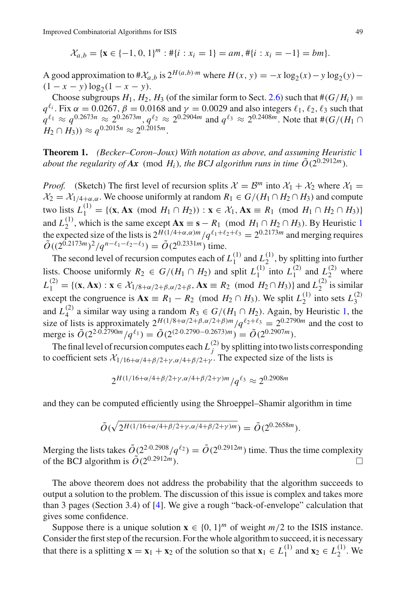$$
\mathcal{X}_{a,b} = \{ \mathbf{x} \in \{-1, 0, 1\}^m : \# \{i : x_i = 1\} = am, \# \{i : x_i = -1\} = bm \}.
$$

A good approximation to  $\#X_{a,b}$  is  $2^{H(a,b)\cdot m}$  where  $H(x, y) = -x \log_2(x) - y \log_2(y) - y$  $(1 - x - y) \log_2(1 - x - y).$ 

Choose subgroups  $H_1$ ,  $H_2$ ,  $H_3$  (of the similar form to Sect. [2.6\)](#page-10-0) such that  $#(G/H_i) =$  $q^{\ell_i}$ . Fix  $\alpha = 0.0267$ ,  $\beta = 0.0168$  and  $\gamma = 0.0029$  and also integers  $\ell_1, \ell_2, \ell_3$  such that  $q^{\ell_1} \approx q^{0.2673n} \approx 2^{0.2673m}, q^{\ell_2} \approx 2^{0.2904m}$  and  $q^{\ell_3} \approx 2^{0.2408m}$ . Note that  $\#(G/(H_1 \cap$  $H_2 \cap H_3$ ))  $\approx a^{0.2015n} \approx 2^{0.2015m}$ .

**Theorem 1.** *(Becker–Coron–Joux) With notation as above, and assuming Heuristic* [1](#page-9-0) *about the regularity of Ax* (mod  $H_i$ ), the BCJ algorithm runs in time  $\tilde{O}(2^{0.2912m})$ .

*Proof.* (Sketch) The first level of recursion splits  $\mathcal{X} = \mathcal{B}^m$  into  $\mathcal{X}_1 + \mathcal{X}_2$  where  $\mathcal{X}_1 =$  $\mathcal{X}_2 = \mathcal{X}_{1/4+\alpha,\alpha}$ . We choose uniformly at random  $R_1 \in G/(H_1 \cap H_2 \cap H_3)$  and compute  $\tan \theta$  lists  $L_1^{(1)} = \{ (\mathbf{x}, \mathbf{A}\mathbf{x} \pmod{H_1 \cap H_2}) : \mathbf{x} \in \mathcal{X}_1, \mathbf{A}\mathbf{x} \equiv R_1 \pmod{H_1 \cap H_2 \cap H_3} \}$ and  $L_2^{(1)}$  $L_2^{(1)}$  $L_2^{(1)}$ , which is the same except  $\mathbf{Ax} \equiv \mathbf{s} - R_1 \pmod{H_1 \cap H_2 \cap H_3}$ . By Heuristic 1 the expected size of the lists is  $2^{H(1/4+\alpha,\alpha)m}/q^{\ell_1+\ell_2+\ell_3} = 2^{0.2173m}$  and merging requires  $\tilde{O}((2^{0.2173m})^2/a^{n-\ell_1-\ell_2-\ell_3}) = \tilde{O}(2^{0.2331m})$  time.

The second level of recursion computes each of  $L_1^{(1)}$  and  $L_2^{(1)}$ , by splitting into further lists. Choose uniformly  $R_2 \in G/(H_1 \cap H_2)$  and split  $L_1^{(1)}$  into  $L_1^{(2)}$  and  $L_2^{(2)}$  where  $L_1^{(2)} = \{ (\mathbf{x}, \mathbf{A}\mathbf{x}) : \mathbf{x} \in \mathcal{X}_{1/8 + \alpha/2 + \beta, \alpha/2 + \beta}, \mathbf{A}\mathbf{x} \equiv R_2 \pmod{H_2 \cap H_3} \}$  and  $L_2^{(2)}$  is similar except the congruence is  $\mathbf{A}\mathbf{x} \equiv R_1 - R_2 \pmod{H_2 \cap H_3}$ . We split  $L_2^{(1)}$  into sets  $L_3^{(2)}$ and  $L_4^{(2)}$  a similar way using a random  $R_3 \in G/(H_1 \cap H_2)$ . Again, by Heuristic [1,](#page-9-0) the size of lists is approximately  $2^{H(1/8+\alpha/2+\beta,\alpha/2+\beta)m}/q^{\ell_2+\ell_3} = 2^{0.2790m}$  and the cost to merge is  $\tilde{O}(2^{2.0.2790m}/q^{\ell_1}) = \tilde{O}(2^{(2.0.2790-0.2673)m}) = \tilde{O}(2^{0.2907m}).$ 

The final level of recursion computes each  $L_j^{(2)}$  by splitting into two lists corresponding to coefficient sets  $\chi_{1/16+\alpha/4+\beta/2+\gamma,\alpha/4+\beta/2+\gamma}$ . The expected size of the lists is

$$
2^{H(1/16 + \alpha/4 + \beta/2 + \gamma, \alpha/4 + \beta/2 + \gamma)m}/q^{\ell_3} \approx 2^{0.2908m}
$$

and they can be computed efficiently using the Shroeppel–Shamir algorithm in time

$$
\tilde{O}(\sqrt{2^{H(1/16+\alpha/4+\beta/2+\gamma,\alpha/4+\beta/2+\gamma)m}}) = \tilde{O}(2^{0.2658m}).
$$

Merging the lists takes  $\tilde{O}(2^{2\cdot 0.2908}/q^{\ell_2}) = \tilde{O}(2^{0.2912m})$  time. Thus the time complexity of the BCI algorithm is  $\tilde{O}(2^{0.2912m})$ of the BCJ algorithm is  $\tilde{O}(2^{0.2912m})$ .

The above theorem does not address the probability that the algorithm succeeds to output a solution to the problem. The discussion of this issue is complex and takes more than 3 pages (Section 3.4) of [\[4](#page-47-11)]. We give a rough "back-of-envelope" calculation that gives some confidence.

Suppose there is a unique solution  $\mathbf{x} \in \{0, 1\}^m$  of weight  $m/2$  to the ISIS instance. Consider the first step of the recursion. For the whole algorithm to succeed, it is necessary that there is a splitting  $\mathbf{x} = \mathbf{x}_1 + \mathbf{x}_2$  of the solution so that  $\mathbf{x}_1 \in L_1^{(1)}$  and  $\mathbf{x}_2 \in L_2^{(1)}$ . We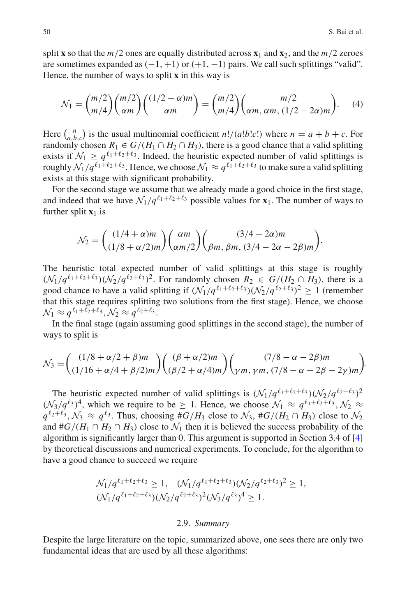split **x** so that the  $m/2$  ones are equally distributed across  $\mathbf{x}_1$  and  $\mathbf{x}_2$ , and the  $m/2$  zeroes are sometimes expanded as  $(-1, +1)$  or  $(+1, -1)$  pairs. We call such splittings "valid". Hence, the number of ways to split **x** in this way is

<span id="page-15-0"></span>
$$
\mathcal{N}_1 = \binom{m/2}{m/4} \binom{m/2}{\alpha m} \binom{(1/2 - \alpha)m}{\alpha m} = \binom{m/2}{m/4} \binom{m/2}{\alpha m, \alpha m, (1/2 - 2\alpha)m}.
$$
 (4)

Here  $\binom{n}{a,b,c}$  is the usual multinomial coefficient *n*!/(*a*!*b*!*c*!) where  $n = a + b + c$ . For randomly chosen  $R_1 \in G/(H_1 \cap H_2 \cap H_3)$ , there is a good chance that a valid splitting exists if  $\mathcal{N}_1 \geq q^{\ell_1+\ell_2+\ell_3}$ . Indeed, the heuristic expected number of valid splittings is roughly  $\mathcal{N}_1/q^{\ell_1+\ell_2+\ell_3}$ . Hence, we choose  $\mathcal{N}_1 \approx q^{\ell_1+\ell_2+\ell_3}$  to make sure a valid splitting exists at this stage with significant probability.

For the second stage we assume that we already made a good choice in the first stage, and indeed that we have  $\mathcal{N}_1/q^{\ell_1+\ell_2+\ell_3}$  possible values for  $\mathbf{x}_1$ . The number of ways to further split  $\mathbf{x}_1$  is

$$
\mathcal{N}_2 = \begin{pmatrix} (1/4 + \alpha)m \\ (1/8 + \alpha/2)m \end{pmatrix} \begin{pmatrix} \alpha m \\ \alpha m/2 \end{pmatrix} \begin{pmatrix} (3/4 - 2\alpha)m \\ \beta m, \beta m, (3/4 - 2\alpha - 2\beta)m \end{pmatrix}.
$$

The heuristic total expected number of valid splittings at this stage is roughly  $(\mathcal{N}_1/q^{\ell_1+\ell_2+\ell_3})(\mathcal{N}_2/q^{\ell_2+\ell_3})^2$ . For randomly chosen  $R_2 \in G/(H_2 \cap H_3)$ , there is a good chance to have a valid splitting if  $(\mathcal{N}_1/q^{\ell_1+\ell_2+\ell_3})(\mathcal{N}_2/q^{\ell_2+\ell_3})^2 > 1$  (remember that this stage requires splitting two solutions from the first stage). Hence, we choose  $\mathcal{N}_1 \approx q^{\ell_1 + \ell_2 + \ell_3}, \mathcal{N}_2 \approx q^{\ell_2 + \ell_3}.$ 

In the final stage (again assuming good splittings in the second stage), the number of ways to split is

$$
\mathcal{N}_3 = \begin{pmatrix} (1/8 + \alpha/2 + \beta)m \\ (1/16 + \alpha/4 + \beta/2)m \end{pmatrix} \begin{pmatrix} (\beta + \alpha/2)m \\ (\beta/2 + \alpha/4)m \end{pmatrix} \begin{pmatrix} (7/8 - \alpha - 2\beta)m \\ \gamma m, \gamma m, (7/8 - \alpha - 2\beta - 2\gamma)m \end{pmatrix}.
$$

The heuristic expected number of valid splittings is  $(\mathcal{N}_1/q^{\ell_1+\ell_2+\ell_3})(\mathcal{N}_2/q^{\ell_2+\ell_3})^2$  $(\mathcal{N}_3/q^{\ell_3})^4$ , which we require to be  $\geq 1$ . Hence, we choose  $\mathcal{N}_1 \approx q^{\ell_1+\ell_2+\ell_3}$ ,  $\mathcal{N}_2 \approx$  $q^{\ell_2+\ell_3}$ ,  $\mathcal{N}_3 \approx q^{\ell_3}$ . Thus, choosing #*G*/*H*<sub>3</sub> close to  $\mathcal{N}_3$ , #*G*/(*H*<sub>2</sub>  $\cap$  *H*<sub>3</sub>) close to  $\mathcal{N}_2$ and  $#G/(H_1 \cap H_2 \cap H_3)$  close to  $\mathcal{N}_1$  then it is believed the success probability of the algorithm is significantly larger than 0. This argument is supported in Section 3.4 of [\[4\]](#page-47-11) by theoretical discussions and numerical experiments. To conclude, for the algorithm to have a good chance to succeed we require

$$
\mathcal{N}_1/q^{\ell_1+\ell_2+\ell_3} \ge 1, \quad (\mathcal{N}_1/q^{\ell_1+\ell_2+\ell_3}) (\mathcal{N}_2/q^{\ell_2+\ell_3})^2 \ge 1, \n(\mathcal{N}_1/q^{\ell_1+\ell_2+\ell_3}) (\mathcal{N}_2/q^{\ell_2+\ell_3})^2 (\mathcal{N}_3/q^{\ell_3})^4 \ge 1.
$$

#### 2.9. *Summary*

Despite the large literature on the topic, summarized above, one sees there are only two fundamental ideas that are used by all these algorithms: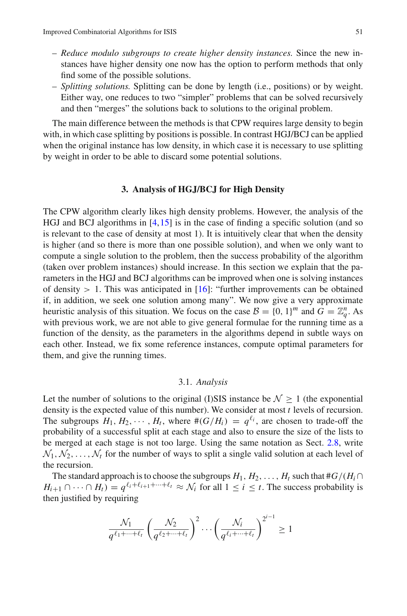- *Reduce modulo subgroups to create higher density instances.* Since the new instances have higher density one now has the option to perform methods that only find some of the possible solutions.
- *Splitting solutions.* Splitting can be done by length (i.e., positions) or by weight. Either way, one reduces to two "simpler" problems that can be solved recursively and then "merges" the solutions back to solutions to the original problem.

The main difference between the methods is that CPW requires large density to begin with, in which case splitting by positions is possible. In contrast HGJ/BCJ can be applied when the original instance has low density, in which case it is necessary to use splitting by weight in order to be able to discard some potential solutions.

# **3. Analysis of HGJ/BCJ for High Density**

<span id="page-16-0"></span>The CPW algorithm clearly likes high density problems. However, the analysis of the HGJ and BCJ algorithms in [\[4,](#page-47-11)[15\]](#page-47-5) is in the case of finding a specific solution (and so is relevant to the case of density at most 1). It is intuitively clear that when the density is higher (and so there is more than one possible solution), and when we only want to compute a single solution to the problem, then the success probability of the algorithm (taken over problem instances) should increase. In this section we explain that the parameters in the HGJ and BCJ algorithms can be improved when one is solving instances of density  $> 1$ . This was anticipated in [\[16\]](#page-47-4): "further improvements can be obtained if, in addition, we seek one solution among many". We now give a very approximate heuristic analysis of this situation. We focus on the case  $B = \{0, 1\}^m$  and  $G = \mathbb{Z}_q^n$ . As with previous work, we are not able to give general formulae for the running time as a function of the density, as the parameters in the algorithms depend in subtle ways on each other. Instead, we fix some reference instances, compute optimal parameters for them, and give the running times.

# 3.1. *Analysis*

<span id="page-16-1"></span>Let the number of solutions to the original (I)SIS instance be  $\mathcal{N} \geq 1$  (the exponential density is the expected value of this number). We consider at most *t* levels of recursion. The subgroups  $H_1, H_2, \cdots, H_t$ , where  $\#(G/H_i) = q^{\ell_i}$ , are chosen to trade-off the probability of a successful split at each stage and also to ensure the size of the lists to be merged at each stage is not too large. Using the same notation as Sect. [2.8,](#page-13-0) write  $\mathcal{N}_1, \mathcal{N}_2, \ldots, \mathcal{N}_t$  for the number of ways to split a single valid solution at each level of the recursion.

The standard approach is to choose the subgroups  $H_1, H_2, \ldots, H_t$  such that  $#G/(H_i \cap$  $H_{i+1} \cap \cdots \cap H_t = q^{\ell_i + \ell_{i+1} + \cdots + \ell_t} \approx \mathcal{N}_i$  for all  $1 \leq i \leq t$ . The success probability is then justified by requiring

$$
\frac{\mathcal{N}_1}{q^{\ell_1+\cdots+\ell_t}} \left(\frac{\mathcal{N}_2}{q^{\ell_2+\cdots+\ell_t}}\right)^2 \cdots \left(\frac{\mathcal{N}_i}{q^{\ell_i+\cdots+\ell_t}}\right)^{2^{i-1}} \ge 1
$$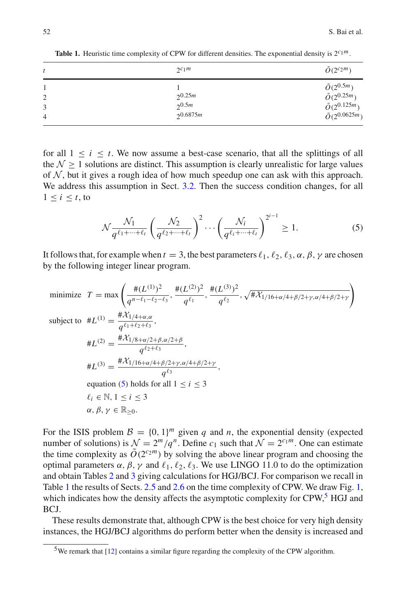| t                                     | $2^{c_1m}$                    | $\tilde{O}(2^{c_2m})$                                                                                  |
|---------------------------------------|-------------------------------|--------------------------------------------------------------------------------------------------------|
| $\overline{2}$<br>3<br>$\overline{4}$ | 25m<br>$2^{0.5m}$<br>20.6875m | $\tilde{O}(2^{0.5m})$<br>$\tilde{O}(2^{0.25m})$<br>$\tilde{O}(2^{0.125m})$<br>$\tilde{O}(2^{0.0625m})$ |

<span id="page-17-1"></span>**Table 1.** Heuristic time complexity of CPW for different densities. The exponential density is 2*c*1*m*.

for all  $1 \leq i \leq t$ . We now assume a best-case scenario, that all the splittings of all the  $\mathcal{N} > 1$  solutions are distinct. This assumption is clearly unrealistic for large values of  $N$ , but it gives a rough idea of how much speedup one can ask with this approach. We address this assumption in Sect. [3.2.](#page-18-1) Then the success condition changes, for all  $1 \leq i \leq t$ , to

<span id="page-17-0"></span>
$$
\mathcal{N}\frac{\mathcal{N}_1}{q^{\ell_1+\dots+\ell_t}}\left(\frac{\mathcal{N}_2}{q^{\ell_2+\dots+\ell_t}}\right)^2\cdots\left(\frac{\mathcal{N}_i}{q^{\ell_i+\dots+\ell_t}}\right)^{2^{i-1}}\geq 1.
$$
\n(5)

It follows that, for example when  $t = 3$ , the best parameters  $\ell_1, \ell_2, \ell_3, \alpha, \beta, \gamma$  are chosen by the following integer linear program.

minimize 
$$
T = \max \left( \frac{\#(L^{(1)})^2}{q^{n-\ell_1-\ell_2-\ell_3}}, \frac{\#(L^{(2)})^2}{q^{\ell_1}}, \frac{\#(L^{(3)})^2}{q^{\ell_2}}, \sqrt{\# \mathcal{X}_{1/16+\alpha/4+\beta/2+\gamma,\alpha/4+\beta/2+\gamma}} \right)
$$
  
\nsubject to  $\#L^{(1)} = \frac{\# \mathcal{X}_{1/4+\alpha,\alpha}}{q^{\ell_1+\ell_2+\ell_3}},$   
\n $\#L^{(2)} = \frac{\# \mathcal{X}_{1/8+\alpha/2+\beta,\alpha/2+\beta}}{q^{\ell_2+\ell_3}},$   
\n $\#L^{(3)} = \frac{\# \mathcal{X}_{1/16+\alpha/4+\beta/2+\gamma,\alpha/4+\beta/2+\gamma}}{q^{\ell_3}},$   
\nequation (5) holds for all  $1 \le i \le 3$   
\n $\ell_i \in \mathbb{N}, 1 \le i \le 3$   
\n $\alpha, \beta, \gamma \in \mathbb{R}_{\ge 0}.$ 

For the ISIS problem  $\mathcal{B} = \{0, 1\}^m$  given *q* and *n*, the exponential density (expected number of solutions) is  $\mathcal{N} = 2^m/q^n$ . Define  $c_1$  such that  $\mathcal{N} = 2^{c_1 m}$ . One can estimate the time complexity as  $\tilde{O}(2^{c_2m})$  by solving the above linear program and choosing the optimal parameters  $\alpha$ ,  $\beta$ ,  $\gamma$  and  $\ell_1$ ,  $\ell_2$ ,  $\ell_3$ . We use LINGO 11.0 to do the optimization and obtain Tables [2](#page-18-0) and [3](#page-18-2) giving calculations for HGJ/BCJ. For comparison we recall in Table [1](#page-17-1) the results of Sects. [2.5](#page-7-1) and [2.6](#page-10-0) on the time complexity of CPW. We draw Fig. [1,](#page-19-0) which indicates how the density affects the asymptotic complexity for  $CPW$ ,  $^{5}$  $^{5}$  $^{5}$  HGJ and BCJ.

These results demonstrate that, although CPW is the best choice for very high density instances, the HGJ/BCJ algorithms do perform better when the density is increased and

<span id="page-17-2"></span><sup>5</sup>We remark that [\[12\]](#page-47-19) contains a similar figure regarding the complexity of the CPW algorithm.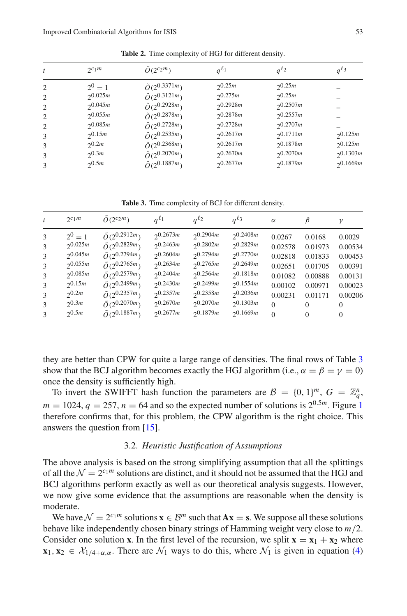<span id="page-18-0"></span>

| t              | $2^{c_1m}$  | $O(2^{c_2m})$            | $a^{\ell_1}$ | $a^{\ell_2}$  | $q^{\ell_3}$  |
|----------------|-------------|--------------------------|--------------|---------------|---------------|
| 2              | $2^0 = 1$   | $\tilde{O}(2^{0.3371m})$ | 20.25m       | 20.25m        |               |
| 2              | 20.025m     | $\tilde{O}(2^{0.3121m})$ | 20.275m      | 20.25m        |               |
| 2              | 20.045m     | $\tilde{O}(2^{0.2928m})$ | 20.2928m     | 20.2507m      |               |
| $\overline{c}$ | 20.055m     | $\tilde{O}(2^{0.2878m})$ | 20.2878m     | 20.2557m      |               |
| 2              | 20.085m     | $\tilde{O}(2^{0.2728m})$ | 20.2728m     | 20.2707m      |               |
| 3              | $2^{0.15m}$ | $\tilde{O}(2^{0.2535m})$ | 20.2617m     | $2^{0.1711m}$ | $2^{0.125m}$  |
| 3              | $2^{0.2m}$  | $\tilde{O}(2^{0.2368m})$ | 20.2617m     | $2^{0.1878m}$ | $2^{0.125m}$  |
| 3              | $2^{0.3m}$  | $\tilde{O}(2^{0.2070m})$ | 20.2670m     | 20.2070m      | $2^{0.1303m}$ |
|                | $2^{0.5m}$  | $\tilde{O}(2^{0.1887m})$ | 20.2677m     | $2^{0.1879m}$ | $2^{0.1669m}$ |

**Table 2.** Time complexity of HGJ for different density.

**Table 3.** Time complexity of BCJ for different density.

<span id="page-18-2"></span>

|               | $2c_1m$    | $O(2^{c_2m})$            | $a^{\ell_1}$ | $a^{\ell_2}$ | $q^{\ell_3}$  | $\alpha$ | Β        | $\mathcal V$ |
|---------------|------------|--------------------------|--------------|--------------|---------------|----------|----------|--------------|
| $\mathcal{R}$ | $2^0 = 1$  | $\tilde{O}(2^{0.2912m})$ | 20.2673m     | 20.2904m     | 20.2408m      | 0.0267   | 0.0168   | 0.0029       |
| 3             | 20.025m    | $\tilde{O}(2^{0.2829m})$ | 20.2463m     | 20.2802m     | 20.2829m      | 0.02578  | 0.01973  | 0.00534      |
| 3             | 20.045m    | $\tilde{O}(2^{0.2794m})$ | 20.2604m     | 20.2794m     | 20.2770m      | 0.02818  | 0.01833  | 0.00453      |
| $\mathcal{R}$ | 20.055m    | $\tilde{O}(2^{0.2765m})$ | 20.2634m     | 20.2765m     | 20.2649m      | 0.02651  | 0.01705  | 0.00391      |
| 3             | 20.085m    | $\tilde{O}(2^{0.2579m})$ | 20.2404m     | 20.2564m     | 20.1818m      | 0.01082  | 0.00888  | 0.00131      |
| 3             | 20.15m     | $\tilde{O}(2^{0.2499m})$ | 20.2430m     | 20.2499m     | $2^{0.1554m}$ | 0.00102  | 0.00971  | 0.00023      |
| $\mathcal{R}$ | $2^{0.2m}$ | $\tilde{O}(2^{0.2357m})$ | 20.2357m     | 20.2358m     | 20.2036m      | 0.00231  | 0.01171  | 0.00206      |
| 3             | 20.3m      | $\tilde{O}(2^{0.2070m})$ | 20.2670m     | 20.2070m     | 20.1303m      | $\Omega$ | 0        | $\Omega$     |
| 3             | 20.5m      | $\bar{O}(2^{0.1887m})$   | 20.2677m     | 20.1879m     | 20.1669m      | $\Omega$ | $\Omega$ | $\Omega$     |

they are better than CPW for quite a large range of densities. The final rows of Table [3](#page-18-2) show that the BCJ algorithm becomes exactly the HGJ algorithm (i.e.,  $\alpha = \beta = \gamma = 0$ ) once the density is sufficiently high.

To invert the SWIFFT hash function the parameters are  $B = \{0, 1\}^m$ ,  $G = \mathbb{Z}_q^n$ ,  $m = 1024$  $m = 1024$  $m = 1024$ ,  $q = 257$ ,  $n = 64$  and so the expected number of solutions is  $2^{0.5m}$ . Figure 1 therefore confirms that, for this problem, the CPW algorithm is the right choice. This answers the question from [\[15](#page-47-5)].

# 3.2. *Heuristic Justification of Assumptions*

<span id="page-18-1"></span>The above analysis is based on the strong simplifying assumption that all the splittings of all the  $\mathcal{N} = 2^{c_1 m}$  solutions are distinct, and it should not be assumed that the HGJ and BCJ algorithms perform exactly as well as our theoretical analysis suggests. However, we now give some evidence that the assumptions are reasonable when the density is moderate.

We have  $\mathcal{N} = 2^{c_1 m}$  solutions  $\mathbf{x} \in \mathcal{B}^m$  such that  $A\mathbf{x} = \mathbf{s}$ . We suppose all these solutions behave like independently chosen binary strings of Hamming weight very close to *m*/2. Consider one solution **x**. In the first level of the recursion, we split  $\mathbf{x} = \mathbf{x}_1 + \mathbf{x}_2$  where **x**<sub>1</sub>, **x**<sub>2</sub>  $\in$   $\mathcal{X}_{1/4+\alpha,\alpha}$ . There are  $\mathcal{N}_1$  ways to do this, where  $\mathcal{N}_1$  is given in equation [\(4\)](#page-15-0)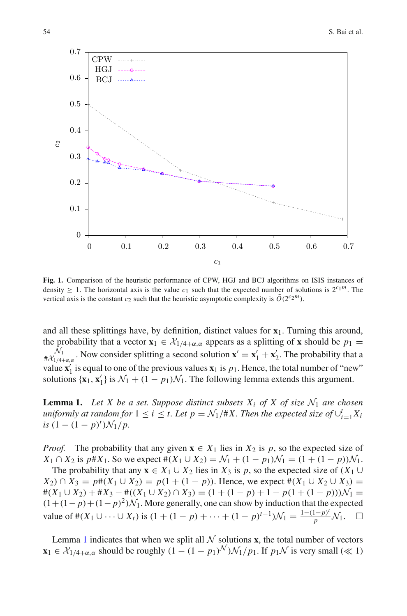

<span id="page-19-0"></span>**Fig. 1.** Comparison of the heuristic performance of CPW, HGJ and BCJ algorithms on ISIS instances of density  $\geq 1$ . The horizontal axis is the value  $c_1$  such that the expected number of solutions is  $2^{c_1 m}$ . The vertical axis is the constant  $c_2$  such that the heuristic asymptotic complexity is  $\tilde{O}(2^{c_2m})$ .

and all these splittings have, by definition, distinct values for **x**1. Turning this around, the probability that a vector  $\mathbf{x}_1 \in \mathcal{X}_{1/4+\alpha,\alpha}$  appears as a splitting of **x** should be  $p_1 =$  $\frac{N_1}{\# \mathcal{X}_{1/4+\alpha,\alpha}}$ . Now consider splitting a second solution  $\mathbf{x}' = \mathbf{x}'_1 + \mathbf{x}'_2$ . The probability that a value  $\mathbf{x}'_1$  is equal to one of the previous values  $\mathbf{x}_1$  is  $p_1$ . Hence, the total number of "new" solutions  $\{x_1, x'_1\}$  is  $\mathcal{N}_1 + (1 - p_1)\mathcal{N}_1$ . The following lemma extends this argument.

<span id="page-19-1"></span>**Lemma 1.** Let X be a set. Suppose distinct subsets  $X_i$  of X of size  $\mathcal{N}_1$  are chosen *uniformly at random for*  $1 \leq i \leq t$ . Let  $p = \mathcal{N}_1/\#X$ . Then the expected size of  $\cup_{i=1}^t X_i$  $is (1 - (1 - p)^t) \mathcal{N}_1/p.$ 

*Proof.* The probability that any given  $\mathbf{x} \in X_1$  lies in  $X_2$  is p, so the expected size of *X*<sub>1</sub> ∩ *X*<sub>2</sub> is *p*#*X*<sub>1</sub>. So we expect # $(X_1 \cup X_2) = \mathcal{N}_1 + (1 - p_1)\mathcal{N}_1 = (1 + (1 - p))\mathcal{N}_1$ .

The probability that any  $\mathbf{x} \in X_1 \cup X_2$  lies in  $X_3$  is p, so the expected size of  $(X_1 \cup$ *X*<sub>2</sub>) ∩ *X*<sub>3</sub> = *p*#(*X*<sub>1</sub> ∪ *X*<sub>2</sub>) = *p*(1 + (1 − *p*)). Hence, we expect #(*X*<sub>1</sub> ∪ *X*<sub>2</sub> ∪ *X*<sub>3</sub>) =  $#(X_1 \cup X_2) + #X_3 - #((X_1 \cup X_2) \cap X_3) = (1 + (1 - p) + 1 - p(1 + (1 - p)))\mathcal{N}_1 =$  $(1+(1-p)+(1-p)^2)N_1$ . More generally, one can show by induction that the expected value of #(X<sub>1</sub> l) ... l) is  $(1+(1-p)+...+(1-p)^{t-1})N_1 = \frac{1-(1-p)^t}{N_1}N_1$ value of  $#(X_1 \cup \cdots \cup X_t)$  is  $(1 + (1 - p) + \cdots + (1 - p)^{t-1})\mathcal{N}_1 = \frac{1 - (1 - p)^t}{p}\mathcal{N}_1$ .  $\Box$ 

Lemma [1](#page-19-1) indicates that when we split all  $N$  solutions **x**, the total number of vectors **x**<sub>1</sub> ∈  $\mathcal{X}_{1/4+\alpha,\alpha}$  should be roughly  $(1 - (1 - p_1)^{\mathcal{N}})\mathcal{N}_1/p_1$ . If  $p_1\mathcal{N}$  is very small (≪ 1)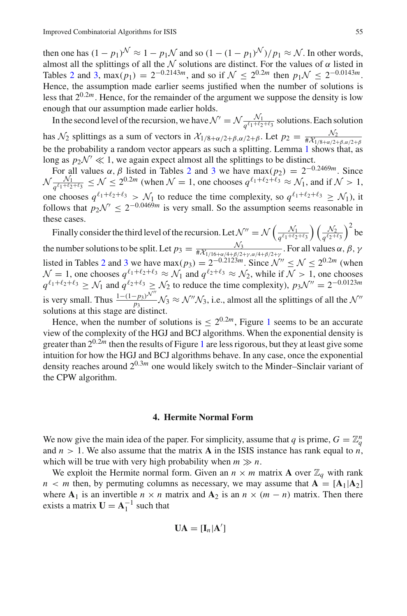then one has  $(1 - p_1)^{\mathcal{N}} \approx 1 - p_1 \mathcal{N}$  and so  $(1 - (1 - p_1)^{\mathcal{N}})/p_1 \approx \mathcal{N}$ . In other words, almost all the splittings of all the  $N$  solutions are distinct. For the values of  $\alpha$  listed in Tables [2](#page-18-0) and [3,](#page-18-2) max( $p_1$ ) = 2<sup>-0.2143*m*</sup>, and so if  $\mathcal{N}$  < 2<sup>0.2*m*</sup> then  $p_1 \mathcal{N}$  < 2<sup>-0.0143*m*</sup>. Hence, the assumption made earlier seems justified when the number of solutions is less that  $2^{0.2m}$ . Hence, for the remainder of the argument we suppose the density is low enough that our assumption made earlier holds.

In the second level of the recursion, we have  $\mathcal{N}' = \mathcal{N} \frac{\mathcal{N}_1}{q^{\ell_1+\ell_2+\ell_3}}$  solutions. Each solution has  $\mathcal{N}_2$  splittings as a sum of vectors in  $\mathcal{X}_{1/8+\alpha/2+\beta,\alpha/2+\beta}$  $\mathcal{X}_{1/8+\alpha/2+\beta,\alpha/2+\beta}$  $\mathcal{X}_{1/8+\alpha/2+\beta,\alpha/2+\beta}$ . Let  $p_2 = \frac{\mathcal{N}_2}{\#\mathcal{X}_{1/8+\alpha/2+\beta,\alpha/2+\beta}}$ <br>be the probability a random vector appears as such a splitting. Lemma 1 shows that, as long as  $p_2\mathcal{N}' \ll 1$ , we again expect almost all the splittings to be distinct.

For all values  $\alpha$ ,  $\beta$  listed in Tables [2](#page-18-0) and [3](#page-18-2) we have  $\max(p_2) = 2^{-0.2469m}$ . Since  $\mathcal{N}\frac{N_1}{q^{\ell_1+\ell_2+\ell_3}} \leq \mathcal{N} \leq 2^{0.2m}$  (when  $\mathcal{N}=1$ , one chooses  $q^{\ell_1+\ell_2+\ell_3} \approx \mathcal{N}_1$ , and if  $\mathcal{N} > 1$ , one chooses  $q^{\ell_1+\ell_2+\ell_3} > \mathcal{N}_1$  to reduce the time complexity, so  $q^{\ell_1+\ell_2+\ell_3} \geq \mathcal{N}_1$ ), it follows that  $p_2\mathcal{N}' \leq 2^{-0.0469m}$  is very small. So the assumption seems reasonable in these cases.

Finally consider the third level of the recursion. Let  $\mathcal{N}'' = \mathcal{N}\left(\frac{\mathcal{N}_1}{q^{\ell_1+\ell_2+\ell_3}}\right) \left(\frac{\mathcal{N}_2}{q^{\ell_2+\ell_3}}\right)^2$  be the number solutions to be split. Let  $p_3 = \frac{N_3}{\# \mathcal{X}_{1/16+\alpha/4+\beta/2+\gamma, \alpha/4+\beta/2+\gamma}}$ . For all values  $\alpha, \beta, \gamma$ listed in Tables [2](#page-18-0) and [3](#page-18-2) we have  $\max(p_3) = 2^{-0.2123m}$ . Since  $\mathcal{N}'' \le \mathcal{N} \le 2^{0.2m}$  (when  $N = 1$ , one chooses  $q^{\ell_1+\ell_2+\ell_3} \approx \mathcal{N}_1$  and  $q^{\ell_2+\ell_3} \approx \mathcal{N}_2$ , while if  $\overline{\mathcal{N}} > 1$ , one chooses  $q^{\ell_1+\ell_2+\ell_3} \geq \mathcal{N}_1$  and  $q^{\ell_2+\ell_3} \geq \mathcal{N}_2$  to reduce the time complexity),  $p_3\mathcal{N}'' = 2^{-0.0123m}$ is very small. Thus  $\frac{1-(1-p_3)\mathcal{N}''}{p_3}$ ,  $\mathcal{N}_3 \approx \mathcal{N}''\mathcal{N}_3$ , i.e., almost all the splittings of all the  $\mathcal{N}''$ solutions at this stage are distinct.

Hence, when the number of solutions is  $\leq 2^{0.2m}$ , Figure [1](#page-19-0) seems to be an accurate view of the complexity of the HGJ and BCJ algorithms. When the exponential density is greater than  $2^{0.2m}$  then the results of Figure [1](#page-19-0) are less rigorous, but they at least give some intuition for how the HGJ and BCJ algorithms behave. In any case, once the exponential density reaches around  $2^{0.3m}$  one would likely switch to the Minder–Sinclair variant of the CPW algorithm.

#### **4. Hermite Normal Form**

We now give the main idea of the paper. For simplicity, assume that *q* is prime,  $G = \mathbb{Z}_q^n$ and  $n > 1$ . We also assume that the matrix **A** in the ISIS instance has rank equal to  $n$ , which will be true with very high probability when  $m \gg n$ .

We exploit the Hermite normal form. Given an  $n \times m$  matrix **A** over  $\mathbb{Z}_q$  with rank  $n < m$  then, by permuting columns as necessary, we may assume that  $\mathbf{A} = [\mathbf{A}_1 | \mathbf{A}_2]$ where  $A_1$  is an invertible  $n \times n$  matrix and  $A_2$  is an  $n \times (m - n)$  matrix. Then there exists a matrix  $U = A_1^{-1}$  such that

$$
\mathbf{UA} = [\mathbf{I}_n | \mathbf{A}']
$$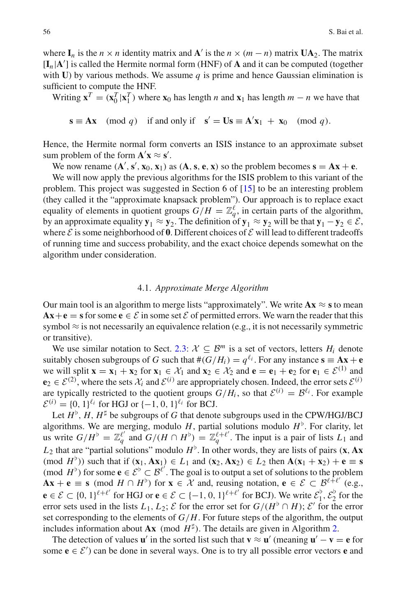where  $I_n$  is the *n* × *n* identity matrix and **A**<sup> $\prime$ </sup> is the *n* × (*m* − *n*) matrix  $UA_2$ . The matrix  $[\mathbf{I}_n | \mathbf{A}']$  is called the Hermite normal form (HNF) of **A** and it can be computed (together with **U**) by various methods. We assume  $q$  is prime and hence Gaussian elimination is sufficient to compute the HNF.

Writing  $\mathbf{x}^T = (\mathbf{x}_0^T | \mathbf{x}_1^T)$  where  $\mathbf{x}_0$  has length *n* and  $\mathbf{x}_1$  has length  $m - n$  we have that

$$
\mathbf{s} \equiv \mathbf{A}\mathbf{x} \pmod{q} \quad \text{if and only if} \quad \mathbf{s}' = \mathbf{U}\mathbf{s} \equiv \mathbf{A}'\mathbf{x}_1 + \mathbf{x}_0 \pmod{q}.
$$

Hence, the Hermite normal form converts an ISIS instance to an approximate subset sum problem of the form  $\mathbf{A}'\mathbf{x} \approx \mathbf{s}'$ .

We now rename  $(A', s', x_0, x_1)$  as  $(A, s, e, x)$  so the problem becomes  $s = Ax + e$ .

We will now apply the previous algorithms for the ISIS problem to this variant of the problem. This project was suggested in Section 6 of [\[15\]](#page-47-5) to be an interesting problem (they called it the "approximate knapsack problem"). Our approach is to replace exact equality of elements in quotient groups  $G/H = \mathbb{Z}_q^{\ell}$ , in certain parts of the algorithm, by an approximate equality  $\mathbf{y}_1 \approx \mathbf{y}_2$ . The definition of  $\mathbf{y}_1 \approx \mathbf{y}_2$  will be that  $\mathbf{y}_1 - \mathbf{y}_2 \in \mathcal{E}$ , where  $\mathcal E$  is some neighborhood of  $\mathbf 0$ . Different choices of  $\mathcal E$  will lead to different tradeoffs of running time and success probability, and the exact choice depends somewhat on the algorithm under consideration.

#### 4.1. *Approximate Merge Algorithm*

Our main tool is an algorithm to merge lists "approximately". We write  $A x \approx s$  to mean  $Ax + e = s$  for some  $e \in \mathcal{E}$  in some set  $\mathcal{E}$  of permitted errors. We warn the reader that this symbol  $\approx$  is not necessarily an equivalence relation (e.g., it is not necessarily symmetric or transitive).

We use similar notation to Sect. [2.3:](#page-6-0)  $\mathcal{X} \subseteq \mathcal{B}^m$  is a set of vectors, letters  $H_i$  denote suitably chosen subgroups of *G* such that  $#(G/H_i) = q^{\ell_i}$ . For any instance  $\mathbf{s} \equiv \mathbf{A}\mathbf{x} + \mathbf{e}$ we will split  $\mathbf{x} = \mathbf{x}_1 + \mathbf{x}_2$  for  $\mathbf{x}_1 \in \mathcal{X}_1$  and  $\mathbf{x}_2 \in \mathcal{X}_2$  and  $\mathbf{e} = \mathbf{e}_1 + \mathbf{e}_2$  for  $\mathbf{e}_1 \in \mathcal{E}^{(1)}$  and  $e_2 \in \mathcal{E}^{(2)}$ , where the sets  $\mathcal{X}_i$  and  $\mathcal{E}^{(i)}$  are appropriately chosen. Indeed, the error sets  $\mathcal{E}^{(i)}$ are typically restricted to the quotient groups  $G/H_i$ , so that  $\mathcal{E}^{(i)} = \mathcal{B}^{\ell_i}$ . For example  $\mathcal{E}^{(i)} = \{0, 1\}^{\ell_i}$  for HGJ or  $\{-1, 0, 1\}^{\ell_i}$  for BCJ.

Let  $H^{\flat}$ ,  $H$ ,  $H^{\sharp}$  be subgroups of *G* that denote subgroups used in the CPW/HGJ/BCJ algorithms. We are merging, modulo  $H$ , partial solutions modulo  $H^{\flat}$ . For clarity, let us write  $G/H^{\flat} = \mathbb{Z}_q^{\ell'}$  and  $G/(H \cap H^{\flat}) = \mathbb{Z}_q^{\ell+\ell'}$ . The input is a pair of lists  $L_1$  and  $L_2$  that are "partial solutions" modulo  $H^{\flat}$ . In other words, they are lists of pairs (**x**, **Ax**  $(\text{mod } H^{\flat})$  such that if  $(\mathbf{x}_1, \mathbf{A}\mathbf{x}_1) \in L_1$  and  $(\mathbf{x}_2, \mathbf{A}\mathbf{x}_2) \in L_2$  then  $\mathbf{A}(\mathbf{x}_1 + \mathbf{x}_2) + \mathbf{e} \equiv \mathbf{s}$ (mod  $H^{\flat}$ ) for some  $e \in \mathcal{E}^{\flat} \subset \mathcal{B}^{\ell'}$ . The goal is to output a set of solutions to the problem  $\mathbf{A}\mathbf{x} + \mathbf{e} \equiv \mathbf{s} \pmod{H \cap H^{\flat}}$  for  $\mathbf{x} \in \mathcal{X}$  and, reusing notation,  $\mathbf{e} \in \mathcal{E} \subset \mathcal{B}^{\ell+\ell'}$  (e.g., **e** ∈  $\mathcal{E}$  ⊂ {0, 1}<sup> $\ell+\ell'$ </sup> for HGJ or **e** ∈  $\mathcal{E}$  ⊂ {−1, 0, 1}<sup> $\ell+\ell'$ </sup> for BCJ). We write  $\mathcal{E}_1^{\flat}, \mathcal{E}_2^{\flat}$  for the error sets used in the lists  $L_1, L_2$ ;  $\mathcal E$  for the error set for  $G/(H^{\flat} \cap H)$ ;  $\mathcal E'$  for the error set corresponding to the elements of *G*/*H*. For future steps of the algorithm, the output includes information about  $\mathbf{A}\mathbf{x}$  (mod  $H^{\sharp}$ ). The details are given in Algorithm [2.](#page-22-0)

The detection of values **u**' in the sorted list such that  $\mathbf{v} \approx \mathbf{u}'$  (meaning  $\mathbf{u}' - \mathbf{v} = \mathbf{e}$  for some  $\mathbf{e} \in \mathcal{E}'$ ) can be done in several ways. One is to try all possible error vectors **e** and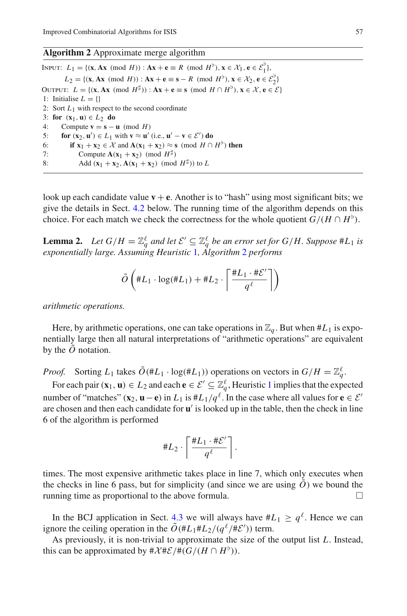# <span id="page-22-0"></span>**Algorithm 2** Approximate merge algorithm

INPUT: *L*<sub>1</sub> = {(**x**, **Ax** (mod *H*)) : **Ax** + **e** ≡ *R* (mod *H*<sup>b</sup>), **x** ∈  $\mathcal{X}_1$ , **e** ∈  $\mathcal{E}_1^{\flat}$ }, *L*<sub>2</sub> = {(**x**, **Ax** (mod *H*)) : **Ax** + **e** ≡ **s** − *R* (mod *H*<sup>b</sup>), **x** ∈  $\mathcal{X}_2$ , **e** ∈  $\mathcal{E}_2^b$ } OUTPUT:  $L = \{(\mathbf{x}, \mathbf{A}\mathbf{x} \pmod{H^{\sharp}}): \mathbf{A}\mathbf{x} + \mathbf{e} \equiv \mathbf{s} \pmod{H \cap H^{\flat}}\}, \mathbf{x} \in \mathcal{X}, \mathbf{e} \in \mathcal{E}\}\)$ 1: Initialise  $L = \{$ 2: Sort *L*1 with respect to the second coordinate 3: **for**  $(\mathbf{x}_1, \mathbf{u}) \in L_2$  **do**<br>4: Compute  $\mathbf{v} = \mathbf{s} - \mathbf{v}$ 4: Compute **v** = **s** − **u** (mod *H*)<br>5: **for** (**x**<sub>2</sub>, **u**')  $\in$  *L*<sub>1</sub> with **v**  $\approx$  **u**' 5: **for**  $(\mathbf{x}_2, \mathbf{u}') \in L_1$  with  $\mathbf{v} \approx \mathbf{u}'$  (i.e.,  $\mathbf{u}' - \mathbf{v} \in \mathcal{E}'$ ) do 6: **if**  $\mathbf{x}_1 + \mathbf{x}_2 \in \mathcal{X}$  and  $\mathbf{A}(\mathbf{x}_1 + \mathbf{x}_2) \approx \mathbf{s}$  (mod  $H \cap H^{\flat}$ ) then<br>7: Compute  $\mathbf{A}(\mathbf{x}_1 + \mathbf{x}_2)$  (mod  $H^{\sharp}$ ) 7: Compute  $\mathbf{A}(\mathbf{x}_1 + \mathbf{x}_2) \pmod{H^{\sharp}}$ <br>8: Add  $(\mathbf{x}_1 + \mathbf{x}_2, \mathbf{A}(\mathbf{x}_1 + \mathbf{x}_2)) \pmod{H^{\sharp}}$ Add  $({\bf x}_1 + {\bf x}_2, {\bf A}({\bf x}_1 + {\bf x}_2) \pmod{H^{\sharp}}$  to *L* 

look up each candidate value  $\mathbf{v} + \mathbf{e}$ . Another is to "hash" using most significant bits; we give the details in Sect. [4.2](#page-23-0) below. The running time of the algorithm depends on this choice. For each match we check the correctness for the whole quotient  $G/(H \cap H^{\flat})$ .

**Lemma 2.** *Let*  $G/H = \mathbb{Z}_q^{\ell}$  *and let*  $\mathcal{E}' \subseteq \mathbb{Z}_q^{\ell}$  *be an error set for*  $G/H$ . Suppose #L<sub>1</sub> *is exponentially large. Assuming Heuristic* [1](#page-9-0)*, Algorithm* [2](#page-22-0) *performs*

$$
\tilde{O}\left(\#L_1 \cdot \log(\#L_1) + \#L_2 \cdot \left\lceil \frac{\#L_1 \cdot \# \mathcal{E}'}{q^{\ell}} \right\rceil \right)
$$

*arithmetic operations.*

Here, by arithmetic operations, one can take operations in  $\mathbb{Z}_q$ . But when  $\#L_1$  is exponentially large then all natural interpretations of "arithmetic operations" are equivalent by the  $\ddot{o}$  notation.

*Proof.* Sorting  $L_1$  takes  $\tilde{O}(\#L_1 \cdot \log(\#L_1))$  operations on vectors in  $G/H = \mathbb{Z}_q^{\ell}$ .

For each pair  $(\mathbf{x}_1, \mathbf{u}) \in L_2$  $(\mathbf{x}_1, \mathbf{u}) \in L_2$  $(\mathbf{x}_1, \mathbf{u}) \in L_2$  and each  $\mathbf{e} \in \mathcal{E}' \subseteq \mathbb{Z}_q^{\ell}$ , Heuristic 1 implies that the expected number of "matches" (**x**<sub>2</sub>, **u**−**e**) in *L*<sub>1</sub> is #*L*<sub>1</sub>/*q*<sup> $\ell$ </sup>. In the case where all values for **e** ∈  $\mathcal{E}'$ are chosen and then each candidate for **u**' is looked up in the table, then the check in line 6 of the algorithm is performed

$$
\#L_2 \cdot \left\lceil \frac{\#L_1 \cdot \# \mathcal{E}'}{q^{\ell}} \right\rceil.
$$

times. The most expensive arithmetic takes place in line 7, which only executes when the checks in line 6 pass, but for simplicity (and since we are using  $\ddot{O}$ ) we bound the running time as proportional to the above formula.  $\Box$ 

In the BCJ application in Sect. [4.3](#page-28-0) we will always have  $#L_1 \geq q^{\ell}$ . Hence we can ignore the ceiling operation in the  $\tilde{O}(\#L_1 \# L_2/(q^{\ell}/\#\mathcal{E}'))$  term.

As previously, it is non-trivial to approximate the size of the output list *L*. Instead, this can be approximated by  $\#\mathcal{X}\#\mathcal{E}/\#(G/(H\cap H^{\flat}))$ .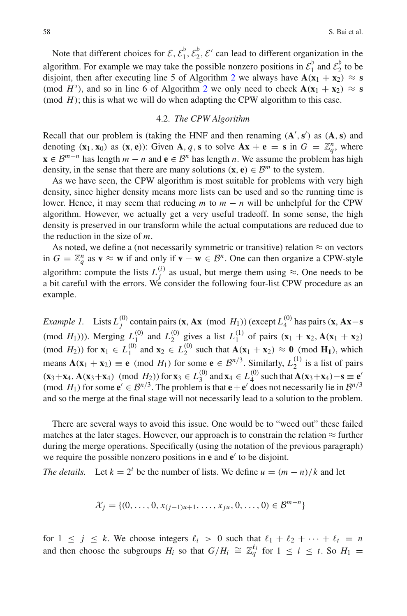Note that different choices for  $\mathcal{E}, \mathcal{E}_1^{\flat}, \mathcal{E}_2^{\flat}, \mathcal{E}'$  can lead to different organization in the algorithm. For example we may take the possible nonzero positions in  $\mathcal{E}_1^{\flat}$  and  $\mathcal{E}_2^{\flat}$  to be disjoint, then after executing line 5 of Algorithm [2](#page-22-0) we always have  $\mathbf{A}(\mathbf{x}_1 + \mathbf{x}_2) \approx \mathbf{s}$ (mod  $H^{\flat}$ ), and so in line 6 of Algorithm [2](#page-22-0) we only need to check  $\mathbf{A}(\mathbf{x}_1 + \mathbf{x}_2) \approx \mathbf{s}$ (mod  $H$ ); this is what we will do when adapting the CPW algorithm to this case.

## 4.2. *The CPW Algorithm*

<span id="page-23-0"></span>Recall that our problem is (taking the HNF and then renaming  $(A', s')$  as  $(A, s)$  and denoting  $(\mathbf{x}_1, \mathbf{x}_0)$  as  $(\mathbf{x}, \mathbf{e})$ : Given **A**, *q*, **s** to solve  $\mathbf{Ax} + \mathbf{e} = \mathbf{s}$  in  $G = \mathbb{Z}_q^n$ , where **x** ∈  $\mathcal{B}^{m-n}$  has length  $m - n$  and **e** ∈  $\mathcal{B}^n$  has length *n*. We assume the problem has high density, in the sense that there are many solutions  $(\mathbf{x}, \mathbf{e}) \in \mathcal{B}^m$  to the system.

As we have seen, the CPW algorithm is most suitable for problems with very high density, since higher density means more lists can be used and so the running time is lower. Hence, it may seem that reducing  $m$  to  $m - n$  will be unhelpful for the CPW algorithm. However, we actually get a very useful tradeoff. In some sense, the high density is preserved in our transform while the actual computations are reduced due to the reduction in the size of *m*.

As noted, we define a (not necessarily symmetric or transitive) relation  $\approx$  on vectors in *G* =  $\mathbb{Z}_q^n$  as **v** ≈ **w** if and only if **v** − **w** ∈ *B*<sup>*n*</sup>. One can then organize a CPW-style algorithm: compute the lists  $L_j^{(i)}$  as usual, but merge them using  $\approx$ . One needs to be a bit careful with the errors. We consider the following four-list CPW procedure as an example.

*Example 1.* Lists  $L_j^{(0)}$  contain pairs (**x**, **Ax** (mod *H*<sub>1</sub>))(except  $L_4^{(0)}$  has pairs (**x**, **Ax**−**s** (mod *H*<sub>1</sub>))). Merging  $L_1^{(0)}$  and  $L_2^{(0)}$  gives a list  $L_1^{(1)}$  of pairs  $(\mathbf{x}_1 + \mathbf{x}_2, \mathbf{A}(\mathbf{x}_1 + \mathbf{x}_2))$ (mod  $H_2$ )) for  $\mathbf{x}_1 \in L_1^{(0)}$  and  $\mathbf{x}_2 \in L_2^{(0)}$  such that  $\mathbf{A}(\mathbf{x}_1 + \mathbf{x}_2) \approx \mathbf{0}$  (mod  $\mathbf{H}_1$ ), which means  $\mathbf{A}(\mathbf{x}_1 + \mathbf{x}_2) \equiv \mathbf{e} \pmod{H_1}$  for some  $\mathbf{e} \in \mathcal{B}^{n/3}$ . Similarly,  $L_2^{(1)}$  is a list of pairs  $(\mathbf{x}_3 + \mathbf{x}_4, \mathbf{A}(\mathbf{x}_3 + \mathbf{x}_4) \pmod{H_2})$  for  $\mathbf{x}_3 \in L_3^{(0)}$  and  $\mathbf{x}_4 \in L_4^{(0)}$  such that  $\mathbf{A}(\mathbf{x}_3 + \mathbf{x}_4) - \mathbf{s} \equiv \mathbf{e}'$ <br>(mod  $H_1$ ) for some  $\mathbf{e}' \in \mathcal{B}^{n/3}$ . The problem is that  $\mathbf{e} + \mathbf{e}'$  does and so the merge at the final stage will not necessarily lead to a solution to the problem.

There are several ways to avoid this issue. One would be to "weed out" these failed matches at the later stages. However, our approach is to constrain the relation  $\approx$  further during the merge operations. Specifically (using the notation of the previous paragraph) we require the possible nonzero positions in **e** and **e**' to be disjoint.

*The details.* Let  $k = 2^t$  be the number of lists. We define  $u = (m - n)/k$  and let

$$
\mathcal{X}_j = \{ (0, \ldots, 0, x_{(j-1)u+1}, \ldots, x_{ju}, 0, \ldots, 0) \in \mathcal{B}^{m-n} \}
$$

for  $1 \leq j \leq k$ . We choose integers  $\ell_i > 0$  such that  $\ell_1 + \ell_2 + \cdots + \ell_t = n$ and then choose the subgroups  $H_i$  so that  $G/H_i \cong \mathbb{Z}_q^{\ell_i}$  for  $1 \leq i \leq t$ . So  $H_1 =$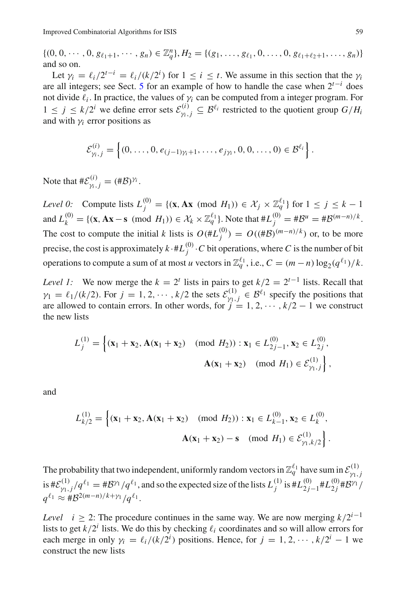$\{(0, 0, \cdots, 0, g_{\ell_1+1}, \cdots, g_n) \in \mathbb{Z}_q^n\}, H_2 = \{(g_1, \ldots, g_{\ell_1}, 0, \ldots, 0, g_{\ell_1+\ell_2+1}, \ldots, g_n)\}\$ and so on.

Let  $\gamma_i = \ell_i/2^{t-i} = \ell_i/(k/2^i)$  for  $1 \le i \le t$ . We assume in this section that the  $\gamma_i$ are all integers; see Sect. [5](#page-35-1) for an example of how to handle the case when  $2^{t-1}$  does not divide  $\ell_i$ . In practice, the values of  $\gamma_i$  can be computed from a integer program. For  $1 \leq j \leq k/2^i$  we define error sets  $\mathcal{E}_{\gamma_i,j}^{(i)} \subseteq \mathcal{B}^{\ell_i}$  restricted to the quotient group  $G/H_i$ and with  $\gamma$ *i* error positions as

$$
\mathcal{E}_{\gamma_i,j}^{(i)} = \left\{ (0,\ldots,0,e_{(j-1)\gamma_i+1},\ldots,e_{j\gamma_i},0,0,\ldots,0) \in \mathcal{B}^{\ell_i} \right\}.
$$

Note that  $\#\mathcal{E}_{\gamma_i,j}^{(i)} = (\#\mathcal{B})^{\gamma_i}$ .

*Level 0:* Compute lists  $L_j^{(0)} = \{ (\mathbf{x}, \mathbf{A}\mathbf{x} \pmod{H_1}) \in \mathcal{X}_j \times \mathbb{Z}_q^{\ell_1} \}$  for  $1 \le j \le k - 1$  $\lambda_k^{(0)} = \{ (\mathbf{x}, \mathbf{A}\mathbf{x} - \mathbf{s} \pmod{H_1} \} \in \mathcal{X}_k \times \mathbb{Z}_q^{\ell_1} \}.$  Note that  $\#L_j^{(0)} = \#B^u = \#B^{(m-n)/k}$ . The cost to compute the initial *k* lists is  $O(\#L_j^{(0)}) = O((\#B)^{(m-n)/k})$  or, to be more precise, the cost is approximately  $k \cdot \#L_j^{(0)} \cdot C$  bit operations, where  $C$  is the number of bit operations to compute a sum of at most *u* vectors in  $\mathbb{Z}_q^{\ell_1}$ , i.e.,  $C = (m - n) \log_2(q^{\ell_1})/k$ .

*Level 1:* We now merge the  $k = 2^t$  lists in pairs to get  $k/2 = 2^{t-1}$  lists. Recall that  $\gamma_1 = \ell_1/(k/2)$ . For  $j = 1, 2, \dots, k/2$  the sets  $\mathcal{E}_{\gamma_1, j}^{(1)} \in \mathcal{B}^{\ell_1}$  specify the positions that are allowed to contain errors. In other words, for  $j = 1, 2, \cdots, k/2 - 1$  we construct the new lists

$$
L_j^{(1)} = \left\{ (\mathbf{x}_1 + \mathbf{x}_2, \mathbf{A}(\mathbf{x}_1 + \mathbf{x}_2) \pmod{H_2}) : \mathbf{x}_1 \in L_{2j-1}^{(0)}, \mathbf{x}_2 \in L_{2j}^{(0)}, \mathbf{A}(\mathbf{x}_1 + \mathbf{x}_2) \pmod{H_1} \in \mathcal{E}_{\gamma_1, j}^{(1)} \right\},
$$

and

$$
L_{k/2}^{(1)} = \left\{ (\mathbf{x}_1 + \mathbf{x}_2, \mathbf{A}(\mathbf{x}_1 + \mathbf{x}_2) \pmod{H_2}) : \mathbf{x}_1 \in L_{k-1}^{(0)}, \mathbf{x}_2 \in L_k^{(0)}, \mathbf{A}(\mathbf{x}_1 + \mathbf{x}_2) - \mathbf{s} \pmod{H_1} \in \mathcal{E}_{\gamma_1, k/2}^{(1)} \right\}.
$$

The probability that two independent, uniformly random vectors in  $\mathbb{Z}_q^{\ell_1}$  have sum in  $\mathcal{E}_{\gamma_1,j}^{(1)}$  $\int \int_{\gamma_1, j}^{(1)} / q^{\ell_1} = \frac{\# \mathcal{B}^{\gamma_1}}{q^{\ell_1}}$ , and so the expected size of the lists  $L_j^{(1)}$  is  $\# L_{2j-1}^{(0)} \# L_{2j}^{(0)} \# \mathcal{B}^{\gamma_1}$  $q^{\ell_1} \approx #B^{2(m-n)/k+\gamma_1}/q^{\ell_1}.$ 

*Level i* ≥ 2: The procedure continues in the same way. We are now merging  $k/2^{i-1}$ lists to get  $k/2^i$  lists. We do this by checking  $\ell_i$  coordinates and so will allow errors for each merge in only  $\gamma_i = \ell_i / (k/2^i)$  positions. Hence, for  $j = 1, 2, \dots, k/2^i - 1$  we construct the new lists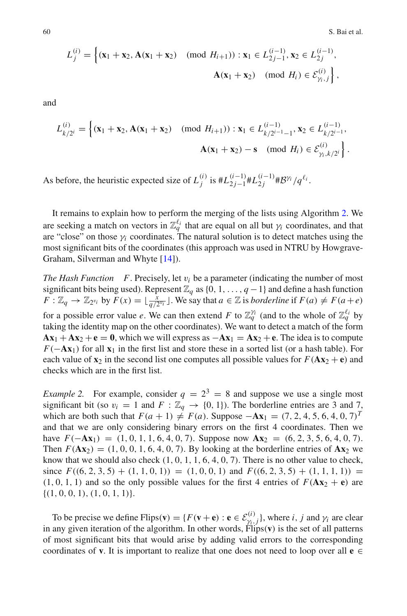$$
L_j^{(i)} = \left\{ (\mathbf{x}_1 + \mathbf{x}_2, \mathbf{A}(\mathbf{x}_1 + \mathbf{x}_2) \pmod{H_{i+1}}) : \mathbf{x}_1 \in L_{2j-1}^{(i-1)}, \mathbf{x}_2 \in L_{2j}^{(i-1)}, \mathbf{A}(\mathbf{x}_1 + \mathbf{x}_2) \pmod{H_i} \in \mathcal{E}_{\gamma_i, j}^{(i)} \right\},
$$

and

$$
L_{k/2^{i}}^{(i)} = \left\{ (\mathbf{x}_1 + \mathbf{x}_2, \mathbf{A}(\mathbf{x}_1 + \mathbf{x}_2) \pmod{H_{i+1}}) : \mathbf{x}_1 \in L_{k/2^{i-1}-1}^{(i-1)}, \mathbf{x}_2 \in L_{k/2^{i-1}}^{(i-1)},
$$
  

$$
\mathbf{A}(\mathbf{x}_1 + \mathbf{x}_2) - \mathbf{s} \pmod{H_i} \in \mathcal{E}_{\gamma_i, k/2^{i}}^{(i)} \right\}.
$$

As before, the heuristic expected size of  $L_j^{(i)}$  is  $\#L_{2j-1}^{(i-1)}\#L_{2j}^{(i-1)}\#B^{\gamma_i}/q^{\ell_i}$ .

It remains to explain how to perform the merging of the lists using Algorithm [2.](#page-22-0) We are seeking a match on vectors in  $\mathbb{Z}_q^{\ell_i}$  that are equal on all but  $\gamma_i$  coordinates, and that are "close" on those  $\gamma_i$  coordinates. The natural solution is to detect matches using the most significant bits of the coordinates (this approach was used in NTRU by Howgrave-Graham, Silverman and Whyte [\[14](#page-47-20)]).

*The Hash Function F.* Precisely, let  $v_i$  be a parameter (indicating the number of most significant bits being used). Represent  $\mathbb{Z}_q$  as {0, 1, ..., *q* − 1} and define a hash function *F* :  $\mathbb{Z}_q \to \mathbb{Z}_{2^{v_i}}$  by  $F(x) = \lfloor \frac{x}{q/2^{v_i}} \rfloor$ . We say that  $a \in \mathbb{Z}$  is *borderline* if  $F(a) \neq F(a+e)$ for a possible error value *e*. We can then extend *F* to  $\mathbb{Z}_q^{\gamma_i}$  (and to the whole of  $\mathbb{Z}_q^{\ell_i}$  by taking the identity map on the other coordinates). We want to detect a match of the form  $Ax_1 + Ax_2 + e = 0$ , which we will express as  $-Ax_1 = Ax_2 + e$ . The idea is to compute *F*(−**Ax**<sub>1</sub>) for all **x**<sub>1</sub> in the first list and store these in a sorted list (or a hash table). For each value of  $\mathbf{x}_2$  in the second list one computes all possible values for  $F(\mathbf{A}\mathbf{x}_2 + \mathbf{e})$  and checks which are in the first list.

*Example 2.* For example, consider  $q = 2^3 = 8$  and suppose we use a single most significant bit (so  $v_i = 1$  and  $F : \mathbb{Z}_q \to \{0, 1\}$ ). The borderline entries are 3 and 7, which are both such that  $F(a + 1) \neq F(a)$ . Suppose  $-\mathbf{Ax}_1 = (7, 2, 4, 5, 6, 4, 0, 7)^T$ and that we are only considering binary errors on the first 4 coordinates. Then we have  $F(-\mathbf{A}\mathbf{x}_1) = (1, 0, 1, 1, 6, 4, 0, 7)$ . Suppose now  $\mathbf{A}\mathbf{x}_2 = (6, 2, 3, 5, 6, 4, 0, 7)$ . Then  $F(\mathbf{A}\mathbf{x}_2) = (1, 0, 0, 1, 6, 4, 0, 7)$ . By looking at the borderline entries of  $\mathbf{A}\mathbf{x}_2$  we know that we should also check  $(1, 0, 1, 1, 6, 4, 0, 7)$ . There is no other value to check, since  $F((6, 2, 3, 5) + (1, 1, 0, 1)) = (1, 0, 0, 1)$  and  $F((6, 2, 3, 5) + (1, 1, 1, 1)) =$  $(1, 0, 1, 1)$  and so the only possible values for the first 4 entries of  $F(\mathbf{A}x_2 + \mathbf{e})$  are  $\{(1, 0, 0, 1), (1, 0, 1, 1)\}.$ 

To be precise we define Flips( $\mathbf{v}$ ) = { $F(\mathbf{v} + \mathbf{e}) : \mathbf{e} \in \mathcal{E}_{\gamma_i,j}^{(i)}$ }, where *i*, *j* and  $\gamma_i$  are clear in any given iteration of the algorithm. In other words, Flips(**v**) is the set of all patterns of most significant bits that would arise by adding valid errors to the corresponding coordinates of **v**. It is important to realize that one does not need to loop over all **e**  $\in$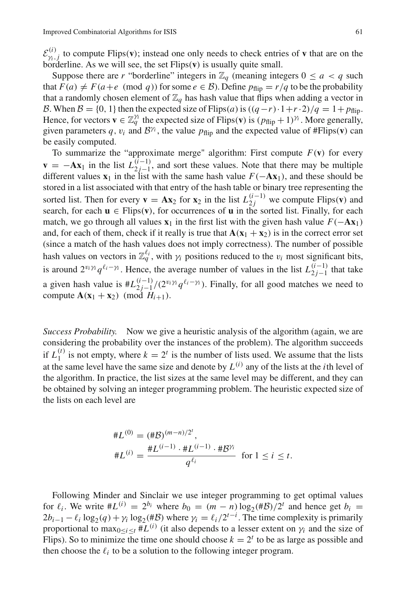$\mathcal{E}^{(i)}_{\gamma_i,j}$  to compute Flips(**v**); instead one only needs to check entries of **v** that are on the borderline. As we will see, the set Flips(**v**) is usually quite small.

Suppose there are *r* "borderline" integers in  $\mathbb{Z}_q$  (meaning integers  $0 \leq a \leq q$  such that  $F(a) \neq F(a+e \pmod{q}$  for some  $e \in B$ ). Define  $p_{\text{flip}} = r/q$  to be the probability that a randomly chosen element of  $\mathbb{Z}_q$  has hash value that flips when adding a vector in *B*. When *B* = {0, 1} then the expected size of Flips(*a*) is  $((q - r) \cdot 1 + r \cdot 2)/q = 1 + p_{\text{flip}}$ . Hence, for vectors  $\mathbf{v} \in \mathbb{Z}_q^{\gamma_i}$  the expected size of Flips( $\mathbf{v}$ ) is  $(p_{\text{flip}} + 1)^{\gamma_i}$ . More generally, given parameters q,  $v_i$  and  $B^{\gamma_i}$ , the value  $p_{\text{flip}}$  and the expected value of #Flips(**v**) can be easily computed.

To summarize the "approximate merge" algorithm: First compute  $F(\mathbf{v})$  for every  $\mathbf{v} = -\mathbf{A}\mathbf{x}_1$  in the list  $L_{2j-1}^{(i-1)}$ , and sort these values. Note that there may be multiple different values  $\mathbf{x}_1$  in the list with the same hash value  $F(-\mathbf{A}\mathbf{x}_1)$ , and these should be stored in a list associated with that entry of the hash table or binary tree representing the sorted list. Then for every **v** =  $\mathbf{A}\mathbf{x}_2$  for  $\mathbf{x}_2$  in the list  $L_{2j}^{(i-1)}$  we compute Flips(**v**) and search, for each  $\mathbf{u} \in \text{Flips}(\mathbf{v})$ , for occurrences of  $\mathbf{u}$  in the sorted list. Finally, for each match, we go through all values  $\mathbf{x}_1$  in the first list with the given hash value  $F(-\mathbf{A}\mathbf{x}_1)$ and, for each of them, check if it really is true that  $\mathbf{A}(\mathbf{x}_1 + \mathbf{x}_2)$  is in the correct error set (since a match of the hash values does not imply correctness). The number of possible hash values on vectors in  $\mathbb{Z}_q^{\ell_i}$ , with  $\gamma_i$  positions reduced to the  $v_i$  most significant bits, is around  $2^{v_i \gamma_i} q^{\ell_i - \gamma_i}$ . Hence, the average number of values in the list  $L_{2j-1}^{(i-1)}$  that take a given hash value is  $#L_{2j-1}^{(i-1)}/(2^{v_i\gamma_i}q^{\ell_i-\gamma_i})$ . Finally, for all good matches we need to compute  $\mathbf{A}(\mathbf{x}_1 + \mathbf{x}_2) \pmod{H_{i+1}}$ .

*Success Probability.* Now we give a heuristic analysis of the algorithm (again, we are considering the probability over the instances of the problem). The algorithm succeeds if  $L_1^{(t)}$  is not empty, where  $k = 2^t$  is the number of lists used. We assume that the lists at the same level have the same size and denote by  $L^{(i)}$  any of the lists at the *i*th level of the algorithm. In practice, the list sizes at the same level may be different, and they can be obtained by solving an integer programming problem. The heuristic expected size of the lists on each level are

$$
\begin{aligned} \#L^{(0)} &= (\# \mathcal{B})^{(m-n)/2^t}, \\ \#L^{(i)} &= \frac{\#L^{(i-1)} \cdot \#L^{(i-1)} \cdot \# \mathcal{B}^{\gamma_i}}{q^{\ell_i}} \quad \text{for } 1 \le i \le t. \end{aligned}
$$

Following Minder and Sinclair we use integer programming to get optimal values for  $\ell_i$ . We write  $#L^{(i)} = 2^{b_i}$  where  $b_0 = (m - n) \log_2(\# \mathcal{B})/2^t$  and hence get  $b_i =$  $2b_{i-1} - \ell_i \log_2(q) + \gamma_i \log_2(\# \mathcal{B})$  where  $\gamma_i = \ell_i / 2^{t-i}$ . The time complexity is primarily proportional to  $\max_{0 \le i \le t} \#L^{(i)}$  (it also depends to a lesser extent on  $\gamma_i$  and the size of Flips). So to minimize the time one should choose  $k = 2<sup>t</sup>$  to be as large as possible and then choose the  $\ell_i$  to be a solution to the following integer program.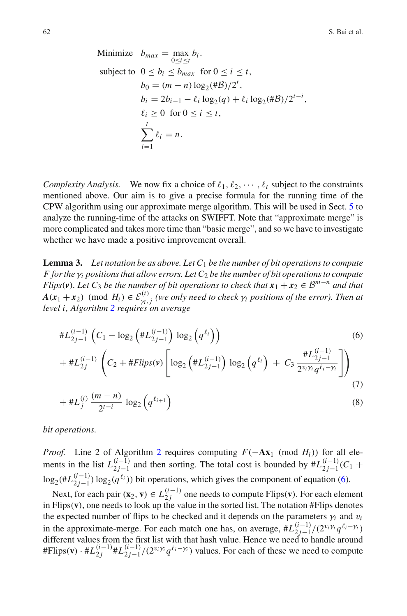(7)

Minimize 
$$
b_{max} = \max_{0 \le i \le t} b_i
$$
.  
\nsubject to  $0 \le b_i \le b_{max}$  for  $0 \le i \le t$ ,  
\n $b_0 = (m - n) \log_2(\#B)/2^t$ ,  
\n $b_i = 2b_{i-1} - \ell_i \log_2(q) + \ell_i \log_2(\#B)/2^{t-i}$ ,  
\n $\ell_i \ge 0$  for  $0 \le i \le t$ ,  
\n
$$
\sum_{i=1}^t \ell_i = n
$$
.

*Complexity Analysis.* We now fix a choice of  $\ell_1, \ell_2, \cdots, \ell_t$  subject to the constraints mentioned above. Our aim is to give a precise formula for the running time of the CPW algorithm using our approximate merge algorithm. This will be used in Sect. [5](#page-35-1) to analyze the running-time of the attacks on SWIFFT. Note that "approximate merge" is more complicated and takes more time than "basic merge", and so we have to investigate whether we have made a positive improvement overall.

<span id="page-27-1"></span>**Lemma 3.** Let notation be as above. Let  $C_1$  be the number of bit operations to compute *F* for the  $\gamma_i$  positions that allow errors. Let  $C_2$  be the number of bit operations to compute *Flips*(*v*)*. Let*  $C_3$  *be the number of bit operations to check that*  $x_1 + x_2 \in \mathcal{B}^{m-n}$  *and that*  $A(x_1 + x_2) \pmod{H_i} \in \mathcal{E}_{\gamma_i,j}^{(i)}$  (we only need to check  $\gamma_i$  positions of the error). Then at *level i, Algorithm [2](#page-22-0) requires on average*

<span id="page-27-0"></span>
$$
\begin{split} & \#L_{2j-1}^{(i-1)}\left(C_1 + \log_2\left(\#L_{2j-1}^{(i-1)}\right) \log_2\left(q^{\ell_i}\right)\right) \\ & + \#L_{2j}^{(i-1)}\left(C_2 + \#Flips(\mathbf{v})\left[\log_2\left(\#L_{2j-1}^{(i-1)}\right) \log_2\left(q^{\ell_i}\right) + C_3 \frac{\#L_{2j-1}^{(i-1)}}{2^{\nu_i \gamma_i} q^{\ell_i - \gamma_i}}\right]\right) \end{split} \tag{6}
$$

$$
+\#L_j^{(i)}\frac{(m-n)}{2^{t-i}}\log_2\left(q^{\ell_{i+1}}\right)
$$
\n(8)

*bit operations.*

*Proof.* Line [2](#page-22-0) of Algorithm 2 requires computing  $F(-Ax_1 \pmod{H_i})$  for all elements in the list  $L_{2j-1}^{(i-1)}$  and then sorting. The total cost is bounded by  $\# L_{2j-1}^{(i-1)}(C_1 + C_2)$  $\log_2(\# L_{2j-1}^{(i-1)}) \log_2(q^{\ell_i})$ ) bit operations, which gives the component of equation [\(6\)](#page-27-0).

Next, for each pair  $(\mathbf{x}_2, \mathbf{v}) \in L_{2j}^{(i-1)}$  one needs to compute Flips( $\mathbf{v}$ ). For each element in Flips(**v**), one needs to look up the value in the sorted list. The notation #Flips denotes the expected number of flips to be checked and it depends on the parameters  $\gamma_i$  and  $v_i$ in the approximate-merge. For each match one has, on average,  $\#L_{2j-1}^{(i-1)}/(2^{v_i\gamma_i}q^{\ell_i-\gamma_i})$ <br>different values from the first list with that hash value. Hence we need to handle around  $#Flips(v) \cdot \#L_{2j}^{(i-1)} \#L_{2j-1}^{(i-1)}/(2^{v_i \gamma_i} q^{\ell_i - \gamma_i})$  values. For each of these we need to compute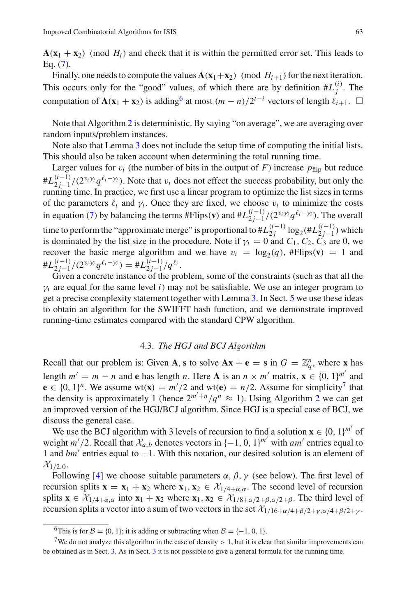$\mathbf{A}(\mathbf{x}_1 + \mathbf{x}_2)$  (mod  $H_i$ ) and check that it is within the permitted error set. This leads to Eq. [\(7\)](#page-27-0).

Finally, one needs to compute the values  $\mathbf{A}(\mathbf{x}_1+\mathbf{x}_2)$  (mod  $H_{i+1}$ ) for the next iteration. This occurs only for the "good" values, of which there are by definition  $#L_j^{(i)}$ . The computation of  $\mathbf{A}(\mathbf{x}_1 + \mathbf{x}_2)$  is adding<sup>6</sup> at most  $(m - n)/2^{t-i}$  vectors of length  $\ell_{i+1}$ .  $\Box$ 

Note that Algorithm [2](#page-22-0) is deterministic. By saying "on average", we are averaging over random inputs/problem instances.

Note also that Lemma [3](#page-27-1) does not include the setup time of computing the initial lists. This should also be taken account when determining the total running time.

Larger values for  $v_i$  (the number of bits in the output of *F*) increase  $p_{\text{flip}}$  but reduce  $#L_{2j-1}^{(i-1)}/(2^{v_i\gamma_i}q^{\ell_i-\gamma_i})$ . Note that  $v_i$  does not effect the success probability, but only the running time. In practice, we first use a linear program to optimize the list sizes in terms of the parameters  $\ell_i$  and  $\gamma_i$ . Once they are fixed, we choose  $v_i$  to minimize the costs in equation [\(7\)](#page-27-0) by balancing the terms  $#Flips(v)$  and  $#L_{2j-1}^{(i-1)}/(2^{\nu_i \gamma_i} q^{\ell_i-\gamma_i})$ . The overall time to perform the "approximate merge" is proportional to  $\#L_{2j}^{(i-1)} \log_2(\#L_{2j-1}^{(i-1)})$  which is dominated by the list size in the procedure. Note if  $\gamma_i = 0$  and  $C_1$ ,  $C_2$ ,  $C_3$  are 0, we recover the basic merge algorithm and we have  $v_i = \log_2(q)$ , #Flips(**v**) = 1 and  $#L_{2j-1}^{(i-1)}/(2^{v_i \gamma_i} q^{\ell_i-\gamma_i}) = #L_{2j-1}^{(i-1)}/q^{\ell_i}.$ 

Given a concrete instance of the problem, some of the constraints (such as that all the  $\gamma_i$  are equal for the same level *i*) may not be satisfiable. We use an integer program to get a precise complexity statement together with Lemma [3.](#page-27-1) In Sect. [5](#page-35-1) we use these ideas to obtain an algorithm for the SWIFFT hash function, and we demonstrate improved running-time estimates compared with the standard CPW algorithm.

# 4.3. *The HGJ and BCJ Algorithm*

<span id="page-28-0"></span>Recall that our problem is: Given **A**, **s** to solve  $A x + e = s$  in  $G = \mathbb{Z}_q^n$ , where **x** has length  $m' = m - n$  and **e** has length *n*. Here **A** is an  $n \times m'$  matrix,  $\mathbf{x} \in \{0, 1\}^m$  and **e** ∈ {0, 1}<sup>*n*</sup>. We assume wt(**x**) =  $m'/2$  and wt(**e**) =  $n/2$ . Assume for simplicity<sup>7</sup> that the density is approximately 1 (hence  $2^{m'+n}/q^n \approx 1$  $2^{m'+n}/q^n \approx 1$ ). Using Algorithm 2 we can get an improved version of the HGJ/BCJ algorithm. Since HGJ is a special case of BCJ, we discuss the general case.

We use the BCJ algorithm with 3 levels of recursion to find a solution  $\mathbf{x} \in \{0, 1\}^{m'}$  of weight  $m'/2$ . Recall that  $\mathcal{X}_{a,b}$  denotes vectors in  $\{-1, 0, 1\}^{m'}$  with *am'* entries equal to 1 and *bm'* entries equal to −1. With this notation, our desired solution is an element of  $\mathcal{X}_{1/2,0}$ .

Following [\[4](#page-47-11)] we choose suitable parameters  $\alpha$ ,  $\beta$ ,  $\gamma$  (see below). The first level of recursion splits  $\mathbf{x} = \mathbf{x}_1 + \mathbf{x}_2$  where  $\mathbf{x}_1, \mathbf{x}_2 \in \mathcal{X}_{1/4+\alpha,\alpha}$ . The second level of recursion splits  $\mathbf{x} \in \mathcal{X}_{1/4+\alpha,\alpha}$  into  $\mathbf{x}_1 + \mathbf{x}_2$  where  $\mathbf{x}_1, \mathbf{x}_2 \in \mathcal{X}_{1/8+\alpha/2+\beta,\alpha/2+\beta}$ . The third level of recursion splits a vector into a sum of two vectors in the set  $\mathcal{X}_{1/16+\alpha/4+\beta/2+\gamma,\alpha/4+\beta/2+\gamma}$ .

<span id="page-28-1"></span><sup>&</sup>lt;sup>6</sup>This is for  $\mathcal{B} = \{0, 1\}$ ; it is adding or subtracting when  $\mathcal{B} = \{-1, 0, 1\}$ .

<span id="page-28-2"></span><sup>&</sup>lt;sup>7</sup>We do not analyze this algorithm in the case of density  $> 1$ , but it is clear that similar improvements can be obtained as in Sect. [3.](#page-16-0) As in Sect. [3](#page-16-0) it is not possible to give a general formula for the running time.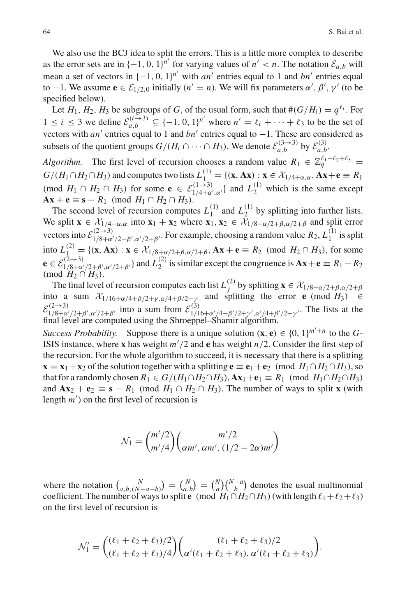We also use the BCJ idea to split the errors. This is a little more complex to describe as the error sets are in  $\{-1, 0, 1\}^{n'}$  for varying values of  $n' < n$ . The notation  $\mathcal{E}_{a,b}$  will mean a set of vectors in  $\{-1, 0, 1\}^{n'}$  with *an'* entries equal to 1 and *bn'* entries equal to −1. We assume **e**  $\epsilon$   $\epsilon$ <sub>1/2,0</sub> initially (*n'* = *n*). We will fix parameters  $\alpha'$ ,  $\beta'$ ,  $\gamma'$  (to be specified below).

Let  $H_1$ ,  $H_2$ ,  $H_3$  be subgroups of *G*, of the usual form, such that  $\#(G/H_i) = q^{\ell_i}$ . For 1 ≤ *i* ≤ 3 we define  $\mathcal{E}_{a,b}^{(i\to 3)}$  ⊆ {−1, 0, 1}<sup>*n'*</sup> where  $n' = \ell_i + \cdots + \ell_3$  to be the set of vectors with *an'* entries equal to 1 and *bn'* entries equal to  $-1$ . These are considered as subsets of the quotient groups  $G/(H_i \cap \cdots \cap H_3)$ . We denote  $\mathcal{E}_{a,b}^{(3\to 3)}$  by  $\mathcal{E}_{a,b}^{(3)}$ .

*Algorithm.* The first level of recursion chooses a random value  $R_1 \in \mathbb{Z}_a^{\ell_1+\ell_2+\ell_3}$  =  $G/(H_1 \cap H_2 \cap H_3)$  and computes two lists  $L_1^{(1)} = \{(\mathbf{x}, \mathbf{A}\mathbf{x}) : \mathbf{x} \in \mathcal{X}_{1/4+\alpha,\alpha}, \mathbf{A}\mathbf{x} + \mathbf{e} \equiv R_1\}$ (mod  $H_1 \cap H_2 \cap H_3$ ) for some  $\mathbf{e} \in \mathcal{E}_{1/4+\alpha',\alpha'}^{(1\to 3)}$  and  $L_2^{(1)}$  which is the same except **Ax** + **e** ≡ **s** − *R*<sub>1</sub> (mod *H*<sub>1</sub> ∩ *H*<sub>2</sub> ∩ *H*<sub>3</sub>).

The second level of recursion computes  $L_1^{(1)}$  and  $L_2^{(1)}$  by splitting into further lists. We split  $\mathbf{x} \in \mathcal{X}_{1/4+\alpha,\alpha}$  into  $\mathbf{x}_1 + \mathbf{x}_2$  where  $\mathbf{x}_1, \mathbf{x}_2 \in \mathcal{X}_{1/8+\alpha/2+\beta,\alpha/2+\beta}$  and split error vectors into  $\mathcal{E}^{(2\to 3)}_{1/8+\alpha'/2+\beta',\alpha'/2+\beta'}$ . For example, choosing a random value  $R_2$ ,  $L_1^{(1)}$  is split into *L*<sub>(1)</sub><sup>(2)</sup> = {(**x**, **Ax**) : **x** ∈  $X_{1/8+\alpha/2+\beta,\alpha/2+\beta}$ , **Ax** + **e** ≡ *R*<sub>2</sub> (mod *H*<sub>2</sub> ∩ *H*<sub>3</sub>), for some  $\mathbf{e} \in \mathcal{E}_{1/8+\alpha'/2+\beta', \alpha'/2+\beta'}^{(2\rightarrow 3)}$  and  $L_2^{(2)}$  is similar except the congruence is  $\mathbf{Ax}+\mathbf{e} \equiv R_1-R_2$  $\pmod{H_2 \cap H_3}$ .

The final level of recursion computes each list  $L_j^{(2)}$  by splitting  $\mathbf{x} \in \mathcal{X}_{1/8+\alpha/2+\beta,\alpha/2+\beta}$ into a sum  $\mathcal{X}_{1/16+\alpha/4+\beta/2+\gamma,\alpha/4+\beta/2+\gamma}$  and splitting the error **e** (mod *H*<sub>3</sub>) ∈  $\mathcal{E}^{(2\to 3)}_{1/8+\alpha'/2+\beta',\alpha'/2+\beta'}$  into a sum from  $\mathcal{E}^{(3)}_{1/16+\alpha'/4+\beta'/2+\gamma',\alpha'/4+\beta'/2+\gamma'}$ . The lists at the final level are computed using the Shroeppel–Shamir algorithm.

*Success Probability.* Suppose there is a unique solution  $(\mathbf{x}, \mathbf{e}) \in \{0, 1\}^{m'+n}$  to the *G*-ISIS instance, where **x** has weight  $m'/2$  and **e** has weight  $n/2$ . Consider the first step of the recursion. For the whole algorithm to succeed, it is necessary that there is a splitting  $\mathbf{x} = \mathbf{x}_1 + \mathbf{x}_2$  of the solution together with a splitting  $\mathbf{e} \equiv \mathbf{e}_1 + \mathbf{e}_2 \pmod{H_1 \cap H_2 \cap H_3}$ , so that for a randomly chosen  $R_1 \in G/(H_1 \cap H_2 \cap H_3)$ ,  $Ax_1 + e_1 \equiv R_1 \pmod{H_1 \cap H_2 \cap H_3}$ and  $Ax_2 + e_2 \equiv s - R_1 \pmod{H_1 \cap H_2 \cap H_3}$ . The number of ways to split **x** (with length *m* ) on the first level of recursion is

$$
\mathcal{N}_1 = {m'/2 \choose m'/4} {m'/2 \choose \alpha m', \alpha m', (1/2 - 2\alpha) m'}
$$

where the notation  $\binom{N}{a,b,\binom{N-a-b}{-a-b}} = \binom{N}{a}\binom{N-a}{b}$  denotes the usual multinomial coefficient. The number of ways to split **e** (mod  $H_1 \cap H_2 \cap H_3$ ) (with length  $\ell_1 + \ell_2 + \ell_3$ ) on the first level of recursion is

$$
\mathcal{N}'_1 = \binom{(\ell_1 + \ell_2 + \ell_3)/2}{(\ell_1 + \ell_2 + \ell_3)/4} \binom{(\ell_1 + \ell_2 + \ell_3)/2}{\alpha'(\ell_1 + \ell_2 + \ell_3), \alpha'(\ell_1 + \ell_2 + \ell_3)}.
$$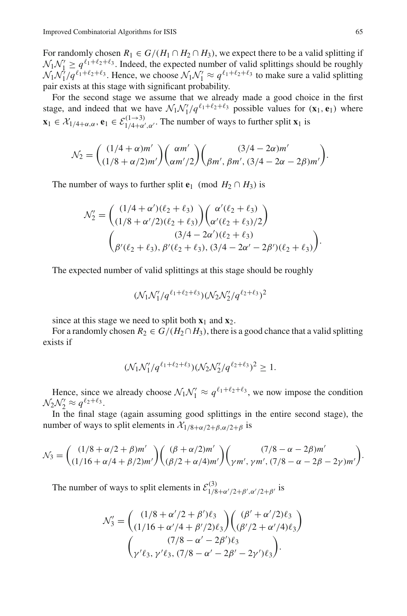For randomly chosen  $R_1 \in G/(H_1 \cap H_2 \cap H_3)$ , we expect there to be a valid splitting if  $N_1N_1' \geq q^{\ell_1+\ell_2+\ell_3}$ . Indeed, the expected number of valid splittings should be roughly  $N_1N'_1/q^{\ell_1+\ell_2+\ell_3}$ . Hence, we choose  $N_1N'_1 \approx q^{\ell_1+\ell_2+\ell_3}$  to make sure a valid splitting pair exists at this stage with significant probability.

For the second stage we assume that we already made a good choice in the first stage, and indeed that we have  $\mathcal{N}_1 \mathcal{N}_1'/q^{\ell_1+\ell_2+\ell_3}$  possible values for  $(\mathbf{x}_1, \mathbf{e}_1)$  where  $\mathbf{x}_1 \in \mathcal{X}_{1/4+\alpha,\alpha}, \mathbf{e}_1 \in \mathcal{E}_{1/4+\alpha',\alpha'}^{(1\rightarrow 3)}$ . The number of ways to further split  $\mathbf{x}_1$  is

$$
\mathcal{N}_2 = \begin{pmatrix} (1/4 + \alpha)m' \\ (1/8 + \alpha/2)m' \end{pmatrix} \begin{pmatrix} \alpha m' \\ \alpha m'/2 \end{pmatrix} \begin{pmatrix} (3/4 - 2\alpha)m' \\ \beta m', \beta m', (3/4 - 2\alpha - 2\beta)m' \end{pmatrix}.
$$

The number of ways to further split **e**<sub>1</sub> (mod  $H_2 \cap H_3$ ) is

$$
\mathcal{N}'_2 = \begin{pmatrix} (1/4 + \alpha')(\ell_2 + \ell_3) \\ (1/8 + \alpha'/2)(\ell_2 + \ell_3) \end{pmatrix} \begin{pmatrix} \alpha'(\ell_2 + \ell_3) \\ \alpha'(\ell_2 + \ell_3)/2 \end{pmatrix}
$$

$$
\begin{pmatrix} (3/4 - 2\alpha')(\ell_2 + \ell_3) \\ \beta'(\ell_2 + \ell_3), \beta'(\ell_2 + \ell_3), (3/4 - 2\alpha' - 2\beta')(\ell_2 + \ell_3) \end{pmatrix}.
$$

The expected number of valid splittings at this stage should be roughly

$$
(\mathcal{N}_1 \mathcal{N}_1'/q^{\ell_1+\ell_2+\ell_3}) (\mathcal{N}_2 \mathcal{N}_2'/q^{\ell_2+\ell_3})^2
$$

since at this stage we need to split both  $\mathbf{x}_1$  and  $\mathbf{x}_2$ .

For a randomly chosen  $R_2 \in G/(H_2 \cap H_3)$ , there is a good chance that a valid splitting exists if

$$
(\mathcal{N}_1 \mathcal{N}_1'/q^{\ell_1+\ell_2+\ell_3}) (\mathcal{N}_2 \mathcal{N}_2'/q^{\ell_2+\ell_3})^2 \geq 1.
$$

Hence, since we already choose  $\mathcal{N}_1 \mathcal{N}_1' \approx q^{\ell_1 + \ell_2 + \ell_3}$ , we now impose the condition  $\mathcal{N}_2 \mathcal{N}'_2 \approx q^{\ell_2+\ell_3}.$ 

In the final stage (again assuming good splittings in the entire second stage), the number of ways to split elements in  $\mathcal{X}_{1/8+\alpha/2+\beta,\alpha/2+\beta}$  is

$$
\mathcal{N}_3 = \binom{(1/8 + \alpha/2 + \beta)m'}{(1/16 + \alpha/4 + \beta/2)m'} \left( \frac{(\beta + \alpha/2)m'}{(\beta/2 + \alpha/4)m'} \right) \binom{(7/8 - \alpha - 2\beta)m'}{\gamma m', \gamma m', (7/8 - \alpha - 2\beta - 2\gamma)m'}.
$$

The number of ways to split elements in  $\mathcal{E}_{1/8+\alpha'/2+\beta',\alpha'/2+\beta'}^{(3)}$  is

$$
\mathcal{N}'_3 = \begin{pmatrix} (1/8 + \alpha'/2 + \beta')\ell_3 \\ (1/16 + \alpha'/4 + \beta'/2)\ell_3 \end{pmatrix} \begin{pmatrix} (\beta' + \alpha'/2)\ell_3 \\ (\beta'/2 + \alpha'/4)\ell_3 \end{pmatrix} \\ \begin{pmatrix} (7/8 - \alpha' - 2\beta')\ell_3 \\ \gamma'\ell_3, \gamma'\ell_3, (7/8 - \alpha' - 2\beta' - 2\gamma')\ell_3 \end{pmatrix}.
$$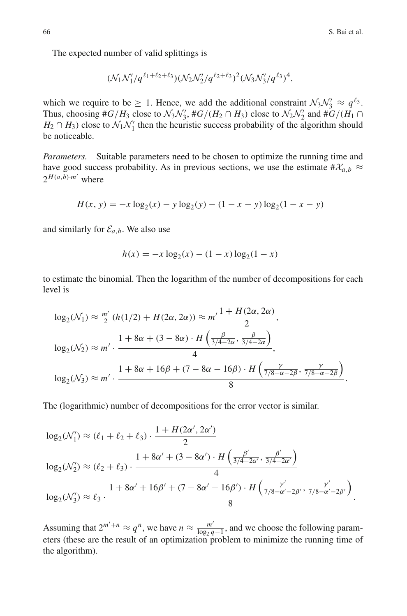The expected number of valid splittings is

$$
(\mathcal{N}_1 \mathcal{N}_1'/q^{\ell_1+\ell_2+\ell_3}) (\mathcal{N}_2 \mathcal{N}_2'/q^{\ell_2+\ell_3})^2 (\mathcal{N}_3 \mathcal{N}_3'/q^{\ell_3})^4,
$$

which we require to be  $\geq 1$ . Hence, we add the additional constraint  $\mathcal{N}_3 \mathcal{N}_3' \approx q^{\ell_3}$ . Thus, choosing  $#G/H_3$  close to  $\mathcal{N}_3\mathcal{N}'_3$ ,  $#G/(H_2 \cap H_3)$  close to  $\mathcal{N}_2\mathcal{N}'_2$  and  $#G/(H_1 \cap H_2)$  $H_2 \cap H_3$ ) close to  $\mathcal{N}_1 \mathcal{N}_1'$  then the heuristic success probability of the algorithm should be noticeable.

*Parameters.* Suitable parameters need to be chosen to optimize the running time and have good success probability. As in previous sections, we use the estimate  $\#\mathcal{X}_{a,b} \approx$  $2^{H(a,b)\cdot m'}$  where

$$
H(x, y) = -x \log_2(x) - y \log_2(y) - (1 - x - y) \log_2(1 - x - y)
$$

and similarly for  $\mathcal{E}_{a,b}$ . We also use

$$
h(x) = -x \log_2(x) - (1 - x) \log_2(1 - x)
$$

to estimate the binomial. Then the logarithm of the number of decompositions for each level is

$$
\log_2(\mathcal{N}_1) \approx \frac{m'}{2} \left( h(1/2) + H(2\alpha, 2\alpha) \right) \approx m' \frac{1 + H(2\alpha, 2\alpha)}{2},
$$
  

$$
\log_2(\mathcal{N}_2) \approx m' \cdot \frac{1 + 8\alpha + (3 - 8\alpha) \cdot H\left(\frac{\beta}{3/4 - 2\alpha}, \frac{\beta}{3/4 - 2\alpha}\right)}{4},
$$
  

$$
\log_2(\mathcal{N}_3) \approx m' \cdot \frac{1 + 8\alpha + 16\beta + (7 - 8\alpha - 16\beta) \cdot H\left(\frac{\gamma}{7/8 - \alpha - 2\beta}, \frac{\gamma}{7/8 - \alpha - 2\beta}\right)}{8}.
$$

The (logarithmic) number of decompositions for the error vector is similar.

$$
\log_2(\mathcal{N}'_1) \approx (\ell_1 + \ell_2 + \ell_3) \cdot \frac{1 + H(2\alpha', 2\alpha')}{2}
$$
  

$$
\log_2(\mathcal{N}'_2) \approx (\ell_2 + \ell_3) \cdot \frac{1 + 8\alpha' + (3 - 8\alpha') \cdot H\left(\frac{\beta'}{3/4 - 2\alpha'}, \frac{\beta'}{3/4 - 2\alpha'}\right)}{4}
$$
  

$$
\log_2(\mathcal{N}'_3) \approx \ell_3 \cdot \frac{1 + 8\alpha' + 16\beta' + (7 - 8\alpha' - 16\beta') \cdot H\left(\frac{\gamma'}{7/8 - \alpha' - 2\beta'}, \frac{\gamma'}{7/8 - \alpha' - 2\beta'}\right)}{8}.
$$

Assuming that  $2^{m'+n} \approx q^n$ , we have  $n \approx \frac{m'}{\log_2 q - 1}$ , and we choose the following parameters (these are the result of an optimization problem to minimize the running time of the algorithm).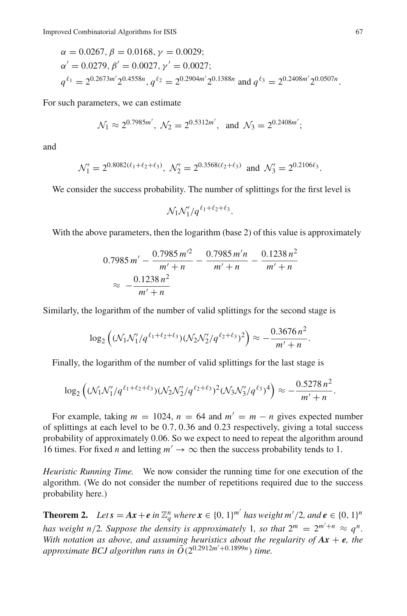$$
\alpha = 0.0267, \beta = 0.0168, \gamma = 0.0029;
$$
  
\n
$$
\alpha' = 0.0279, \beta' = 0.0027, \gamma' = 0.0027;
$$
  
\n
$$
q^{\ell_1} = 2^{0.2673m'} 2^{0.4558n}, q^{\ell_2} = 2^{0.2904m'} 2^{0.1388n} \text{ and } q^{\ell_3} = 2^{0.2408m'} 2^{0.0507n}.
$$

For such parameters, we can estimate

$$
\mathcal{N}_1 \approx 2^{0.7985m'}, \ \mathcal{N}_2 = 2^{0.5312m'}, \text{ and } \mathcal{N}_3 = 2^{0.2408m'};
$$

and

$$
\mathcal{N}'_1=2^{0.8082(\ell_1+\ell_2+\ell_3)},\; \mathcal{N}'_2=2^{0.3568(\ell_2+\ell_3)}\;\; \text{and}\;\; \mathcal{N}'_3=2^{0.2106\ell_3}.
$$

We consider the success probability. The number of splittings for the first level is

$$
\mathcal{N}_1 \mathcal{N}_1'/q^{\ell_1+\ell_2+\ell_3}.
$$

With the above parameters, then the logarithm (base 2) of this value is approximately

$$
0.7985 \, m' - \frac{0.7985 \, m'^2}{m' + n} - \frac{0.7985 \, m'n}{m' + n} - \frac{0.1238 \, n^2}{m' + n}
$$
\n
$$
\approx -\frac{0.1238 \, n^2}{m' + n}
$$

Similarly, the logarithm of the number of valid splittings for the second stage is

$$
\log_2\left((\mathcal{N}_1\mathcal{N}_1'/q^{\ell_1+\ell_2+\ell_3})(\mathcal{N}_2\mathcal{N}_2'/q^{\ell_2+\ell_3})^2\right) \approx -\frac{0.3676\,n^2}{m'+n}.
$$

Finally, the logarithm of the number of valid splittings for the last stage is

$$
\log_2\left((\mathcal{N}_1\mathcal{N}_1'/q^{\ell_1+\ell_2+\ell_3})(\mathcal{N}_2\mathcal{N}_2'/q^{\ell_2+\ell_3})^2(\mathcal{N}_3\mathcal{N}_3'/q^{\ell_3})^4\right) \approx -\frac{0.5278\,n^2}{m'+n}.
$$

For example, taking  $m = 1024$ ,  $n = 64$  and  $m' = m - n$  gives expected number of splittings at each level to be 0.7, 0.36 and 0.23 respectively, giving a total success probability of approximately 0.06. So we expect to need to repeat the algorithm around 16 times. For fixed *n* and letting  $m' \to \infty$  then the success probability tends to 1.

*Heuristic Running Time.* We now consider the running time for one execution of the algorithm. (We do not consider the number of repetitions required due to the success probability here.)

**Theorem 2.** *Let*  $s = Ax + e$  *in*  $\mathbb{Z}_q^n$  *where*  $x \in \{0, 1\}^m$  *has weight*  $m'/2$ *, and*  $e \in \{0, 1\}^n$ *has weight n/2. Suppose the density is approximately 1, so that*  $2^m = 2^{m'+n} \approx q^n$ *. With notation as above, and assuming heuristics about the regularity of*  $Ax + e$ *, the* approximate BCJ algorithm runs in  $\tilde{O}(2^{0.2912m' + 0.1899n})$  time.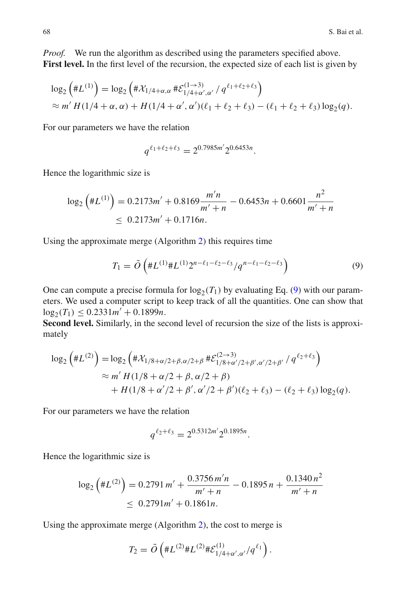*Proof.* We run the algorithm as described using the parameters specified above. **First level.** In the first level of the recursion, the expected size of each list is given by

$$
\log_2(\#L^{(1)}) = \log_2(\#X_{1/4+\alpha,\alpha} \# \mathcal{E}_{1/4+\alpha',\alpha'}^{(1\to 3)}/q^{\ell_1+\ell_2+\ell_3})
$$
  
\$\approx m'H(1/4+\alpha,\alpha)+H(1/4+\alpha',\alpha')(\ell\_1+\ell\_2+\ell\_3)-(\ell\_1+\ell\_2+\ell\_3)\log\_2(q).

For our parameters we have the relation

$$
q^{\ell_1+\ell_2+\ell_3} = 2^{0.7985m'} 2^{0.6453n}.
$$

Hence the logarithmic size is

$$
\log_2\left(\#L^{(1)}\right) = 0.2173m' + 0.8169 \frac{m'n}{m'+n} - 0.6453n + 0.6601 \frac{n^2}{m'+n} \leq 0.2173m' + 0.1716n.
$$

Using the approximate merge (Algorithm [2\)](#page-22-0) this requires time

<span id="page-33-0"></span>
$$
T_1 = \tilde{O}\left(\#L^{(1)}\#L^{(1)}2^{n-\ell_1-\ell_2-\ell_3}/q^{n-\ell_1-\ell_2-\ell_3}\right)
$$
\n(9)

One can compute a precise formula for  $log_2(T_1)$  by evaluating Eq. [\(9\)](#page-33-0) with our parameters. We used a computer script to keep track of all the quantities. One can show that  $\log_2(T_1) \leq 0.2331m' + 0.1899n.$ 

Second level. Similarly, in the second level of recursion the size of the lists is approximately

$$
\log_2\left(\#L^{(2)}\right) = \log_2\left(\# \mathcal{X}_{1/8+\alpha/2+\beta,\alpha/2+\beta} \# \mathcal{E}_{1/8+\alpha'/2+\beta',\alpha'/2+\beta'}^{(2\to 3)} / q^{\ell_2+\ell_3}\right)
$$
  
\n
$$
\approx m'H(1/8+\alpha/2+\beta,\alpha/2+\beta)
$$
  
\n
$$
+H(1/8+\alpha'/2+\beta',\alpha'/2+\beta')(\ell_2+\ell_3) - (\ell_2+\ell_3)\log_2(q).
$$

For our parameters we have the relation

$$
q^{\ell_2+\ell_3} = 2^{0.5312m'} 2^{0.1895n}.
$$

Hence the logarithmic size is

$$
\log_2\left(\#L^{(2)}\right) = 0.2791 \, m' + \frac{0.3756 \, m'n}{m' + n} - 0.1895 \, n + \frac{0.1340 \, n^2}{m' + n} \leq 0.2791 \, m' + 0.1861 \, n.
$$

Using the approximate merge (Algorithm [2\)](#page-22-0), the cost to merge is

$$
T_2 = \tilde{O}\left(\#L^{(2)} \#L^{(2)} \# \mathcal{E}^{(1)}_{1/4+\alpha',\alpha'} /q^{\ell_1}\right).
$$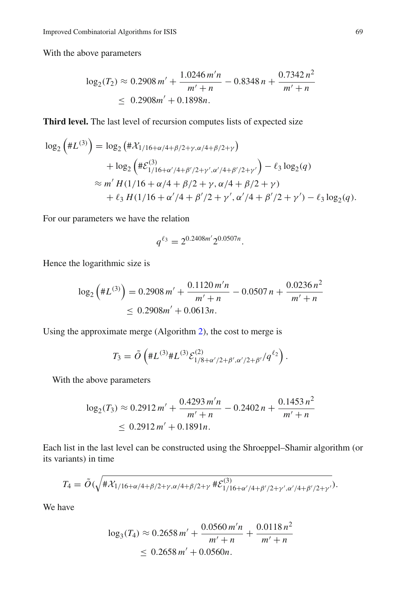With the above parameters

$$
\log_2(T_2) \approx 0.2908 m' + \frac{1.0246 m'n}{m' + n} - 0.8348 n + \frac{0.7342 n^2}{m' + n}
$$
  
\n
$$
\leq 0.2908 m' + 0.1898 n.
$$

**Third level.** The last level of recursion computes lists of expected size

$$
\log_2\left(\#L^{(3)}\right) = \log_2\left(\# \mathcal{X}_{1/16+\alpha/4+\beta/2+\gamma,\alpha/4+\beta/2+\gamma}\right) \n+ \log_2\left(\# \mathcal{E}_{1/16+\alpha'/4+\beta'/2+\gamma',\alpha'/4+\beta'/2+\gamma'}^{(3)}\right) - \ell_3 \log_2(q) \n\approx m' H(1/16+\alpha/4+\beta/2+\gamma,\alpha/4+\beta/2+\gamma) \n+ \ell_3 H(1/16+\alpha'/4+\beta'/2+\gamma',\alpha'/4+\beta'/2+\gamma') - \ell_3 \log_2(q).
$$

For our parameters we have the relation

$$
q^{\ell_3} = 2^{0.2408m'} 2^{0.0507n}.
$$

Hence the logarithmic size is

$$
\log_2\left(\#L^{(3)}\right) = 0.2908 \, m' + \frac{0.1120 \, m'n}{m' + n} - 0.0507 \, n + \frac{0.0236 \, n^2}{m' + n} \leq 0.2908 m' + 0.0613 n.
$$

Using the approximate merge (Algorithm [2\)](#page-22-0), the cost to merge is

$$
T_3 = \tilde{O}\left(\#L^{(3)}\#L^{(3)}\mathcal{E}_{1/8+\alpha'/2+\beta',\alpha'/2+\beta'}^{(2)}/q^{\ell_2}\right).
$$

With the above parameters

$$
\log_2(T_3) \approx 0.2912 m' + \frac{0.4293 m'n}{m' + n} - 0.2402 n + \frac{0.1453 n^2}{m' + n}
$$
  
\n
$$
\leq 0.2912 m' + 0.1891 n.
$$

Each list in the last level can be constructed using the Shroeppel–Shamir algorithm (or its variants) in time

$$
T_4 = \tilde{O}(\sqrt{\#\mathcal{X}_{1/16+\alpha/4+\beta/2+\gamma,\alpha/4+\beta/2+\gamma}\#\mathcal{E}_{1/16+\alpha'/4+\beta'/2+\gamma',\alpha'/4+\beta'/2+\gamma'}^{(3)})}.
$$

We have

$$
\log_3(T_4) \approx 0.2658 m' + \frac{0.0560 m'n}{m' + n} + \frac{0.0118 n^2}{m' + n} \leq 0.2658 m' + 0.0560 n.
$$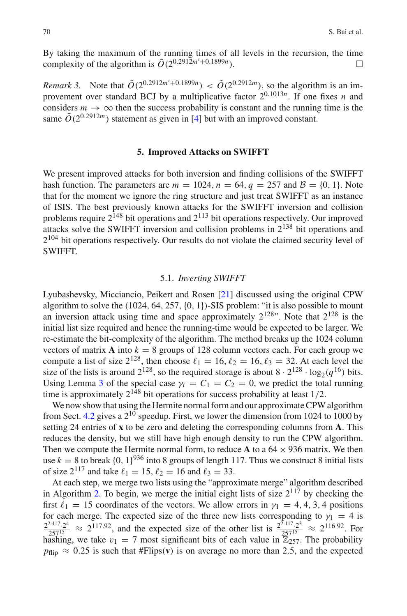By taking the maximum of the running times of all levels in the recursion, the time complexity of the algorithm is  $\tilde{O}(2^{0.2912m'+0.1899n})$ .

*Remark 3.* Note that  $\tilde{O}(2^{0.2912m'+0.1899n}) < \tilde{O}(2^{0.2912m})$ , so the algorithm is an improvement over standard BCJ by a multiplicative factor  $2^{0.1013n}$ . If one fixes *n* and considers  $m \to \infty$  then the success probability is constant and the running time is the same  $\tilde{O}(2^{0.2912m})$  statement as given in [\[4\]](#page-47-11) but with an improved constant.

# **5. Improved Attacks on SWIFFT**

<span id="page-35-1"></span>We present improved attacks for both inversion and finding collisions of the SWIFFT hash function. The parameters are  $m = 1024$ ,  $n = 64$ ,  $q = 257$  and  $\mathcal{B} = \{0, 1\}$ . Note that for the moment we ignore the ring structure and just treat SWIFFT as an instance of ISIS. The best previously known attacks for the SWIFFT inversion and collision problems require  $2^{148}$  bit operations and  $2^{113}$  bit operations respectively. Our improved attacks solve the SWIFFT inversion and collision problems in 2<sup>138</sup> bit operations and  $2^{104}$  bit operations respectively. Our results do not violate the claimed security level of SWIFFT.

#### 5.1. *Inverting SWIFFT*

<span id="page-35-0"></span>Lyubashevsky, Micciancio, Peikert and Rosen [\[21\]](#page-47-3) discussed using the original CPW algorithm to solve the  $(1024, 64, 257, \{0, 1\})$ -SIS problem: "it is also possible to mount an inversion attack using time and space approximately  $2^{128}$ ". Note that  $2^{128}$  is the initial list size required and hence the running-time would be expected to be larger. We re-estimate the bit-complexity of the algorithm. The method breaks up the 1024 column vectors of matrix  $\bf{A}$  into  $k = 8$  groups of 128 column vectors each. For each group we compute a list of size  $2^{128}$ , then choose  $\ell_1 = 16$ ,  $\ell_2 = 16$ ,  $\ell_3 = 32$ . At each level the size of the lists is around  $2^{128}$ , so the required storage is about  $8 \cdot 2^{128} \cdot \log_2(q^{16})$  bits. Using Lemma [3](#page-27-1) of the special case  $\gamma_i = C_1 = C_2 = 0$ , we predict the total running time is approximately  $2^{148}$  bit operations for success probability at least 1/2.

We now show that using the Hermite normal form and our approximate CPW algorithm from Sect. [4.2](#page-23-0) gives a  $2^{10}$  speedup. First, we lower the dimension from 1024 to 1000 by setting 24 entries of **x** to be zero and deleting the corresponding columns from **A**. This reduces the density, but we still have high enough density to run the CPW algorithm. Then we compute the Hermite normal form, to reduce **A** to a  $64 \times 936$  matrix. We then use  $k = 8$  to break  $\{0, 1\}^{936}$  into 8 groups of length 117. Thus we construct 8 initial lists of size  $2^{117}$  and take  $\ell_1 = 15$ ,  $\ell_2 = 16$  and  $\ell_3 = 33$ .

At each step, we merge two lists using the "approximate merge" algorithm described in Algorithm [2.](#page-22-0) To begin, we merge the initial eight lists of size  $2^{117}$  by checking the first  $\ell_1 = 15$  coordinates of the vectors. We allow errors in  $\gamma_1 = 4, 4, 3, 4$  positions for each merge. The expected size of the three new lists corresponding to  $\gamma_1 = 4$  is  $\frac{2^{2.117} \cdot 2^4}{257^{15}} \approx 2^{117.92}$ , and the expected size of the other list is  $\frac{2^{2.117} \cdot 2^3}{257^{15}} \approx 2^{116.92}$ . For hashing, we take  $v_1 = 7$  most significant bits of each value in  $\mathbb{Z}_{257}^{\prime\prime}$ . The probability  $p_{\text{flip}} \approx 0.25$  is such that #Flips(**v**) is on average no more than 2.5, and the expected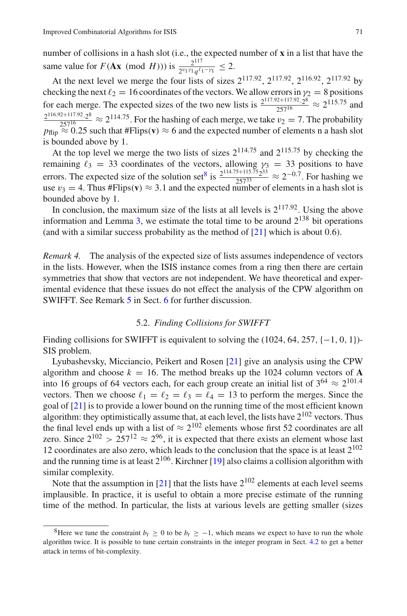number of collisions in a hash slot (i.e., the expected number of **x** in a list that have the same value for *F*(**Ax** (mod *H*))) is  $\frac{2^{117}}{2^{v_1 y_1} q^{l_1 - y_1}} \leq 2$ .

At the next level we merge the four lists of sizes  $2^{117.92}$ ,  $2^{117.92}$ ,  $2^{116.92}$ ,  $2^{117.92}$  by checking the next  $\ell_2 = 16$  coordinates of the vectors. We allow errors in  $\gamma_2 = 8$  positions for each merge. The expected sizes of the two new lists is  $\frac{2^{117.92+117.92}\cdot 2^8}{257^{16}} \approx 2^{115.75}$  and  $\frac{2^{116.92+117.92}\cdot 2^8}{257^{16}} \approx 2^{114.75}$  For the hashing of each merge, we take  $v_2 = 7$ . The probability  $p_{\text{flip}} \approx 0.25$  such that #Flips(**v**)  $\approx 6$  and the expected number of elements n a hash slot is bounded above by 1.

At the top level we merge the two lists of sizes  $2^{114.75}$  and  $2^{115.75}$  by checking the remaining  $\ell_3 = 33$  coordinates of the vectors, allowing  $\gamma_3 = 33$  positions to have errors. The expected size of the solution set<sup>[8](#page-36-0)</sup> is  $\frac{2^{114.75+115.75}2^{33}}{257^{33}} \approx 2^{-0.7}$ . For hashing we use  $v_3 = 4$ . Thus #Flips(**v**)  $\approx 3.1$  and the expected number of elements in a hash slot is bounded above by 1.

<span id="page-36-1"></span>In conclusion, the maximum size of the lists at all levels is  $2^{117.92}$ . Using the above information and Lemma [3,](#page-27-1) we estimate the total time to be around  $2^{138}$  bit operations (and with a similar success probability as the method of  $[21]$  $[21]$  which is about 0.6).

*Remark 4.* The analysis of the expected size of lists assumes independence of vectors in the lists. However, when the ISIS instance comes from a ring then there are certain symmetries that show that vectors are not independent. We have theoretical and experimental evidence that these issues do not effect the analysis of the CPW algorithm on SWIFFT. See Remark [5](#page-41-0) in Sect. [6](#page-38-0) for further discussion.

# 5.2. *Finding Collisions for SWIFFT*

Finding collisions for SWIFFT is equivalent to solving the  $(1024, 64, 257, \{-1, 0, 1\})$ -SIS problem.

Lyubashevsky, Micciancio, Peikert and Rosen [\[21\]](#page-47-3) give an analysis using the CPW algorithm and choose  $k = 16$ . The method breaks up the 1024 column vectors of A into 16 groups of 64 vectors each, for each group create an initial list of  $3^{64} \approx 2^{101.4}$ vectors. Then we choose  $\ell_1 = \ell_2 = \ell_3 = \ell_4 = 13$  to perform the merges. Since the goal of [\[21\]](#page-47-3) is to provide a lower bound on the running time of the most efficient known algorithm: they optimistically assume that, at each level, the lists have 2<sup>102</sup> vectors. Thus the final level ends up with a list of  $\approx 2^{102}$  elements whose first 52 coordinates are all zero. Since  $2^{102} > 257^{12} \approx 2^{96}$ , it is expected that there exists an element whose last 12 coordinates are also zero, which leads to the conclusion that the space is at least  $2^{102}$ and the running time is at least  $2^{106}$ . Kirchner [\[19\]](#page-47-6) also claims a collision algorithm with similar complexity.

Note that the assumption in [\[21\]](#page-47-3) that the lists have  $2^{102}$  elements at each level seems implausible. In practice, it is useful to obtain a more precise estimate of the running time of the method. In particular, the lists at various levels are getting smaller (sizes

<span id="page-36-0"></span><sup>&</sup>lt;sup>8</sup>Here we tune the constraint  $b_t \ge 0$  to be  $b_t \ge -1$ , which means we expect to have to run the whole algorithm twice. It is possible to tune certain constraints in the integer program in Sect. [4.2](#page-23-0) to get a better attack in terms of bit-complexity.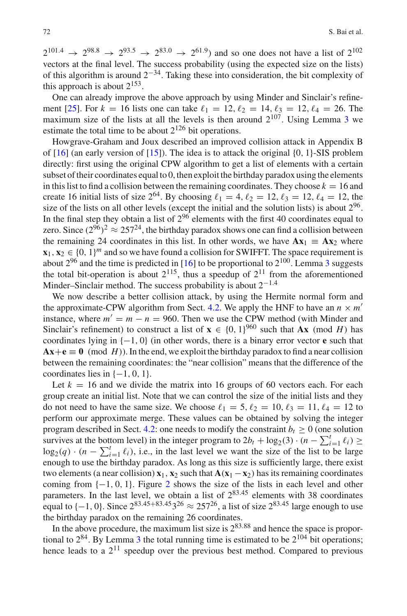$2^{101.4} \rightarrow 2^{98.8} \rightarrow 2^{93.5} \rightarrow 2^{83.0} \rightarrow 2^{61.9}$  and so one does not have a list of  $2^{102}$ vectors at the final level. The success probability (using the expected size on the lists) of this algorithm is around  $2^{-34}$ . Taking these into consideration, the bit complexity of this approach is about  $2^{153}$ .

One can already improve the above approach by using Minder and Sinclair's refine-ment [\[25\]](#page-47-13). For  $k = 16$  lists one can take  $\ell_1 = 12, \ell_2 = 14, \ell_3 = 12, \ell_4 = 26$ . The maximum size of the lists at all the levels is then around  $2^{107}$ . Using Lemma [3](#page-27-1) we estimate the total time to be about  $2^{126}$  bit operations.

Howgrave-Graham and Joux described an improved collision attack in Appendix B of  $[16]$  (an early version of  $[15]$  $[15]$ ). The idea is to attack the original  $\{0, 1\}$ -SIS problem directly: first using the original CPW algorithm to get a list of elements with a certain subset of their coordinates equal to 0, then exploit the birthday paradox using the elements in this list to find a collision between the remaining coordinates. They choose  $k = 16$  and create 16 initial lists of size  $2^{64}$ . By choosing  $\ell_1 = 4$ ,  $\ell_2 = 12$ ,  $\ell_3 = 12$ ,  $\ell_4 = 12$ , the size of the lists on all other levels (except the initial and the solution lists) is about  $2^{96}$ . In the final step they obtain a list of  $2^{96}$  elements with the first 40 coordinates equal to zero. Since  $(2^{96})^2 \approx 257^{24}$ , the birthday paradox shows one can find a collision between the remaining 24 coordinates in this list. In other words, we have  $A x_1 = A x_2$  where  $\mathbf{x}_1, \mathbf{x}_2 \in \{0, 1\}^m$  and so we have found a collision for SWIFFT. The space requirement is about  $2^{96}$  and the time is predicted in [\[16](#page-47-4)] to be proportional to  $2^{100}$ . Lemma [3](#page-27-1) suggests the total bit-operation is about  $2^{115}$ , thus a speedup of  $2^{11}$  from the aforementioned Minder–Sinclair method. The success probability is about  $2^{-1.4}$ 

We now describe a better collision attack, by using the Hermite normal form and the approximate-CPW algorithm from Sect. [4.2.](#page-23-0) We apply the HNF to have an  $n \times m'$ instance, where  $m' = m - n = 960$ . Then we use the CPW method (with Minder and Sinclair's refinement) to construct a list of  $\mathbf{x} \in \{0, 1\}^{960}$  such that **Ax** (mod *H*) has coordinates lying in {−1, 0} (in other words, there is a binary error vector **e** such that  $Ax + e \equiv 0 \pmod{H}$ . In the end, we exploit the birthday paradox to find a near collision between the remaining coordinates: the "near collision" means that the difference of the coordinates lies in  $\{-1, 0, 1\}$ .

Let  $k = 16$  and we divide the matrix into 16 groups of 60 vectors each. For each group create an initial list. Note that we can control the size of the initial lists and they do not need to have the same size. We choose  $\ell_1 = 5, \ell_2 = 10, \ell_3 = 11, \ell_4 = 12$  to perform our approximate merge. These values can be obtained by solving the integer program described in Sect. [4.2:](#page-23-0) one needs to modify the constraint  $b_t \geq 0$  (one solution survives at the bottom level) in the integer program to  $2b_t + \log_2(3) \cdot (n - \sum_{i=1}^t \ell_i) \ge$  $\log_2(q) \cdot (n - \sum_{i=1}^t \ell_i)$ , i.e., in the last level we want the size of the list to be large enough to use the birthday paradox. As long as this size is sufficiently large, there exist two elements (a near collision)  $\mathbf{x}_1$ ,  $\mathbf{x}_2$  such that  $\mathbf{A}(\mathbf{x}_1 - \mathbf{x}_2)$  has its remaining coordinates coming from  $\{-1, 0, 1\}$ . Figure [2](#page-38-1) shows the size of the lists in each level and other parameters. In the last level, we obtain a list of  $2^{83.45}$  elements with 38 coordinates equal to  $\{-1, 0\}$ . Since  $2^{83.45+83.45}3^{26} \approx 257^{26}$ , a list of size  $2^{83.45}$  large enough to use the birthday paradox on the remaining 26 coordinates.

In the above procedure, the maximum list size is  $2^{83.88}$  and hence the space is proportional to  $2^{84}$ . By Lemma [3](#page-27-1) the total running time is estimated to be  $2^{104}$  bit operations; hence leads to a  $2^{11}$  speedup over the previous best method. Compared to previous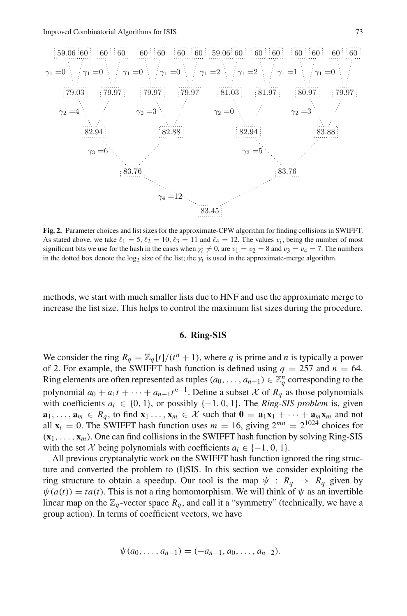

<span id="page-38-1"></span>**Fig. 2.** Parameter choices and list sizes for the approximate-CPW algorithm for finding collisions in SWIFFT. As stated above, we take  $\ell_1 = 5$ ,  $\ell_2 = 10$ ,  $\ell_3 = 11$  and  $\ell_4 = 12$ . The values  $v_i$ , being the number of most significant bits we use for the hash in the cases when  $\gamma_i \neq 0$ , are  $v_1 = v_2 = 8$  and  $v_3 = v_4 = 7$ . The numbers in the dotted box denote the log<sub>2</sub> size of the list; the  $\gamma_i$  is used in the approximate-merge algorithm.

<span id="page-38-0"></span>methods, we start with much smaller lists due to HNF and use the approximate merge to increase the list size. This helps to control the maximum list sizes during the procedure.

## **6. Ring-SIS**

We consider the ring  $R_q = \mathbb{Z}_q[t]/(t^n + 1)$ , where q is prime and n is typically a power of 2. For example, the SWIFFT hash function is defined using  $q = 257$  and  $n = 64$ . Ring elements are often represented as tuples  $(a_0, \ldots, a_{n-1}) \in \mathbb{Z}_q^n$  corresponding to the polynomial  $a_0 + a_1t + \cdots + a_{n-1}t^{n-1}$ . Define a subset X of  $R_q$  as those polynomials with coefficients  $a_i \in \{0, 1\}$ , or possibly  $\{-1, 0, 1\}$ . The *Ring-SIS problem* is, given  $\mathbf{a}_1, \ldots, \mathbf{a}_m \in R_q$ , to find  $\mathbf{x}_1 \ldots, \mathbf{x}_m \in \mathcal{X}$  such that  $\mathbf{0} = \mathbf{a}_1 \mathbf{x}_1 + \cdots + \mathbf{a}_m \mathbf{x}_m$  and not all  $\mathbf{x}_i = 0$ . The SWIFFT hash function uses  $m = 16$ , giving  $2^{mn} = 2^{1024}$  choices for  $(\mathbf{x}_1,\ldots,\mathbf{x}_m)$ . One can find collisions in the SWIFFT hash function by solving Ring-SIS with the set *X* being polynomials with coefficients  $a_i \in \{-1, 0, 1\}$ .

All previous cryptanalytic work on the SWIFFT hash function ignored the ring structure and converted the problem to (I)SIS. In this section we consider exploiting the ring structure to obtain a speedup. Our tool is the map  $\psi : R_q \to R_q$  given by  $\psi(a(t)) = ta(t)$ . This is not a ring homomorphism. We will think of  $\psi$  as an invertible linear map on the  $\mathbb{Z}_q$ -vector space  $R_q$ , and call it a "symmetry" (technically, we have a group action). In terms of coefficient vectors, we have

$$
\psi(a_0,\ldots,a_{n-1})=(-a_{n-1},a_0,\ldots,a_{n-2}).
$$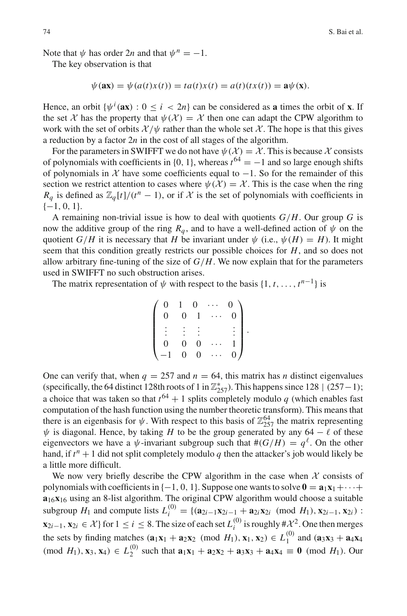Note that  $\psi$  has order 2*n* and that  $\psi^n = -1$ .

The key observation is that

$$
\psi(\mathbf{ax}) = \psi(a(t)x(t)) = ta(t)x(t) = a(t)(tx(t)) = \mathbf{a}\psi(\mathbf{x}).
$$

Hence, an orbit  $\{\psi^i(\mathbf{ax}) : 0 \le i < 2n\}$  can be considered as **a** times the orbit of **x**. If the set *X* has the property that  $\psi(\mathcal{X}) = \mathcal{X}$  then one can adapt the CPW algorithm to work with the set of orbits  $\mathcal{X}/\psi$  rather than the whole set  $\mathcal{X}$ . The hope is that this gives a reduction by a factor 2*n* in the cost of all stages of the algorithm.

For the parameters in SWIFFT we do not have  $\psi(\mathcal{X}) = \mathcal{X}$ . This is because X consists of polynomials with coefficients in {0, 1}, whereas  $t^{64} = -1$  and so large enough shifts of polynomials in  $X$  have some coefficients equal to  $-1$ . So for the remainder of this section we restrict attention to cases where  $\psi(\mathcal{X}) = \mathcal{X}$ . This is the case when the ring  $R_q$  is defined as  $\mathbb{Z}_q[t]/(t^n - 1)$ , or if  $\mathcal X$  is the set of polynomials with coefficients in  $\{-1, 0, 1\}.$ 

A remaining non-trivial issue is how to deal with quotients *G*/*H*. Our group *G* is now the additive group of the ring  $R_q$ , and to have a well-defined action of  $\psi$  on the quotient *G*/*H* it is necessary that *H* be invariant under  $\psi$  (i.e.,  $\psi$ (*H*) = *H*). It might seem that this condition greatly restricts our possible choices for *H*, and so does not allow arbitrary fine-tuning of the size of  $G/H$ . We now explain that for the parameters used in SWIFFT no such obstruction arises.

The matrix representation of  $\psi$  with respect to the basis  $\{1, t, \ldots, t^{n-1}\}\$ is

| $\begin{matrix} 0 \\ 0 \end{matrix}$ | $\mathbf{1}$   |                  | $\begin{matrix} 0 & \cdots \\ 1 & \cdots \end{matrix}$ | $\overline{0}$ |  |
|--------------------------------------|----------------|------------------|--------------------------------------------------------|----------------|--|
|                                      | $\overline{0}$ |                  |                                                        | $\overline{0}$ |  |
|                                      |                |                  |                                                        |                |  |
|                                      |                |                  |                                                        |                |  |
| $\overline{0}$                       | $\overline{0}$ | $\boldsymbol{0}$ |                                                        |                |  |
| $-1$                                 | $\overline{0}$ | $\overline{0}$   | $\cdots$                                               | 0 <sub>0</sub> |  |

One can verify that, when  $q = 257$  and  $n = 64$ , this matrix has *n* distinct eigenvalues (specifically, the 64 distinct 128th roots of 1 in  $\mathbb{Z}_{257}^*$ ). This happens since 128 | (257 – 1); a choice that was taken so that  $t^{64} + 1$  splits completely modulo *q* (which enables fast computation of the hash function using the number theoretic transform). This means that there is an eigenbasis for  $\psi$ . With respect to this basis of  $\mathbb{Z}_{257}^{64}$  the matrix representing  $\psi$  is diagonal. Hence, by taking *H* to be the group generated by any 64 −  $\ell$  of these eigenvectors we have a  $\psi$ -invariant subgroup such that  $\#(G/H) = q^{\ell}$ . On the other hand, if  $t^n + 1$  did not split completely modulo q then the attacker's job would likely be a little more difficult.

We now very briefly describe the CPW algorithm in the case when  $X$  consists of polynomials with coefficients in  $\{-1, 0, 1\}$ . Suppose one wants to solve  $\mathbf{0} = \mathbf{a}_1 \mathbf{x}_1 + \cdots + \mathbf{a}_n$ **a**16**x**<sup>16</sup> using an 8-list algorithm. The original CPW algorithm would choose a suitable subgroup  $H_1$  and compute lists  $L_i^{(0)} = \{(\mathbf{a}_{2i-1}\mathbf{x}_{2i-1} + \mathbf{a}_{2i}\mathbf{x}_{2i} \pmod{H_1}, \mathbf{x}_{2i-1}, \mathbf{x}_{2i})\}$ : **x**<sub>2*i*</sub>−1, **x**<sub>2*i*</sub> ∈ *X* } for 1 ≤ *i* ≤ 8. The size of each set  $L_i^{(0)}$  is roughly  $\#X^2$ . One then merges the sets by finding matches  $(\mathbf{a}_1 \mathbf{x}_1 + \mathbf{a}_2 \mathbf{x}_2 \pmod{H_1}, \mathbf{x}_1, \mathbf{x}_2) \in L_1^{(0)}$  and  $(\mathbf{a}_3 \mathbf{x}_3 + \mathbf{a}_4 \mathbf{x}_4)$  $(\text{mod } H_1), \mathbf{x}_3, \mathbf{x}_4) \in L_2^{(0)}$  such that  $\mathbf{a}_1 \mathbf{x}_1 + \mathbf{a}_2 \mathbf{x}_2 + \mathbf{a}_3 \mathbf{x}_3 + \mathbf{a}_4 \mathbf{x}_4 \equiv \mathbf{0} \pmod{H_1}$ . Our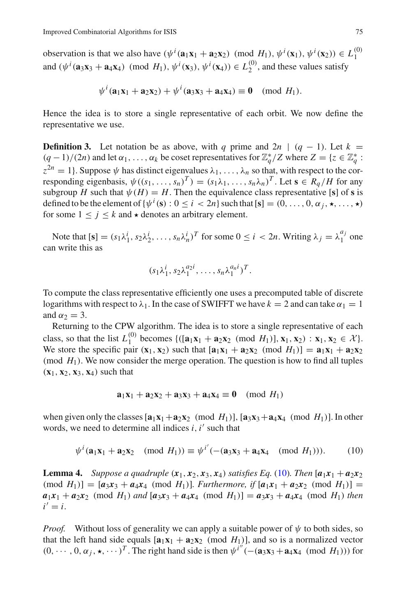observation is that we also have  $(\psi^i(\mathbf{a}_1\mathbf{x}_1 + \mathbf{a}_2\mathbf{x}_2) \pmod{H_1}, \psi^i(\mathbf{x}_1), \psi^i(\mathbf{x}_2)) \in L_1^{(0)}$ and  $(\psi^i(\mathbf{a}_3\mathbf{x}_3 + \mathbf{a}_4\mathbf{x}_4) \pmod{H_1}, \psi^i(\mathbf{x}_3), \psi^i(\mathbf{x}_4)) \in L_2^{(0)}$ , and these values satisfy

$$
\psi^i(\mathbf{a}_1\mathbf{x}_1+\mathbf{a}_2\mathbf{x}_2)+\psi^i(\mathbf{a}_3\mathbf{x}_3+\mathbf{a}_4\mathbf{x}_4)\equiv 0\pmod{H_1}.
$$

<span id="page-40-2"></span>Hence the idea is to store a single representative of each orbit. We now define the representative we use.

**Definition 3.** Let notation be as above, with *q* prime and  $2n \mid (q - 1)$ . Let  $k =$  $(q-1)/(2n)$  and let  $\alpha_1, \ldots, \alpha_k$  be coset representatives for  $\mathbb{Z}_q^*/Z$  where  $Z = \{z \in \mathbb{Z}_q^* : z \in \mathbb{Z}_q^* : z \in \mathbb{Z}_q^* : z \in \mathbb{Z}_q^* : z \in \mathbb{Z}_q^* : z \in \mathbb{Z}_q^* : z \in \mathbb{Z}_q^* : z \in \mathbb{Z}_q^* : z \in \mathbb{Z}_q^* : z \in \mathbb{Z}_q^*$  $z^{2n} = 1$ . Suppose  $\psi$  has distinct eigenvalues  $\lambda_1, \ldots, \lambda_n$  so that, with respect to the corresponding eigenbasis,  $\psi((s_1,\ldots,s_n)^T) = (s_1\lambda_1,\ldots,s_n\lambda_n)^T$ . Let  $\mathbf{s} \in R_q/H$  for any subgroup *H* such that  $\psi(H) = H$ . Then the equivalence class representative [**s**] of **s** is defined to be the element of  $\{\psi^i(\mathbf{s}) : 0 \le i < 2n\}$  such that  $[\mathbf{s}] = (0, \dots, 0, \alpha_j, \star, \dots, \star)$ for some  $1 \leq j \leq k$  and  $\star$  denotes an arbitrary element.

Note that  $[\mathbf{s}] = (s_1 \lambda_1^i, s_2 \lambda_2^i, \dots, s_n \lambda_n^i)^T$  for some  $0 \le i < 2n$ . Writing  $\lambda_j = \lambda_1^{a_j}$  one can write this as

$$
(s_1\lambda_1^i,s_2\lambda_1^{a_2i},\ldots,s_n\lambda_1^{a_ni})^T.
$$

To compute the class representative efficiently one uses a precomputed table of discrete logarithms with respect to  $\lambda_1$ . In the case of SWIFFT we have  $k = 2$  and can take  $\alpha_1 = 1$ and  $\alpha_2 = 3$ .

Returning to the CPW algorithm. The idea is to store a single representative of each class, so that the list  $L_1^{(0)}$  becomes  $\{([\mathbf{a}_1 \mathbf{x}_1 + \mathbf{a}_2 \mathbf{x}_2 \pmod{H_1}], \mathbf{x}_1, \mathbf{x}_2) : \mathbf{x}_1, \mathbf{x}_2 \in \mathcal{X}\}.$ We store the specific pair  $(\mathbf{x}_1, \mathbf{x}_2)$  such that  $[\mathbf{a}_1 \mathbf{x}_1 + \mathbf{a}_2 \mathbf{x}_2 \pmod{H_1}] = \mathbf{a}_1 \mathbf{x}_1 + \mathbf{a}_2 \mathbf{x}_2$ (mod  $H_1$ ). We now consider the merge operation. The question is how to find all tuples  $({\bf x}_1, {\bf x}_2, {\bf x}_3, {\bf x}_4)$  such that

$$
\mathbf{a}_1 \mathbf{x}_1 + \mathbf{a}_2 \mathbf{x}_2 + \mathbf{a}_3 \mathbf{x}_3 + \mathbf{a}_4 \mathbf{x}_4 \equiv \mathbf{0} \pmod{H_1}
$$

when given only the classes  $[\mathbf{a}_1 \mathbf{x}_1 + \mathbf{a}_2 \mathbf{x}_2 \pmod{H_1}$ ,  $[\mathbf{a}_3 \mathbf{x}_3 + \mathbf{a}_4 \mathbf{x}_4 \pmod{H_1}$ . In other words, we need to determine all indices  $i$ ,  $i'$  such that

<span id="page-40-0"></span>
$$
\psi^{i}(\mathbf{a}_{1}\mathbf{x}_{1} + \mathbf{a}_{2}\mathbf{x}_{2} \pmod{H_{1}}) \equiv \psi^{i'}(-( \mathbf{a}_{3}\mathbf{x}_{3} + \mathbf{a}_{4}\mathbf{x}_{4} \pmod{H_{1}})). \tag{10}
$$

<span id="page-40-1"></span>**Lemma 4.** Suppose a quadruple  $(x_1, x_2, x_3, x_4)$  satisfies Eq. [\(10\)](#page-40-0). Then  $[a_1x_1 + a_2x_2]$  $(mod H_1)$ ] =  $[a_3x_3 + a_4x_4 \pmod{H_1}$ *. Furthermore, if*  $[a_1x_1 + a_2x_2 \pmod{H_1}$  $a_1x_1 + a_2x_2$  (mod *H*<sub>1</sub>) *and*  $[a_3x_3 + a_4x_4 \pmod{H_1}$  =  $a_3x_3 + a_4x_4 \pmod{H_1}$  *then*  $i' = i$ .

*Proof.* Without loss of generality we can apply a suitable power of  $\psi$  to both sides, so that the left hand side equals  $[\mathbf{a}_1 \mathbf{x}_1 + \mathbf{a}_2 \mathbf{x}_2 \pmod{H_1}$ , and so is a normalized vector  $(0, \dots, 0, \alpha_j, \star, \dots)^T$ . The right hand side is then  $\psi^{i''}$  (-(**a**<sub>3</sub>**x**<sub>3</sub> + **a**<sub>4</sub>**x**<sub>4</sub> (mod *H*<sub>1</sub>))) for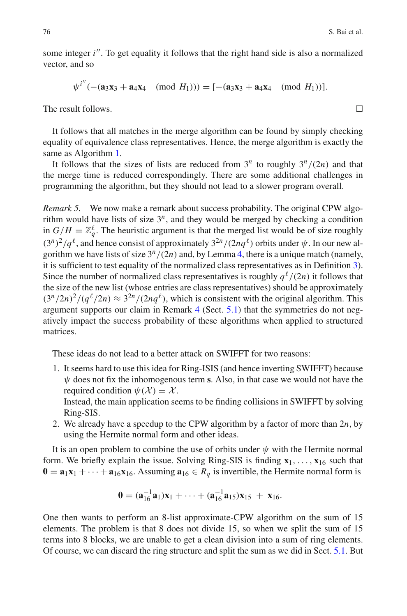some integer *i* . To get equality it follows that the right hand side is also a normalized vector, and so

$$
\psi^{i''}(-(\mathbf{a}_3\mathbf{x}_3+\mathbf{a}_4\mathbf{x}_4 \pmod{H_1}))=[-(\mathbf{a}_3\mathbf{x}_3+\mathbf{a}_4\mathbf{x}_4 \pmod{H_1})].
$$

The result follows.  $\Box$ 

It follows that all matches in the merge algorithm can be found by simply checking equality of equivalence class representatives. Hence, the merge algorithm is exactly the same as Algorithm [1.](#page-7-2)

It follows that the sizes of lists are reduced from  $3^n$  to roughly  $3^n/(2n)$  and that the merge time is reduced correspondingly. There are some additional challenges in programming the algorithm, but they should not lead to a slower program overall.

<span id="page-41-0"></span>*Remark 5.* We now make a remark about success probability. The original CPW algorithm would have lists of size  $3^n$ , and they would be merged by checking a condition in  $G/H = \mathbb{Z}_q^{\ell}$ . The heuristic argument is that the merged list would be of size roughly  $(3^n)^2/q^{\ell}$ , and hence consist of approximately  $3^{2n}/(2nq^{\ell})$  orbits under  $\psi$ . In our new algorithm we have lists of size  $3^n/(2n)$  and, by Lemma [4,](#page-40-1) there is a unique match (namely, it is sufficient to test equality of the normalized class representatives as in Definition [3\)](#page-40-2). Since the number of normalized class representatives is roughly  $q^{l}/(2n)$  it follows that the size of the new list (whose entries are class representatives) should be approximately  $(3^n/2n)^2/(q^{\ell}/2n) \approx 3^{2n}/(2nq^{\ell})$ , which is consistent with the original algorithm. This argument supports our claim in Remark [4](#page-36-1) (Sect. [5.1\)](#page-35-0) that the symmetries do not negatively impact the success probability of these algorithms when applied to structured matrices.

These ideas do not lead to a better attack on SWIFFT for two reasons:

1. It seems hard to use this idea for Ring-ISIS (and hence inverting SWIFFT) because  $\psi$  does not fix the inhomogenous term **s**. Also, in that case we would not have the required condition  $\psi(\mathcal{X}) = \mathcal{X}$ .

Instead, the main application seems to be finding collisions in SWIFFT by solving Ring-SIS.

2. We already have a speedup to the CPW algorithm by a factor of more than 2*n*, by using the Hermite normal form and other ideas.

It is an open problem to combine the use of orbits under  $\psi$  with the Hermite normal form. We briefly explain the issue. Solving Ring-SIS is finding  $x_1, \ldots, x_{16}$  such that  $\mathbf{0} = \mathbf{a}_1 \mathbf{x}_1 + \cdots + \mathbf{a}_{16} \mathbf{x}_{16}$ . Assuming  $\mathbf{a}_{16} \in R_q$  is invertible, the Hermite normal form is

$$
\mathbf{0} = (\mathbf{a}_{16}^{-1}\mathbf{a}_1)\mathbf{x}_1 + \cdots + (\mathbf{a}_{16}^{-1}\mathbf{a}_{15})\mathbf{x}_{15} + \mathbf{x}_{16}.
$$

One then wants to perform an 8-list approximate-CPW algorithm on the sum of 15 elements. The problem is that 8 does not divide 15, so when we split the sum of 15 terms into 8 blocks, we are unable to get a clean division into a sum of ring elements. Of course, we can discard the ring structure and split the sum as we did in Sect. [5.1.](#page-35-0) But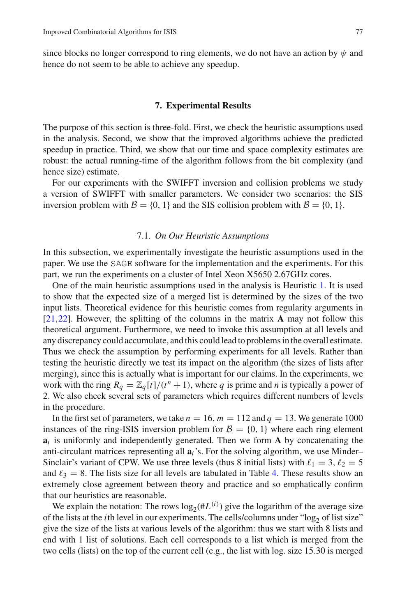since blocks no longer correspond to ring elements, we do not have an action by  $\psi$  and hence do not seem to be able to achieve any speedup.

#### **7. Experimental Results**

<span id="page-42-0"></span>The purpose of this section is three-fold. First, we check the heuristic assumptions used in the analysis. Second, we show that the improved algorithms achieve the predicted speedup in practice. Third, we show that our time and space complexity estimates are robust: the actual running-time of the algorithm follows from the bit complexity (and hence size) estimate.

For our experiments with the SWIFFT inversion and collision problems we study a version of SWIFFT with smaller parameters. We consider two scenarios: the SIS inversion problem with  $\mathcal{B} = \{0, 1\}$  and the SIS collision problem with  $\mathcal{B} = \{0, 1\}$ .

#### 7.1. *On Our Heuristic Assumptions*

In this subsection, we experimentally investigate the heuristic assumptions used in the paper. We use the SAGE software for the implementation and the experiments. For this part, we run the experiments on a cluster of Intel Xeon X5650 2.67GHz cores.

One of the main heuristic assumptions used in the analysis is Heuristic [1.](#page-9-0) It is used to show that the expected size of a merged list is determined by the sizes of the two input lists. Theoretical evidence for this heuristic comes from regularity arguments in [\[21](#page-47-3)[,22\]](#page-47-0). However, the splitting of the columns in the matrix **A** may not follow this theoretical argument. Furthermore, we need to invoke this assumption at all levels and any discrepancy could accumulate, and this could lead to problems in the overall estimate. Thus we check the assumption by performing experiments for all levels. Rather than testing the heuristic directly we test its impact on the algorithm (the sizes of lists after merging), since this is actually what is important for our claims. In the experiments, we work with the ring  $R_q = \mathbb{Z}_q[t]/(t^n + 1)$ , where q is prime and n is typically a power of 2. We also check several sets of parameters which requires different numbers of levels in the procedure.

In the first set of parameters, we take  $n = 16$ ,  $m = 112$  and  $q = 13$ . We generate 1000 instances of the ring-ISIS inversion problem for  $\mathcal{B} = \{0, 1\}$  where each ring element **a***<sup>i</sup>* is uniformly and independently generated. Then we form **A** by concatenating the anti-circulant matrices representing all **a***i*'s. For the solving algorithm, we use Minder– Sinclair's variant of CPW. We use three levels (thus 8 initial lists) with  $\ell_1 = 3, \ell_2 = 5$ and  $\ell_3 = 8$ . The lists size for all levels are tabulated in Table [4.](#page-43-0) These results show an extremely close agreement between theory and practice and so emphatically confirm that our heuristics are reasonable.

We explain the notation: The rows  $\log_2(\#L^{(i)})$  give the logarithm of the average size of the lists at the *i*th level in our experiments. The cells/columns under "log<sub>2</sub> of list size" give the size of the lists at various levels of the algorithm: thus we start with 8 lists and end with 1 list of solutions. Each cell corresponds to a list which is merged from the two cells (lists) on the top of the current cell (e.g., the list with log. size 15.30 is merged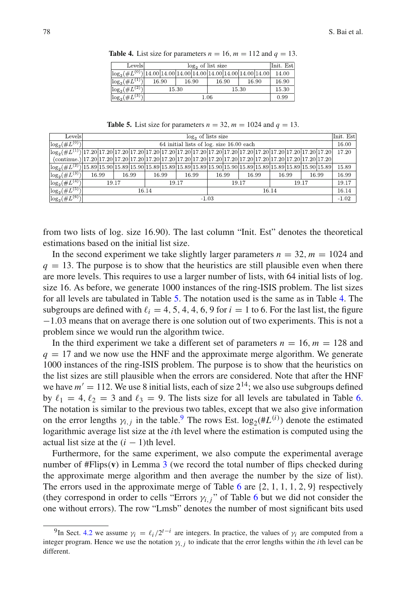| Levels                                                               |       |                     |       | Init. Estl |       |  |       |  |       |  |
|----------------------------------------------------------------------|-------|---------------------|-------|------------|-------|--|-------|--|-------|--|
|                                                                      |       | $log2$ of list size |       |            |       |  |       |  |       |  |
| $\log_2(\#L^{(0)})$  14.00 14.00 14.00 14.00 14.00 14.00 14.00 14.00 |       |                     |       |            |       |  |       |  | 14.00 |  |
| $\log_2(\#L^{(1)})$                                                  |       | 16.90               | 16.90 |            | 16.90 |  | 16.90 |  | 16.90 |  |
| $\log_2(\#L^{(2)})$                                                  | 15.30 |                     |       |            | 15.30 |  |       |  | 15.30 |  |
| $\log_2(\#L^{(3)})$                                                  |       | 1.06                |       |            |       |  |       |  | 0.99  |  |

<span id="page-43-0"></span>**Table 4.** List size for parameters  $n = 16$ ,  $m = 112$  and  $q = 13$ .

**Table 5.** List size for parameters  $n = 32$ ,  $m = 1024$  and  $q = 13$ .

<span id="page-43-1"></span>

| Levels                                                                                                                                                                                                                                                                                                            |                                          |       |       |  |       |       |       | $log2$ of lists size             |       |       |  |  |       |       | Init. Est |
|-------------------------------------------------------------------------------------------------------------------------------------------------------------------------------------------------------------------------------------------------------------------------------------------------------------------|------------------------------------------|-------|-------|--|-------|-------|-------|----------------------------------|-------|-------|--|--|-------|-------|-----------|
| $\log_2(\#L^{(0)})_1$                                                                                                                                                                                                                                                                                             | 64 initial lists of log. size 16.00 each |       |       |  |       |       |       |                                  |       | 16.00 |  |  |       |       |           |
| $\left[\log_2(\#L^{(1)})\right]17.20\right]17.20\left[17.20\right]17.20\left[17.20\right]17.20\left[17.20\right]17.20\left[17.20\right]17.20\left[17.20\right]17.20\left[17.20\right]17.20\left[17.20\right]17.20\left[17.20\right]17.20\left[17.20\right]17.20$                                                  |                                          |       |       |  |       |       |       |                                  |       |       |  |  |       |       | 17.20     |
| $(continue.)$  17.20 17.20 17.20 17.20 17.20 17.20 17.20 17.20 17.20 17.20 17.20 17.20 17.20 17.20 17.20 17.20 17.20 17.20                                                                                                                                                                                        |                                          |       |       |  |       |       |       |                                  |       |       |  |  |       |       |           |
| $\lfloor \log_2(\#L^{(2)}) \rfloor$ 15.89 $\lfloor 15.90 \rfloor$ 15.89 $\lfloor 15.89 \rfloor$ 15.89 $\lfloor 15.89 \rfloor$ 15.89 $\lfloor 15.90 \rfloor$ 15.90 $\lfloor 15.90 \rfloor$ 15.89 $\lfloor 15.89 \rfloor$ 15.89 $\lfloor 15.89 \rfloor$ 15.89 $\lfloor 15.89 \rfloor$ 15.90 $\lfloor 15.89 \rfloor$ |                                          |       |       |  |       |       |       |                                  |       |       |  |  |       |       | 15.89     |
| $\log_2(\overline{\#L^{(3)}})$                                                                                                                                                                                                                                                                                    | 16.99                                    |       | 16.99 |  | 16.99 |       | 16.99 | 16.99<br>16.99<br>16.99<br>16.99 |       |       |  |  |       | 16.99 |           |
| $\log_2(\#L^{(4)})$                                                                                                                                                                                                                                                                                               |                                          | 19.17 |       |  |       | 19.17 |       | 19.17<br>19.17                   |       |       |  |  | 19.17 |       |           |
| $\log_2(\#L^{(5)})$                                                                                                                                                                                                                                                                                               | 16.14<br>16.14                           |       |       |  |       |       |       |                                  | 16.14 |       |  |  |       |       |           |
| $\log_2(\overline{\#L^{(6)}})_1$                                                                                                                                                                                                                                                                                  |                                          |       |       |  |       |       |       | $-1.03$                          |       |       |  |  |       |       | $-1.02$   |

from two lists of log. size 16.90). The last column "Init. Est" denotes the theoretical estimations based on the initial list size.

In the second experiment we take slightly larger parameters  $n = 32$ ,  $m = 1024$  and  $q = 13$ . The purpose is to show that the heuristics are still plausible even when there are more levels. This requires to use a larger number of lists, with 64 initial lists of log. size 16. As before, we generate 1000 instances of the ring-ISIS problem. The list sizes for all levels are tabulated in Table [5.](#page-43-1) The notation used is the same as in Table [4.](#page-43-0) The subgroups are defined with  $\ell_i = 4, 5, 4, 4, 6, 9$  for  $i = 1$  to 6. For the last list, the figure −1.03 means that on average there is one solution out of two experiments. This is not a problem since we would run the algorithm twice.

In the third experiment we take a different set of parameters  $n = 16$ ,  $m = 128$  and  $q = 17$  and we now use the HNF and the approximate merge algorithm. We generate 1000 instances of the ring-ISIS problem. The purpose is to show that the heuristics on the list sizes are still plausible when the errors are considered. Note that after the HNF we have  $m' = 112$ . We use 8 initial lists, each of size  $2^{14}$ ; we also use subgroups defined by  $\ell_1 = 4, \ell_2 = 3$  and  $\ell_3 = 9$ . The lists size for all levels are tabulated in Table [6.](#page-44-0) The notation is similar to the previous two tables, except that we also give information on the error lengths  $\gamma_{i,j}$  in the table.<sup>[9](#page-43-2)</sup> The rows Est.  $\log_2(\#L^{(i)})$  denote the estimated logarithmic average list size at the *i*th level where the estimation is computed using the actual list size at the  $(i - 1)$ th level.

Furthermore, for the same experiment, we also compute the experimental average number of #Flips(**v**) in Lemma [3](#page-27-1) (we record the total number of flips checked during the approximate merge algorithm and then average the number by the size of list). The errors used in the approximate merge of Table [6](#page-44-0) are  $\{2, 1, 1, 1, 2, 9\}$  respectively (they correspond in order to cells "Errors  $\gamma$ *i*, *j*" of Table [6](#page-44-0) but we did not consider the one without errors). The row "Lmsb" denotes the number of most significant bits used

<span id="page-43-2"></span><sup>&</sup>lt;sup>9</sup>In Sect. [4.2](#page-23-0) we assume  $\gamma_i = \ell_i/2^{t-i}$  are integers. In practice, the values of  $\gamma_i$  are computed from a integer program. Hence we use the notation γ*i*,*j* to indicate that the error lengths within the *i*th level can be different.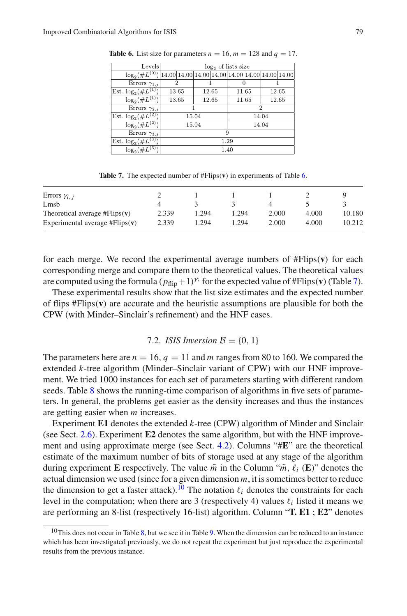| 2     |        |                |                                                                                 |  |  |  |  |
|-------|--------|----------------|---------------------------------------------------------------------------------|--|--|--|--|
| 13.65 | 12.65  | 11.65          | 12.65                                                                           |  |  |  |  |
| 13.65 | 12.65  | 11.65          | 12.65                                                                           |  |  |  |  |
|       |        |                | 2                                                                               |  |  |  |  |
|       |        | 14.04          |                                                                                 |  |  |  |  |
|       |        | 14.04          |                                                                                 |  |  |  |  |
| 9     |        |                |                                                                                 |  |  |  |  |
|       | 1.29   |                |                                                                                 |  |  |  |  |
|       |        |                |                                                                                 |  |  |  |  |
|       | Levels | 15.04<br>15.04 | $log2$ of lists size<br>14.00 14.00 14.00 14.00 14.00 14.00 14.00 14.00<br>1.40 |  |  |  |  |

<span id="page-44-0"></span>**Table 6.** List size for parameters  $n = 16$ ,  $m = 128$  and  $q = 17$ .

**Table 7.** The expected number of #Flips(**v**) in experiments of Table [6.](#page-44-0)

<span id="page-44-1"></span>

| Errors $\gamma_{i, i}$           |       |       |       |       |       |        |
|----------------------------------|-------|-------|-------|-------|-------|--------|
| Lmsb                             |       |       |       |       |       |        |
| Theoretical average $#Flips(v)$  | 2.339 | 1.294 | . 294 | 2.000 | 4.000 | 10.180 |
| Experimental average $#Flips(v)$ | 2.339 | 1.294 | 1.294 | 2.000 | 4.000 | 10.212 |

for each merge. We record the experimental average numbers of #Flips(**v**) for each corresponding merge and compare them to the theoretical values. The theoretical values are computed using the formula  $(p_{\text{flip}}+1)^{\gamma_i}$  for the expected value of #Flips(**v**)(Table [7\)](#page-44-1).

These experimental results show that the list size estimates and the expected number of flips #Flips(**v**) are accurate and the heuristic assumptions are plausible for both the CPW (with Minder–Sinclair's refinement) and the HNF cases.

# 7.2. *ISIS Inversion*  $\mathcal{B} = \{0, 1\}$

The parameters here are  $n = 16$ ,  $q = 11$  and  $m$  ranges from 80 to 160. We compared the extended *k*-tree algorithm (Minder–Sinclair variant of CPW) with our HNF improvement. We tried 1000 instances for each set of parameters starting with different random seeds. Table [8](#page-45-0) shows the running-time comparison of algorithms in five sets of parameters. In general, the problems get easier as the density increases and thus the instances are getting easier when *m* increases.

Experiment **E1** denotes the extended *k*-tree (CPW) algorithm of Minder and Sinclair (see Sect. [2.6\)](#page-10-0). Experiment **E2** denotes the same algorithm, but with the HNF improvement and using approximate merge (see Sect. [4.2\)](#page-23-0). Columns "#**E**" are the theoretical estimate of the maximum number of bits of storage used at any stage of the algorithm during experiment **E** respectively. The value  $\tilde{m}$  in the Column " $\tilde{m}$ ,  $\ell_i$  (**E**)" denotes the actual dimension we used (since for a given dimension *m*, it is sometimes better to reduce the dimension to get a faster attack).<sup>10</sup> The notation  $\ell_i$  denotes the constraints for each level in the computation; when there are 3 (respectively 4) values  $\ell_i$  listed it means we are performing an 8-list (respectively 16-list) algorithm. Column "**T. E1** ; **E2**" denotes

<span id="page-44-2"></span> $10$ This does not occur in Table [8,](#page-45-0) but we see it in Table [9.](#page-46-0) When the dimension can be reduced to an instance which has been investigated previously, we do not repeat the experiment but just reproduce the experimental results from the previous instance.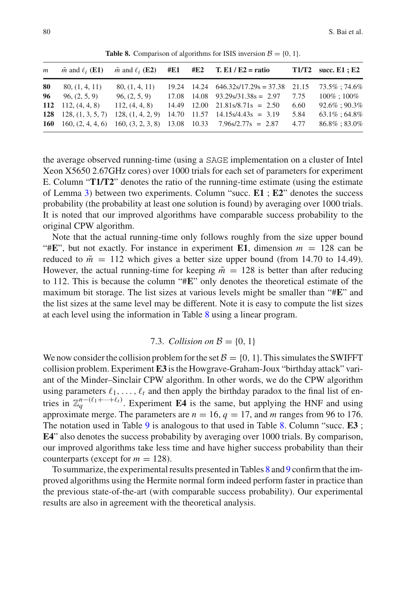<span id="page-45-0"></span>

| $\mathfrak{m}$ | $\tilde{m}$ and $\ell_i$ (E1) |                   |  | $\tilde{m}$ and $\ell_i$ (E2) #E1 #E2 T. E1 / E2 = ratio                   |      | $T1/T2$ succ. E1 ; E2 |
|----------------|-------------------------------|-------------------|--|----------------------------------------------------------------------------|------|-----------------------|
| 80             | 80, (1, 4, 11)                | 80, (1, 4, 11)    |  | $19.24$ 14.24 $646.32 \times 17.29 \times 37.38$ 21.15                     |      | 73.5% : 74.6%         |
| 96             | 96, (2, 5, 9)                 | 96, (2, 5, 9)     |  | $17.08$ $14.08$ $93.29s/31.38s = 2.97$                                     | 7.75 | $100\% : 100\%$       |
|                | 112 112, $(4, 4, 8)$          | 112, (4, 4, 8)    |  | $14.49$ $12.00$ $21.81\frac{s}{8.71} = 2.50$                               | 6.60 | 92.6%; 90.3%          |
|                | 128 128, $(1, 3, 5, 7)$       | 128, (1, 4, 2, 9) |  | $14.70$ $11.57$ $14.15s/4.43s = 3.19$                                      | 5.84 | 63.1%; 64.8%          |
|                |                               |                   |  | 160 160, $(2, 4, 4, 6)$ 160, $(3, 2, 3, 8)$ 13.08 10.33 7.96s/2.77s = 2.87 | 4.77 | 86.8%; 83.0%          |

**Table 8.** Comparison of algorithms for ISIS inversion  $\mathcal{B} = \{0, 1\}$ .

the average observed running-time (using a SAGE implementation on a cluster of Intel Xeon X5650 2.67GHz cores) over 1000 trials for each set of parameters for experiment E. Column "**T1/T2**" denotes the ratio of the running-time estimate (using the estimate of Lemma [3\)](#page-27-1) between two experiments. Column "succ. **E1** ; **E2**" denotes the success probability (the probability at least one solution is found) by averaging over 1000 trials. It is noted that our improved algorithms have comparable success probability to the original CPW algorithm.

Note that the actual running-time only follows roughly from the size upper bound "#E", but not exactly. For instance in experiment **E1**, dimension  $m = 128$  can be reduced to  $\tilde{m} = 112$  which gives a better size upper bound (from 14.70 to 14.49). However, the actual running-time for keeping  $\tilde{m} = 128$  is better than after reducing to 112. This is because the column "#**E**" only denotes the theoretical estimate of the maximum bit storage. The list sizes at various levels might be smaller than "#**E**" and the list sizes at the same level may be different. Note it is easy to compute the list sizes at each level using the information in Table [8](#page-45-0) using a linear program.

# 7.3. *Collision on*  $B = \{0, 1\}$

We now consider the collision problem for the set  $\mathcal{B} = \{0, 1\}$ . This simulates the SWIFFT collision problem. Experiment **E3** is the Howgrave-Graham-Joux "birthday attack" variant of the Minder–Sinclair CPW algorithm. In other words, we do the CPW algorithm using parameters  $\ell_1, \ldots, \ell_t$  and then apply the birthday paradox to the final list of entries in  $\mathbb{Z}_q^{n-(\ell_1+\cdots+\ell_t)}$ . Experiment **E4** is the same, but applying the HNF and using approximate merge. The parameters are  $n = 16$ ,  $q = 17$ , and m ranges from 96 to 176. The notation used in Table [9](#page-46-0) is analogous to that used in Table [8.](#page-45-0) Column "succ. **E3** ; **E4**" also denotes the success probability by averaging over 1000 trials. By comparison, our improved algorithms take less time and have higher success probability than their counterparts (except for  $m = 128$ ).

To summarize, the experimental results presented in Tables [8](#page-45-0) and [9](#page-46-0) confirm that the improved algorithms using the Hermite normal form indeed perform faster in practice than the previous state-of-the-art (with comparable success probability). Our experimental results are also in agreement with the theoretical analysis.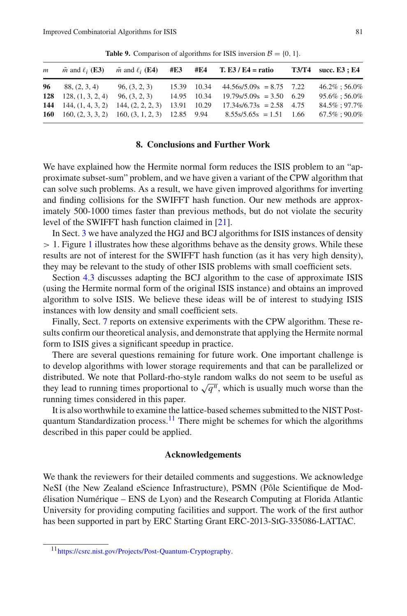<span id="page-46-0"></span>

| $\mathfrak{m}$ | $\tilde{m}$ and $\ell_i$ ( <b>E3</b> ) |                                                      |             |             | $\tilde{m}$ and $\ell_i$ (E4) #E3 #E4 T. E3 / E4 = ratio | $T3/T4$ succ. E3 ; E4 |
|----------------|----------------------------------------|------------------------------------------------------|-------------|-------------|----------------------------------------------------------|-----------------------|
| 96             | 88, (2, 3, 4)                          | 96, (3, 2, 3)                                        |             |             | $15.39$ $10.34$ $44.56 \times 10^{10} = 8.75$ $7.22$     | $46.2\% : 56.0\%$     |
| 128            | 128, (1, 3, 2, 4)                      | 96, (3, 2, 3)                                        |             | 14.95 10.34 | $19.79\text{s}/5.09\text{s} = 3.50$ 6.29                 | $95.6\% : 56.0\%$     |
|                | 144 $144, (1, 4, 3, 2)$                | 144, (2, 2, 2, 3)                                    | 13.91 10.29 |             | $17.34\frac{\text{s}}{6.73\text{s}} = 2.58$ 4.75         | 84.5%: 97.7%          |
| 160            |                                        | $160, (2, 3, 3, 2)$ $160, (3, 1, 2, 3)$ $12.85$ 9.94 |             |             | $8.55\frac{s}{5.65s} = 1.51$ 1.66                        | $67.5\%:90.0\%$       |

**Table 9.** Comparison of algorithms for ISIS inversion  $\mathcal{B} = \{0, 1\}$ .

# **8. Conclusions and Further Work**

We have explained how the Hermite normal form reduces the ISIS problem to an "approximate subset-sum" problem, and we have given a variant of the CPW algorithm that can solve such problems. As a result, we have given improved algorithms for inverting and finding collisions for the SWIFFT hash function. Our new methods are approximately 500-1000 times faster than previous methods, but do not violate the security level of the SWIFFT hash function claimed in [\[21](#page-47-3)].

In Sect. [3](#page-16-0) we have analyzed the HGJ and BCJ algorithms for ISIS instances of density  $> 1$  $> 1$ . Figure 1 illustrates how these algorithms behave as the density grows. While these results are not of interest for the SWIFFT hash function (as it has very high density), they may be relevant to the study of other ISIS problems with small coefficient sets.

Section [4.3](#page-28-0) discusses adapting the BCJ algorithm to the case of approximate ISIS (using the Hermite normal form of the original ISIS instance) and obtains an improved algorithm to solve ISIS. We believe these ideas will be of interest to studying ISIS instances with low density and small coefficient sets.

Finally, Sect. [7](#page-42-0) reports on extensive experiments with the CPW algorithm. These results confirm our theoretical analysis, and demonstrate that applying the Hermite normal form to ISIS gives a significant speedup in practice.

There are several questions remaining for future work. One important challenge is to develop algorithms with lower storage requirements and that can be parallelized or distributed. We note that Pollard-rho-style random walks do not seem to be useful as they lead to running times proportional to  $\sqrt{q^n}$ , which is usually much worse than the running times considered in this paper.

It is also worthwhile to examine the lattice-based schemes submitted to the NIST Post-quantum Standardization process.<sup>[11](#page-46-1)</sup> There might be schemes for which the algorithms described in this paper could be applied.

# **Acknowledgements**

We thank the reviewers for their detailed comments and suggestions. We acknowledge NeSI (the New Zealand eScience Infrastructure), PSMN (Pôle Scientifique de Modélisation Numérique – ENS de Lyon) and the Research Computing at Florida Atlantic University for providing computing facilities and support. The work of the first author has been supported in part by ERC Starting Grant ERC-2013-StG-335086-LATTAC.

<span id="page-46-1"></span><sup>1</sup>[1https://csrc.nist.gov/Projects/Post-Quantum-Cryptography.](https://csrc.nist.gov/Projects/Post-Quantum-Cryptography)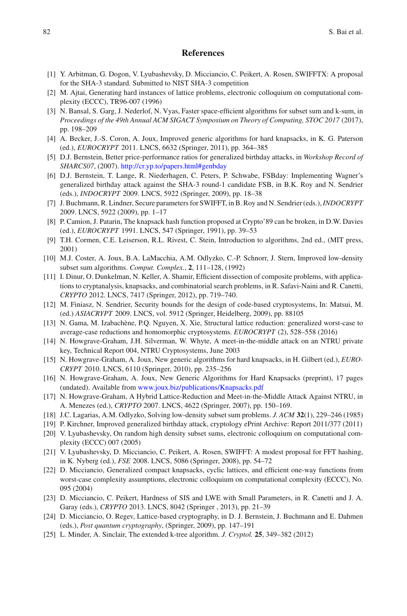## **References**

- <span id="page-47-7"></span>[1] Y. Arbitman, G. Dogon, V. Lyubashevsky, D. Micciancio, C. Peikert, A. Rosen, SWIFFTX: A proposal for the SHA-3 standard. Submitted to NIST SHA-3 competition
- <span id="page-47-2"></span>[2] M. Ajtai, Generating hard instances of lattice problems, electronic colloquium on computational complexity (ECCC), TR96-007 (1996)
- <span id="page-47-8"></span>[3] N. Bansal, S. Garg, J. Nederlof, N. Vyas, Faster space-efficient algorithms for subset sum and k-sum, in *Proceedings of the 49th Annual ACM SIGACT Symposium on Theory of Computing, STOC 2017* (2017), pp. 198–209
- <span id="page-47-11"></span>[4] A. Becker, J.-S. Coron, A. Joux, Improved generic algorithms for hard knapsacks, in K. G. Paterson (ed.), *EUROCRYPT* 2011. LNCS, 6632 (Springer, 2011), pp. 364–385
- <span id="page-47-17"></span>[5] D.J. Bernstein, Better price-performance ratios for generalized birthday attacks, in *Workshop Record of SHARCS07*, (2007). <http://cr.yp.to/papers.html#genbday>
- <span id="page-47-18"></span>[6] D.J. Bernstein, T. Lange, R. Niederhagen, C. Peters, P. Schwabe, FSBday: Implementing Wagner's generalized birthday attack against the SHA-3 round-1 candidate FSB, in B.K. Roy and N. Sendrier (eds.), *INDOCRYPT* 2009. LNCS, 5922 (Springer, 2009), pp. 18–38
- <span id="page-47-10"></span>[7] J. Buchmann, R. Lindner, Secure parameters for SWIFFT, in B. Roy and N. Sendrier (eds.),*INDOCRYPT* 2009. LNCS, 5922 (2009), pp. 1–17
- <span id="page-47-12"></span>[8] P. Camion, J. Patarin, The knapsack hash function proposed at Crypto'89 can be broken, in D.W. Davies (ed.), *EUROCRYPT* 1991. LNCS, 547 (Springer, 1991), pp. 39–53
- <span id="page-47-9"></span>[9] T.H. Cormen, C.E. Leiserson, R.L. Rivest, C. Stein, Introduction to algorithms, 2nd ed., (MIT press, 2001)
- [10] M.J. Coster, A. Joux, B.A. LaMacchia, A.M. Odlyzko, C.-P. Schnorr, J. Stern, Improved low-density subset sum algorithms. *Comput. Complex.*, **2**, 111–128, (1992)
- <span id="page-47-15"></span>[11] I. Dinur, O. Dunkelman, N. Keller, A. Shamir, Efficient dissection of composite problems, with applications to cryptanalysis, knapsacks, and combinatorial search problems, in R. Safavi-Naini and R. Canetti, *CRYPTO* 2012. LNCS, 7417 (Springer, 2012), pp. 719–740.
- <span id="page-47-19"></span>[12] M. Finiasz, N. Sendrier, Security bounds for the design of code-based cryptosystems, In: Matsui, M. (ed.) *ASIACRYPT* 2009. LNCS, vol. 5912 (Springer, Heidelberg, 2009), pp. 88105
- <span id="page-47-1"></span>[13] N. Gama, M. Izabachène, P.Q. Nguyen, X. Xie, Structural lattice reduction: generalized worst-case to average-case reductions and homomorphic cryptosystems. *EUROCRYPT* (2), 528–558 (2016)
- <span id="page-47-20"></span>[14] N. Howgrave-Graham, J.H. Silverman, W. Whyte, A meet-in-the-middle attack on an NTRU private key, Technical Report 004, NTRU Cryptosystems, June 2003
- <span id="page-47-5"></span>[15] N. Howgrave-Graham, A. Joux, New generic algorithms for hard knapsacks, in H. Gilbert (ed.), *EURO-CRYPT* 2010. LNCS, 6110 (Springer, 2010), pp. 235–256
- <span id="page-47-4"></span>[16] N. Howgrave-Graham, A. Joux, New Generic Algorithms for Hard Knapsacks (preprint), 17 pages (undated). Available from <www.joux.biz/publications/Knapsacks.pdf>
- [17] N. Howgrave-Graham, A Hybrid Lattice-Reduction and Meet-in-the-Middle Attack Against NTRU, in A. Menezes (ed.), *CRYPTO* 2007. LNCS, 4622 (Springer, 2007), pp. 150–169.
- [18] J.C. Lagarias, A.M. Odlyzko, Solving low-density subset sum problems. *J. ACM* **32**(1), 229–246 (1985)
- <span id="page-47-6"></span>[19] P. Kirchner, Improved generalized birthday attack, cryptology ePrint Archive: Report 2011/377 (2011)
- <span id="page-47-14"></span>[20] V. Lyubashevsky, On random high density subset sums, electronic colloquium on computational complexity (ECCC) 007 (2005)
- <span id="page-47-3"></span>[21] V. Lyubashevsky, D. Micciancio, C. Peikert, A. Rosen, SWIFFT: A modest proposal for FFT hashing, in K. Nyberg (ed.), *FSE* 2008. LNCS, 5086 (Springer, 2008), pp. 54–72
- <span id="page-47-0"></span>[22] D. Micciancio, Generalized compact knapsacks, cyclic lattices, and efficient one-way functions from worst-case complexity assumptions, electronic colloquium on computational complexity (ECCC), No. 095 (2004)
- [23] D. Micciancio, C. Peikert, Hardness of SIS and LWE with Small Parameters, in R. Canetti and J. A. Garay (eds.), *CRYPTO* 2013. LNCS, 8042 (Springer , 2013), pp. 21–39
- <span id="page-47-16"></span>[24] D. Micciancio, O. Regev, Lattice-based cryptography, in D. J. Bernstein, J. Buchmann and E. Dahmen (eds.), *Post quantum cryptography*, (Springer, 2009), pp. 147–191
- <span id="page-47-13"></span>[25] L. Minder, A. Sinclair, The extended k-tree algorithm. *J. Cryptol.* **25**, 349–382 (2012)